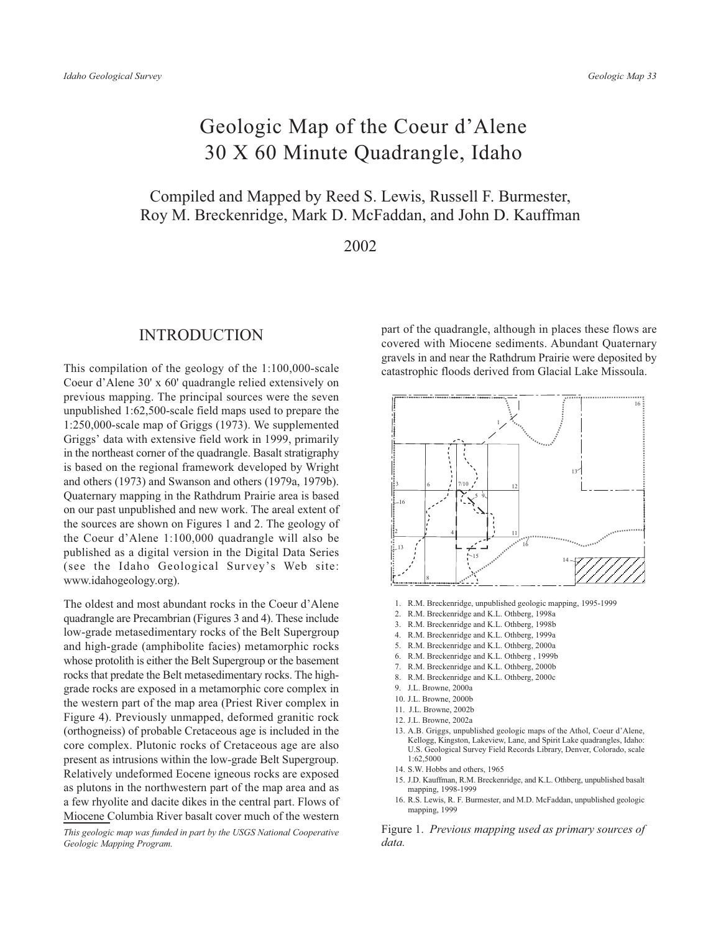# Geologic Map of the Coeur d'Alene 30 X 60 Minute Quadrangle, Idaho

## Compiled and Mapped by Reed S. Lewis, Russell F. Burmester, Roy M. Breckenridge, Mark D. McFaddan, and John D. Kauffman

2002

#### **INTRODUCTION**

This compilation of the geology of the  $1:100,000$ -scale Coeur d'Alene 30' x 60' quadrangle relied extensively on previous mapping. The principal sources were the seven unpublished 1:62,500-scale field maps used to prepare the  $1:250,000$ -scale map of Griggs  $(1973)$ . We supplemented Griggs' data with extensive field work in 1999, primarily in the northeast corner of the quadrangle. Basalt stratigraphy is based on the regional framework developed by Wright and others (1973) and Swanson and others (1979a, 1979b). Ouaternary mapping in the Rathdrum Prairie area is based on our past unpublished and new work. The areal extent of the sources are shown on Figures 1 and 2. The geology of the Coeur d'Alene 1:100,000 quadrangle will also be published as a digital version in the Digital Data Series (see the Idaho Geological Survey's Web site: www.idahogeology.org).

The oldest and most abundant rocks in the Coeur d'Alene quadrangle are Precambrian (Figures 3 and 4). These include low-grade metasedimentary rocks of the Belt Supergroup and high-grade (amphibolite facies) metamorphic rocks whose protolith is either the Belt Supergroup or the basement rocks that predate the Belt metasedimentary rocks. The highgrade rocks are exposed in a metamorphic core complex in the western part of the map area (Priest River complex in Figure 4). Previously unmapped, deformed granitic rock (orthogneiss) of probable Cretaceous age is included in the core complex. Plutonic rocks of Cretaceous age are also present as intrusions within the low-grade Belt Supergroup. Relatively undeformed Eocene igneous rocks are exposed as plutons in the northwestern part of the map area and as a few rhyolite and dacite dikes in the central part. Flows of Miocene Columbia River basalt cover much of the western

This geologic map was funded in part by the USGS National Cooperative Geologic Mapping Program.

part of the quadrangle, although in places these flows are covered with Miocene sediments. Abundant Quaternary gravels in and near the Rathdrum Prairie were deposited by catastrophic floods derived from Glacial Lake Missoula.



- 1. R.M. Breckenridge, unpublished geologic mapping, 1995-1999
- 2. R.M. Breckenridge and K.L. Othberg, 1998a
- 3. R.M. Breckenridge and K.L. Othberg, 1998b
- 4. R.M. Breckenridge and K.L. Othberg, 1999a
- 5. R.M. Breckenridge and K.L. Othberg, 2000a
- 6. R.M. Breckenridge and K.L. Othberg, 1999b
- 7. R.M. Breckenridge and K.L. Othberg, 2000b
- 8. R.M. Breckenridge and K.L. Othberg, 2000c
- 9. J.L. Browne, 2000a
- 10. J.L. Browne, 2000b
- 11. J.L. Browne, 2002b
- 
- 12. J.L. Browne, 2002a
- 13. A.B. Griggs, unpublished geologic maps of the Athol, Coeur d'Alene, Kellogg, Kingston, Lakeview, Lane, and Spirit Lake quadrangles, Idaho: U.S. Geological Survey Field Records Library, Denver, Colorado, scale 1:62.5000
- 14 S W Hobbs and others 1965
- 15. J.D. Kauffman, R.M. Breckenridge, and K.L. Othberg, unpublished basalt mapping, 1998-1999
- 16, R.S. Lewis, R. F. Burmester, and M.D. McFaddan, unpublished geologic mapping, 1999

Figure 1. Previous mapping used as primary sources of data.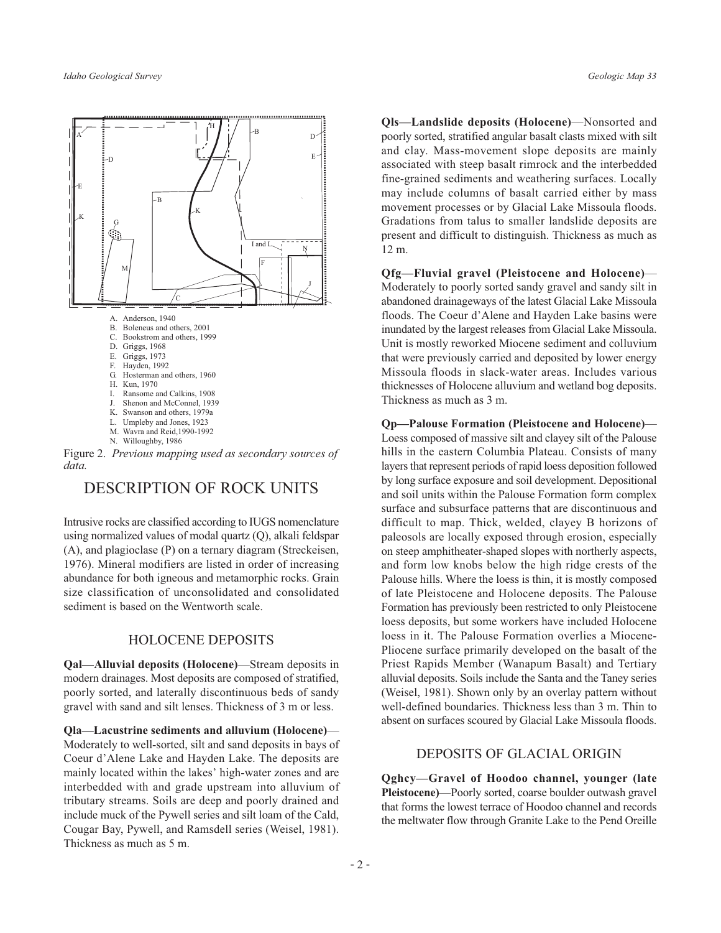

Figure 2. Previous mapping used as secondary sources of  $data$ 

## **DESCRIPTION OF ROCK UNITS**

Intrusive rocks are classified according to IUGS nomenclature using normalized values of modal quartz (Q), alkali feldspar (A), and plagioclase (P) on a ternary diagram (Streckeisen, 1976). Mineral modifiers are listed in order of increasing abundance for both igneous and metamorphic rocks. Grain size classification of unconsolidated and consolidated sediment is based on the Wentworth scale.

#### **HOLOCENE DEPOSITS**

**Oal—Alluvial deposits (Holocene)—Stream deposits in** modern drainages. Most deposits are composed of stratified, poorly sorted, and laterally discontinuous beds of sandy gravel with sand and silt lenses. Thickness of 3 m or less.

Qla-Lacustrine sediments and alluvium (Holocene)-Moderately to well-sorted, silt and sand deposits in bays of Coeur d'Alene Lake and Hayden Lake. The deposits are mainly located within the lakes' high-water zones and are interbedded with and grade upstream into alluvium of tributary streams. Soils are deep and poorly drained and include muck of the Pywell series and silt loam of the Cald, Cougar Bay, Pywell, and Ramsdell series (Weisel, 1981). Thickness as much as 5 m.

Qls-Landslide deposits (Holocene)-Nonsorted and poorly sorted, stratified angular basalt clasts mixed with silt and clay. Mass-movement slope deposits are mainly associated with steep basalt rimrock and the interbedded fine-grained sediments and weathering surfaces. Locally may include columns of basalt carried either by mass movement processes or by Glacial Lake Missoula floods. Gradations from talus to smaller landslide deposits are present and difficult to distinguish. Thickness as much as 12 m.

**Qfg-Fluvial gravel (Pleistocene and Holocene)**-Moderately to poorly sorted sandy gravel and sandy silt in abandoned drainageways of the latest Glacial Lake Missoula floods. The Coeur d'Alene and Hayden Lake basins were inundated by the largest releases from Glacial Lake Missoula. Unit is mostly reworked Miocene sediment and colluvium that were previously carried and deposited by lower energy Missoula floods in slack-water areas. Includes various thicknesses of Holocene alluvium and wetland bog deposits. Thickness as much as 3 m.

**Op-Palouse Formation (Pleistocene and Holocene)** Loess composed of massive silt and clayey silt of the Palouse hills in the eastern Columbia Plateau. Consists of many layers that represent periods of rapid loess deposition followed by long surface exposure and soil development. Depositional and soil units within the Palouse Formation form complex surface and subsurface patterns that are discontinuous and difficult to map. Thick, welded, clayey B horizons of paleosols are locally exposed through erosion, especially on steep amphitheater-shaped slopes with northerly aspects, and form low knobs below the high ridge crests of the Palouse hills. Where the loess is thin, it is mostly composed of late Pleistocene and Holocene deposits. The Palouse Formation has previously been restricted to only Pleistocene loess deposits, but some workers have included Holocene loess in it. The Palouse Formation overlies a Miocene-Pliocene surface primarily developed on the basalt of the Priest Rapids Member (Wanapum Basalt) and Tertiary alluvial deposits. Soils include the Santa and the Taney series (Weisel, 1981). Shown only by an overlay pattern without well-defined boundaries. Thickness less than 3 m. Thin to absent on surfaces scoured by Glacial Lake Missoula floods.

### DEPOSITS OF GLACIAL ORIGIN

Qghcy-Gravel of Hoodoo channel, younger (late Pleistocene)—Poorly sorted, coarse boulder outwash gravel that forms the lowest terrace of Hoodoo channel and records the meltwater flow through Granite Lake to the Pend Oreille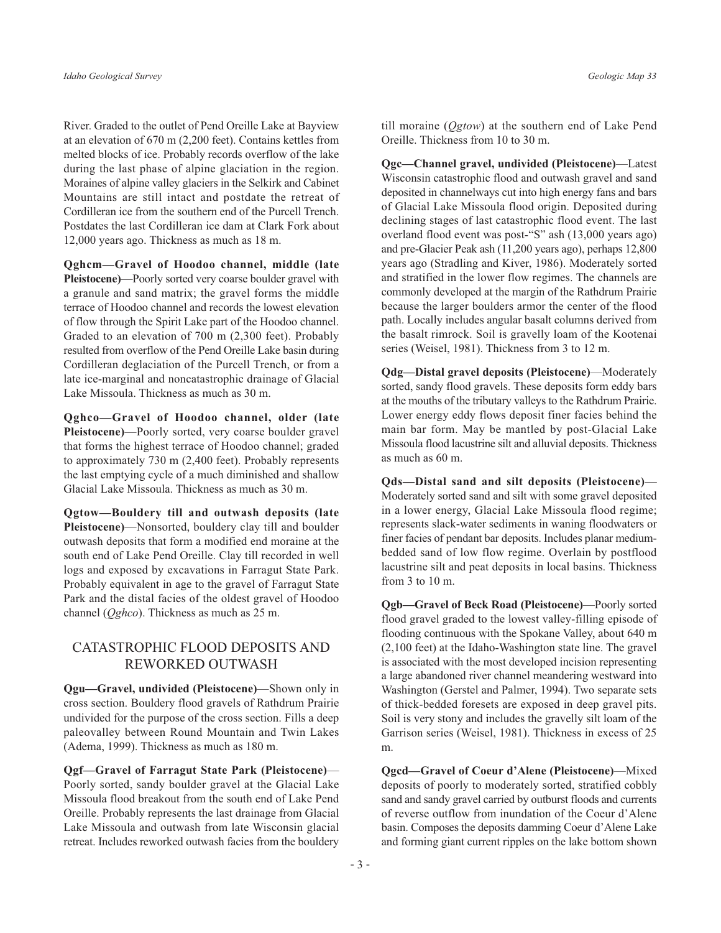River. Graded to the outlet of Pend Oreille Lake at Bayview at an elevation of  $670$  m  $(2,200$  feet). Contains kettles from melted blocks of ice. Probably records overflow of the lake during the last phase of alpine glaciation in the region. Moraines of alpine valley glaciers in the Selkirk and Cabinet Mountains are still intact and postdate the retreat of Cordilleran ice from the southern end of the Purcell Trench. Postdates the last Cordilleran ice dam at Clark Fork about 12,000 years ago. Thickness as much as 18 m.

Qghcm-Gravel of Hoodoo channel, middle (late Pleistocene)—Poorly sorted very coarse boulder gravel with a granule and sand matrix; the gravel forms the middle terrace of Hoodoo channel and records the lowest elevation of flow through the Spirit Lake part of the Hoodoo channel. Graded to an elevation of 700 m (2,300 feet). Probably resulted from overflow of the Pend Oreille Lake basin during Cordilleran deglaciation of the Purcell Trench, or from a late ice-marginal and noncatastrophic drainage of Glacial Lake Missoula. Thickness as much as 30 m.

Qghco-Gravel of Hoodoo channel, older (late **Pleistocene**)—Poorly sorted, very coarse boulder gravel that forms the highest terrace of Hoodoo channel; graded to approximately  $730$  m  $(2,400$  feet). Probably represents the last emptying cycle of a much diminished and shallow Glacial Lake Missoula. Thickness as much as 30 m.

Qgtow-Bouldery till and outwash deposits (late Pleistocene)—Nonsorted, bouldery clay till and boulder outwash deposits that form a modified end moraine at the south end of Lake Pend Oreille. Clay till recorded in well logs and exposed by excavations in Farragut State Park. Probably equivalent in age to the gravel of Farragut State Park and the distal facies of the oldest gravel of Hoodoo channel ( $Oghco$ ). Thickness as much as 25 m.

## CATASTROPHIC FLOOD DEPOSITS AND **REWORKED OUTWASH**

**Qgu—Gravel, undivided (Pleistocene)—Shown only in** cross section. Bouldery flood gravels of Rathdrum Prairie undivided for the purpose of the cross section. Fills a deep paleovalley between Round Mountain and Twin Lakes (Adema, 1999). Thickness as much as 180 m.

**Qgf-Gravel of Farragut State Park (Pleistocene)** Poorly sorted, sandy boulder gravel at the Glacial Lake Missoula flood breakout from the south end of Lake Pend Oreille. Probably represents the last drainage from Glacial Lake Missoula and outwash from late Wisconsin glacial retreat. Includes reworked outwash facies from the bouldery

till moraine ( $Qg$ *tow*) at the southern end of Lake Pend Oreille. Thickness from 10 to 30 m.

Qgc—Channel gravel, undivided (Pleistocene)—Latest Wisconsin catastrophic flood and outwash gravel and sand deposited in channelways cut into high energy fans and bars of Glacial Lake Missoula flood origin. Deposited during declining stages of last catastrophic flood event. The last overland flood event was post-"S" ash (13,000 years ago) and pre-Glacier Peak ash (11,200 years ago), perhaps 12,800 years ago (Stradling and Kiver, 1986). Moderately sorted and stratified in the lower flow regimes. The channels are commonly developed at the margin of the Rathdrum Prairie because the larger boulders armor the center of the flood path. Locally includes angular basalt columns derived from the basalt rimrock. Soil is gravelly loam of the Kootenai series (Weisel, 1981). Thickness from 3 to 12 m.

**Odg—Distal gravel deposits (Pleistocene)—Moderately** sorted, sandy flood gravels. These deposits form eddy bars at the mouths of the tributary valleys to the Rathdrum Prairie. Lower energy eddy flows deposit finer facies behind the main bar form. May be mantled by post-Glacial Lake Missoula flood lacustrine silt and alluvial deposits. Thickness as much as 60 m.

Ods-Distal sand and silt deposits (Pleistocene)-Moderately sorted sand and silt with some gravel deposited in a lower energy, Glacial Lake Missoula flood regime; represents slack-water sediments in waning floodwaters or finer facies of pendant bar deposits. Includes planar mediumbedded sand of low flow regime. Overlain by postflood lacustrine silt and peat deposits in local basins. Thickness from 3 to 10 m.

**Qgb-Gravel of Beck Road (Pleistocene)**-Poorly sorted flood gravel graded to the lowest valley-filling episode of flooding continuous with the Spokane Valley, about 640 m (2,100 feet) at the Idaho-Washington state line. The gravel is associated with the most developed incision representing a large abandoned river channel meandering westward into Washington (Gerstel and Palmer, 1994). Two separate sets of thick-bedded foresets are exposed in deep gravel pits. Soil is very stony and includes the gravelly silt loam of the Garrison series (Weisel, 1981). Thickness in excess of 25 m.

**Qgcd—Gravel of Coeur d'Alene (Pleistocene)—Mixed** deposits of poorly to moderately sorted, stratified cobbly sand and sandy gravel carried by outburst floods and currents of reverse outflow from inundation of the Coeur d'Alene basin. Composes the deposits damming Coeur d'Alene Lake and forming giant current ripples on the lake bottom shown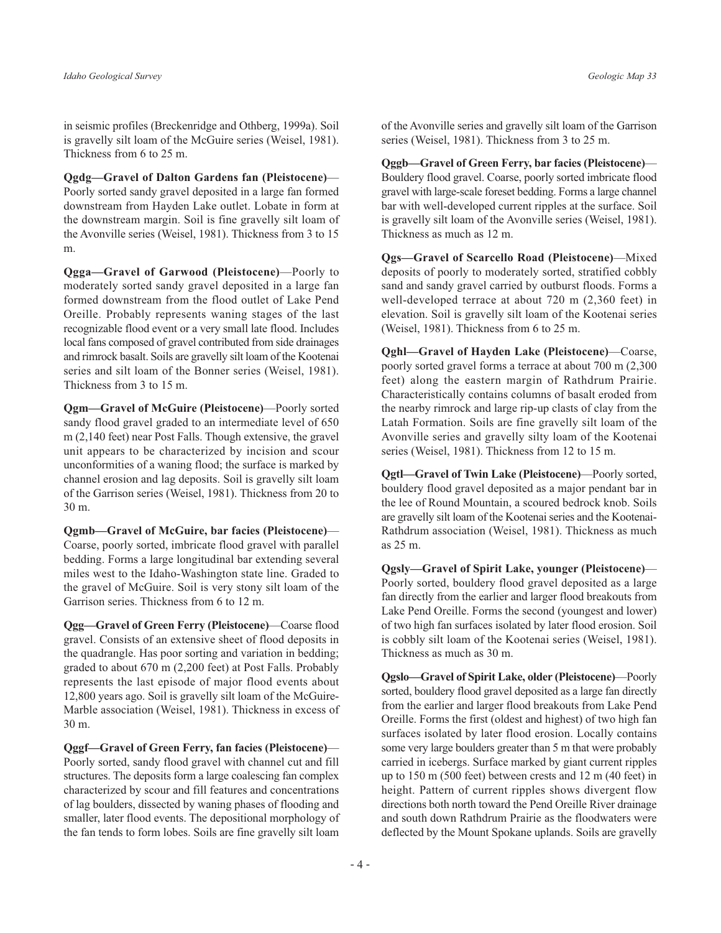in seismic profiles (Breckenridge and Othberg, 1999a). Soil is gravelly silt loam of the McGuire series (Weisel, 1981). Thickness from 6 to 25 m.

Ogdg-Gravel of Dalton Gardens fan (Pleistocene)-Poorly sorted sandy gravel deposited in a large fan formed downstream from Hayden Lake outlet. Lobate in form at the downstream margin. Soil is fine gravelly silt loam of the Avonville series (Weisel, 1981). Thickness from 3 to 15 m.

Qgga-Gravel of Garwood (Pleistocene)-Poorly to moderately sorted sandy gravel deposited in a large fan formed downstream from the flood outlet of Lake Pend Oreille. Probably represents waning stages of the last recognizable flood event or a very small late flood. Includes local fans composed of gravel contributed from side drainages and rimrock basalt. Soils are gravelly silt loam of the Kootenai series and silt loam of the Bonner series (Weisel, 1981). Thickness from 3 to 15 m.

Qgm-Gravel of McGuire (Pleistocene)-Poorly sorted sandy flood gravel graded to an intermediate level of 650  $m(2,140 \text{ feet})$  near Post Falls. Though extensive, the gravel unit appears to be characterized by incision and scour unconformities of a waning flood; the surface is marked by channel erosion and lag deposits. Soil is gravelly silt loam of the Garrison series (Weisel, 1981). Thickness from 20 to 30 m.

Qgmb-Gravel of McGuire, bar facies (Pleistocene)-Coarse, poorly sorted, imbricate flood gravel with parallel bedding. Forms a large longitudinal bar extending several miles west to the Idaho-Washington state line. Graded to the gravel of McGuire. Soil is very stony silt loam of the Garrison series. Thickness from 6 to 12 m.

**Qgg-Gravel of Green Ferry (Pleistocene)** Coarse flood gravel. Consists of an extensive sheet of flood deposits in the quadrangle. Has poor sorting and variation in bedding; graded to about 670 m (2,200 feet) at Post Falls. Probably represents the last episode of major flood events about 12,800 years ago. Soil is gravelly silt loam of the McGuire-Marble association (Weisel, 1981). Thickness in excess of 30 m.

Qggf—Gravel of Green Ferry, fan facies (Pleistocene)— Poorly sorted, sandy flood gravel with channel cut and fill structures. The deposits form a large coalescing fan complex characterized by scour and fill features and concentrations of lag boulders, dissected by waning phases of flooding and smaller, later flood events. The depositional morphology of the fan tends to form lobes. Soils are fine gravelly silt loam

of the Avonville series and gravelly silt loam of the Garrison series (Weisel, 1981). Thickness from 3 to 25 m.

Oggb-Gravel of Green Ferry, bar facies (Pleistocene)-Bouldery flood gravel. Coarse, poorly sorted imbricate flood gravel with large-scale foreset bedding. Forms a large channel bar with well-developed current ripples at the surface. Soil is gravelly silt loam of the Avonville series (Weisel, 1981). Thickness as much as 12 m.

**Qgs-Gravel of Scarcello Road (Pleistocene)**-Mixed deposits of poorly to moderately sorted, stratified cobbly sand and sandy gravel carried by outburst floods. Forms a well-developed terrace at about 720 m (2,360 feet) in elevation. Soil is gravelly silt loam of the Kootenai series (Weisel, 1981). Thickness from 6 to 25 m.

**Qghl-Gravel of Hayden Lake (Pleistocene)**-Coarse, poorly sorted gravel forms a terrace at about 700 m (2,300) feet) along the eastern margin of Rathdrum Prairie. Characteristically contains columns of basalt eroded from the nearby rimrock and large rip-up clasts of clay from the Latah Formation. Soils are fine gravelly silt loam of the Avonville series and gravelly silty loam of the Kootenai series (Weisel, 1981). Thickness from 12 to 15 m.

Ogtl—Gravel of Twin Lake (Pleistocene)—Poorly sorted, bouldery flood gravel deposited as a major pendant bar in the lee of Round Mountain, a scoured bedrock knob. Soils are gravelly silt loam of the Kootenai series and the Kootenai-Rathdrum association (Weisel, 1981). Thickness as much as 25 m.

Qgsly-Gravel of Spirit Lake, younger (Pleistocene)-Poorly sorted, bouldery flood gravel deposited as a large fan directly from the earlier and larger flood breakouts from Lake Pend Oreille. Forms the second (youngest and lower) of two high fan surfaces isolated by later flood erosion. Soil is cobbly silt loam of the Kootenai series (Weisel, 1981). Thickness as much as 30 m.

**Qgslo—Gravel of Spirit Lake, older (Pleistocene)—Poorly** sorted, bouldery flood gravel deposited as a large fan directly from the earlier and larger flood breakouts from Lake Pend Oreille. Forms the first (oldest and highest) of two high fan surfaces isolated by later flood erosion. Locally contains some very large boulders greater than 5 m that were probably carried in icebergs. Surface marked by giant current ripples up to  $150$  m (500 feet) between crests and  $12$  m (40 feet) in height. Pattern of current ripples shows divergent flow directions both north toward the Pend Oreille River drainage and south down Rathdrum Prairie as the floodwaters were deflected by the Mount Spokane uplands. Soils are gravelly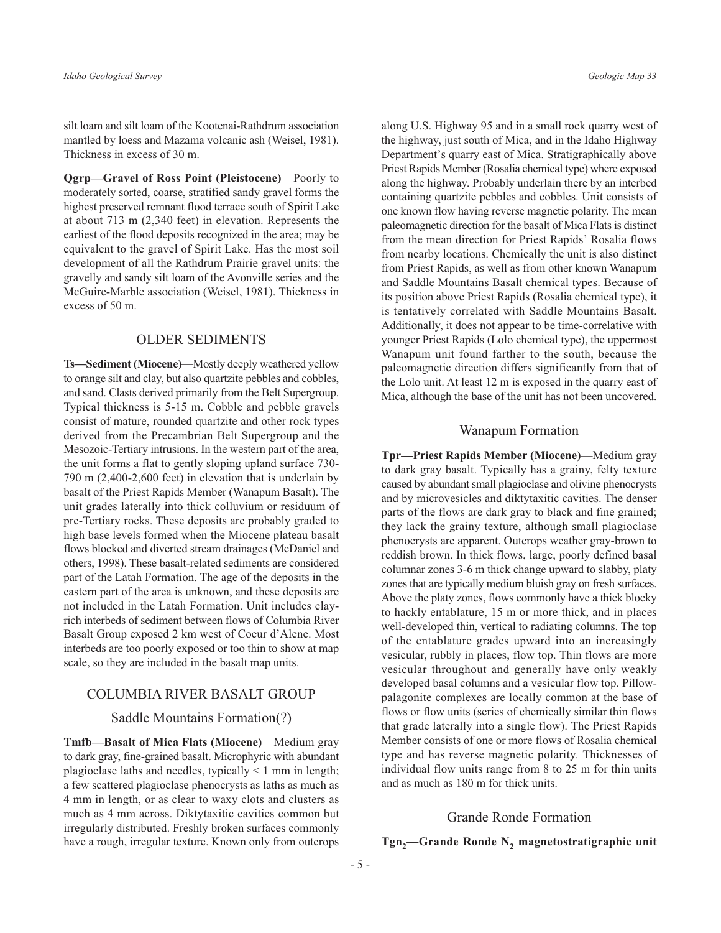silt loam and silt loam of the Kootenai-Rathdrum association mantled by loess and Mazama volcanic ash (Weisel, 1981). Thickness in excess of 30 m.

Qgrp-Gravel of Ross Point (Pleistocene)-Poorly to moderately sorted, coarse, stratified sandy gravel forms the highest preserved remnant flood terrace south of Spirit Lake at about  $713 \text{ m}$  (2,340 feet) in elevation. Represents the earliest of the flood deposits recognized in the area; may be equivalent to the gravel of Spirit Lake. Has the most soil development of all the Rathdrum Prairie gravel units: the gravelly and sandy silt loam of the Avonville series and the McGuire-Marble association (Weisel, 1981). Thickness in excess of 50 m.

#### **OLDER SEDIMENTS**

Ts-Sediment (Miocene)-Mostly deeply weathered yellow to orange silt and clay, but also quartzite pebbles and cobbles, and sand. Clasts derived primarily from the Belt Supergroup. Typical thickness is 5-15 m. Cobble and pebble gravels consist of mature, rounded quartzite and other rock types derived from the Precambrian Belt Supergroup and the Mesozoic-Tertiary intrusions. In the western part of the area, the unit forms a flat to gently sloping upland surface 730-790 m (2,400-2,600 feet) in elevation that is underlain by basalt of the Priest Rapids Member (Wanapum Basalt). The unit grades laterally into thick colluvium or residuum of pre-Tertiary rocks. These deposits are probably graded to high base levels formed when the Miocene plateau basalt flows blocked and diverted stream drainages (McDaniel and others, 1998). These basalt-related sediments are considered part of the Latah Formation. The age of the deposits in the eastern part of the area is unknown, and these deposits are not included in the Latah Formation. Unit includes clayrich interbeds of sediment between flows of Columbia River Basalt Group exposed 2 km west of Coeur d'Alene. Most interbeds are too poorly exposed or too thin to show at map scale, so they are included in the basalt map units.

#### **COLUMBIA RIVER BASALT GROUP**

#### Saddle Mountains Formation(?)

**Tmfb—Basalt of Mica Flats (Miocene)—Medium gray** to dark gray, fine-grained basalt. Microphyric with abundant plagioclase laths and needles, typically  $\leq 1$  mm in length; a few scattered plagioclase phenocrysts as laths as much as 4 mm in length, or as clear to waxy clots and clusters as much as 4 mm across. Diktytaxitic cavities common but irregularly distributed. Freshly broken surfaces commonly have a rough, irregular texture. Known only from outcrops

along U.S. Highway 95 and in a small rock quarry west of the highway, just south of Mica, and in the Idaho Highway Department's quarry east of Mica. Stratigraphically above Priest Rapids Member (Rosalia chemical type) where exposed along the highway. Probably underlain there by an interbed containing quartzite pebbles and cobbles. Unit consists of one known flow having reverse magnetic polarity. The mean paleomagnetic direction for the basalt of Mica Flats is distinct from the mean direction for Priest Rapids' Rosalia flows from nearby locations. Chemically the unit is also distinct from Priest Rapids, as well as from other known Wanapum and Saddle Mountains Basalt chemical types. Because of its position above Priest Rapids (Rosalia chemical type), it is tentatively correlated with Saddle Mountains Basalt. Additionally, it does not appear to be time-correlative with younger Priest Rapids (Lolo chemical type), the uppermost Wanapum unit found farther to the south, because the paleomagnetic direction differs significantly from that of the Lolo unit. At least 12 m is exposed in the quarry east of Mica, although the base of the unit has not been uncovered.

#### **Wanapum Formation**

**Tpr—Priest Rapids Member (Miocene)—Medium gray** to dark gray basalt. Typically has a grainy, felty texture caused by abundant small plagioclase and olivine phenocrysts and by microvesicles and diktytaxitic cavities. The denser parts of the flows are dark gray to black and fine grained; they lack the grainy texture, although small plagioclase phenocrysts are apparent. Outcrops weather gray-brown to reddish brown. In thick flows, large, poorly defined basal columnar zones 3-6 m thick change upward to slabby, platy zones that are typically medium bluish gray on fresh surfaces. Above the platy zones, flows commonly have a thick blocky to hackly entablature, 15 m or more thick, and in places well-developed thin, vertical to radiating columns. The top of the entablature grades upward into an increasingly vesicular, rubbly in places, flow top. Thin flows are more vesicular throughout and generally have only weakly developed basal columns and a vesicular flow top. Pillowpalagonite complexes are locally common at the base of flows or flow units (series of chemically similar thin flows that grade laterally into a single flow). The Priest Rapids Member consists of one or more flows of Rosalia chemical type and has reverse magnetic polarity. Thicknesses of individual flow units range from 8 to 25 m for thin units and as much as 180 m for thick units.

#### **Grande Ronde Formation**

## $Tgn_2$ —Grande Ronde N<sub>2</sub> magnetostratigraphic unit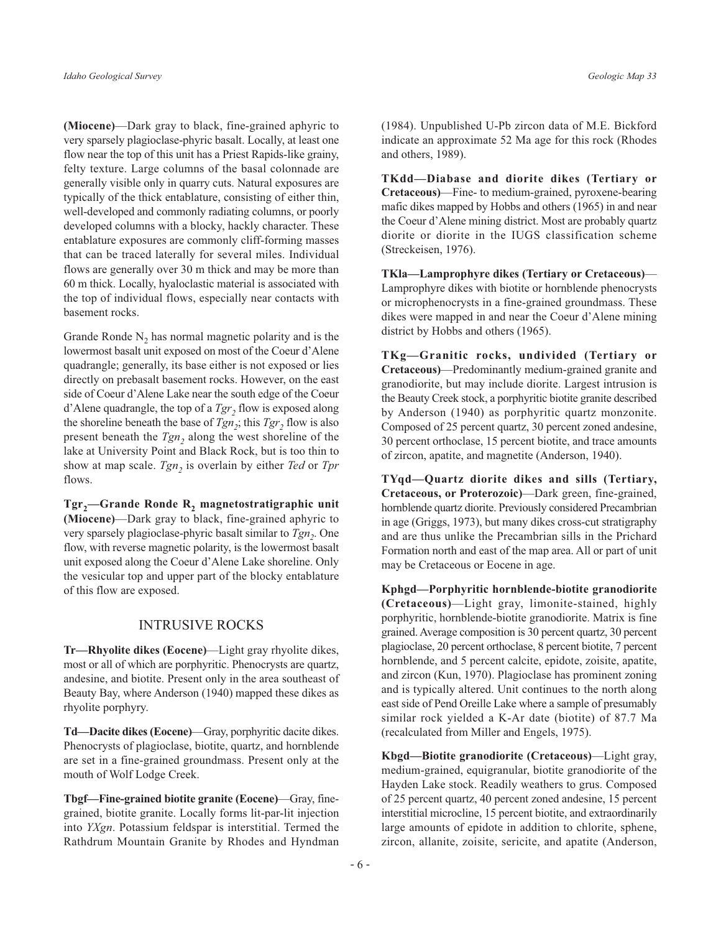(Miocene)—Dark gray to black, fine-grained aphyric to very sparsely plagioclase-phyric basalt. Locally, at least one flow near the top of this unit has a Priest Rapids-like grainy, felty texture. Large columns of the basal colonnade are generally visible only in quarry cuts. Natural exposures are typically of the thick entablature, consisting of either thin, well-developed and commonly radiating columns, or poorly developed columns with a blocky, hackly character. These entablature exposures are commonly cliff-forming masses that can be traced laterally for several miles. Individual flows are generally over 30 m thick and may be more than 60 m thick. Locally, hyaloclastic material is associated with the top of individual flows, especially near contacts with basement rocks.

Grande Ronde  $N_2$  has normal magnetic polarity and is the lowermost basalt unit exposed on most of the Coeur d'Alene quadrangle; generally, its base either is not exposed or lies directly on prebasalt basement rocks. However, on the east side of Coeur d'Alene Lake near the south edge of the Coeur d'Alene quadrangle, the top of a  $Tgr$ , flow is exposed along the shoreline beneath the base of  $Tgn_2$ ; this  $Tgr_2$  flow is also present beneath the  $Tgn_2$  along the west shoreline of the lake at University Point and Black Rock, but is too thin to show at map scale.  $Tgn_2$  is overlain by either Ted or Tpr flows.

 $Tgr_2$ —Grande Ronde R<sub>2</sub> magnetostratigraphic unit (Miocene)—Dark gray to black, fine-grained aphyric to very sparsely plagioclase-phyric basalt similar to  $Tgn_2$ . One flow, with reverse magnetic polarity, is the lowermost basalt unit exposed along the Coeur d'Alene Lake shoreline. Only the vesicular top and upper part of the blocky entablature of this flow are exposed.

#### **INTRUSIVE ROCKS**

Tr—Rhyolite dikes (Eocene)—Light gray rhyolite dikes, most or all of which are porphyritic. Phenocrysts are quartz, andesine, and biotite. Present only in the area southeast of Beauty Bay, where Anderson (1940) mapped these dikes as rhyolite porphyry.

Td-Dacite dikes (Eocene)-Gray, porphyritic dacite dikes. Phenocrysts of plagioclase, biotite, quartz, and hornblende are set in a fine-grained groundmass. Present only at the mouth of Wolf Lodge Creek.

Tbgf—Fine-grained biotite granite (Eocene)—Gray, finegrained, biotite granite. Locally forms lit-par-lit injection into YXgn. Potassium feldspar is interstitial. Termed the Rathdrum Mountain Granite by Rhodes and Hyndman (1984). Unpublished U-Pb zircon data of M.E. Bickford indicate an approximate 52 Ma age for this rock (Rhodes and others, 1989).

TKdd-Diabase and diorite dikes (Tertiary or Cretaceous)—Fine-to medium-grained, pyroxene-bearing mafic dikes mapped by Hobbs and others (1965) in and near the Coeur d'Alene mining district. Most are probably quartz diorite or diorite in the IUGS classification scheme (Streckeisen, 1976).

TKla—Lamprophyre dikes (Tertiary or Cretaceous)— Lamprophyre dikes with biotite or hornblende phenocrysts or microphenocrysts in a fine-grained groundmass. These dikes were mapped in and near the Coeur d'Alene mining district by Hobbs and others (1965).

TKg-Granitic rocks, undivided (Tertiary or Cretaceous)—Predominantly medium-grained granite and granodiorite, but may include diorite. Largest intrusion is the Beauty Creek stock, a porphyritic biotite granite described by Anderson (1940) as porphyritic quartz monzonite. Composed of 25 percent quartz, 30 percent zoned andesine, 30 percent orthoclase, 15 percent biotite, and trace amounts of zircon, apatite, and magnetite (Anderson, 1940).

TYqd-Quartz diorite dikes and sills (Tertiary, Cretaceous, or Proterozoic)—Dark green, fine-grained, hornblende quartz diorite. Previously considered Precambrian in age (Griggs, 1973), but many dikes cross-cut stratigraphy and are thus unlike the Precambrian sills in the Prichard Formation north and east of the map area. All or part of unit may be Cretaceous or Eocene in age.

Kphgd-Porphyritic hornblende-biotite granodiorite (Cretaceous)-Light gray, limonite-stained, highly porphyritic, hornblende-biotite granodiorite. Matrix is fine grained. Average composition is 30 percent quartz, 30 percent plagioclase, 20 percent orthoclase, 8 percent biotite, 7 percent hornblende, and 5 percent calcite, epidote, zoisite, apatite, and zircon (Kun, 1970). Plagioclase has prominent zoning and is typically altered. Unit continues to the north along east side of Pend Oreille Lake where a sample of presumably similar rock yielded a K-Ar date (biotite) of 87.7 Ma (recalculated from Miller and Engels, 1975).

Kbgd-Biotite granodiorite (Cretaceous)-Light gray, medium-grained, equigranular, biotite granodiorite of the Hayden Lake stock. Readily weathers to grus. Composed of 25 percent quartz, 40 percent zoned andesine, 15 percent interstitial microcline, 15 percent biotite, and extraordinarily large amounts of epidote in addition to chlorite, sphene, zircon, allanite, zoisite, sericite, and apatite (Anderson,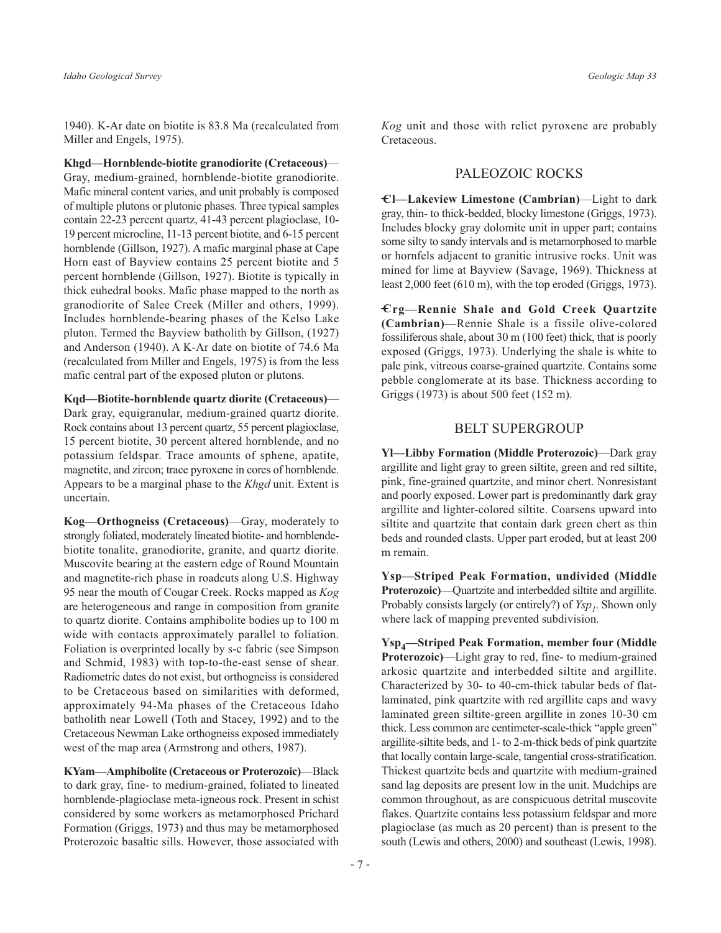1940). K-Ar date on biotite is 83.8 Ma (recalculated from Miller and Engels, 1975).

Khgd—Hornblende-biotite granodiorite (Cretaceous)— Gray, medium-grained, hornblende-biotite granodiorite. Mafic mineral content varies, and unit probably is composed of multiple plutons or plutonic phases. Three typical samples contain 22-23 percent quartz, 41-43 percent plagioclase, 10-19 percent microcline, 11-13 percent biotite, and 6-15 percent hornblende (Gillson, 1927). A mafic marginal phase at Cape Horn east of Bayview contains 25 percent biotite and 5 percent hornblende (Gillson, 1927). Biotite is typically in thick euhedral books. Mafic phase mapped to the north as granodiorite of Salee Creek (Miller and others, 1999). Includes hornblende-bearing phases of the Kelso Lake pluton. Termed the Bayview batholith by Gillson, (1927) and Anderson (1940). A K-Ar date on biotite of 74.6 Ma (recalculated from Miller and Engels, 1975) is from the less mafic central part of the exposed pluton or plutons.

Kqd-Biotite-hornblende quartz diorite (Cretaceous)-Dark gray, equigranular, medium-grained quartz diorite. Rock contains about 13 percent quartz, 55 percent plagioclase, 15 percent biotite, 30 percent altered hornblende, and no potassium feldspar. Trace amounts of sphene, apatite, magnetite, and zircon; trace pyroxene in cores of hornblende. Appears to be a marginal phase to the Khgd unit. Extent is uncertain.

Kog—Orthogneiss (Cretaceous)—Gray, moderately to strongly foliated, moderately lineated biotite- and hornblendebiotite tonalite, granodiorite, granite, and quartz diorite. Muscovite bearing at the eastern edge of Round Mountain and magnetite-rich phase in roadcuts along U.S. Highway 95 near the mouth of Cougar Creek. Rocks mapped as Kog are heterogeneous and range in composition from granite to quartz diorite. Contains amphibolite bodies up to 100 m wide with contacts approximately parallel to foliation. Foliation is overprinted locally by s-c fabric (see Simpson and Schmid, 1983) with top-to-the-east sense of shear. Radiometric dates do not exist, but orthogneiss is considered to be Cretaceous based on similarities with deformed, approximately 94-Ma phases of the Cretaceous Idaho batholith near Lowell (Toth and Stacey, 1992) and to the Cretaceous Newman Lake orthogneiss exposed immediately west of the map area (Armstrong and others, 1987).

KYam-Amphibolite (Cretaceous or Proterozoic)-Black to dark gray, fine- to medium-grained, foliated to lineated hornblende-plagioclase meta-igneous rock. Present in schist considered by some workers as metamorphosed Prichard Formation (Griggs, 1973) and thus may be metamorphosed Proterozoic basaltic sills. However, those associated with

Kog unit and those with relict pyroxene are probably Cretaceous.

#### PALEOZOIC ROCKS

 $\epsilon$ l—Lakeview Limestone (Cambrian)—Light to dark gray, thin- to thick-bedded, blocky limestone (Griggs, 1973). Includes blocky gray dolomite unit in upper part; contains some silty to sandy intervals and is metamorphosed to marble or hornfels adjacent to granitic intrusive rocks. Unit was mined for lime at Bayview (Savage, 1969). Thickness at least 2,000 feet (610 m), with the top eroded (Griggs, 1973).

€rg-Rennie Shale and Gold Creek Quartzite (Cambrian)—Rennie Shale is a fissile olive-colored fossiliferous shale, about 30 m (100 feet) thick, that is poorly exposed (Griggs, 1973). Underlying the shale is white to pale pink, vitreous coarse-grained quartzite. Contains some pebble conglomerate at its base. Thickness according to Griggs (1973) is about 500 feet (152 m).

#### **BELT SUPERGROUP**

Yl-Libby Formation (Middle Proterozoic)-Dark gray argillite and light gray to green siltite, green and red siltite, pink, fine-grained quartzite, and minor chert. Nonresistant and poorly exposed. Lower part is predominantly dark gray argillite and lighter-colored siltite. Coarsens upward into siltite and quartzite that contain dark green chert as thin beds and rounded clasts. Upper part eroded, but at least 200 m remain.

Ysp-Striped Peak Formation, undivided (Middle Proterozoic)—Quartzite and interbedded siltite and argillite. Probably consists largely (or entirely?) of  $Y_{sp}$ . Shown only where lack of mapping prevented subdivision.

Ysp<sub>4</sub>—Striped Peak Formation, member four (Middle Proterozoic)—Light gray to red, fine- to medium-grained arkosic quartzite and interbedded siltite and argillite. Characterized by 30- to 40-cm-thick tabular beds of flatlaminated, pink quartzite with red argillite caps and wavy laminated green siltite-green argillite in zones 10-30 cm thick. Less common are centimeter-scale-thick "apple green" argillite-siltite beds, and 1- to 2-m-thick beds of pink quartzite that locally contain large-scale, tangential cross-stratification. Thickest quartzite beds and quartzite with medium-grained sand lag deposits are present low in the unit. Mudchips are common throughout, as are conspicuous detrital muscovite flakes. Quartzite contains less potassium feldspar and more plagioclase (as much as 20 percent) than is present to the south (Lewis and others, 2000) and southeast (Lewis, 1998).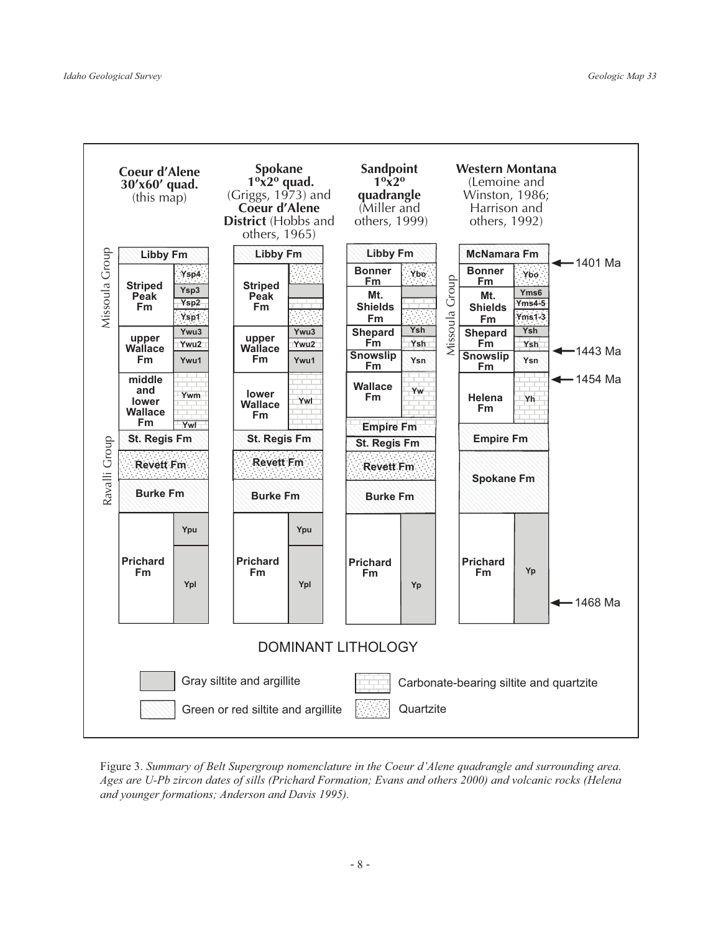

Figure 3. Summary of Belt Supergroup nomenclature in the Coeur d'Alene quadrangle and surrounding area. Ages are U-Pb zircon dates of sills (Prichard Formation; Evans and others 2000) and volcanic rocks (Helena and younger formations; Anderson and Davis 1995).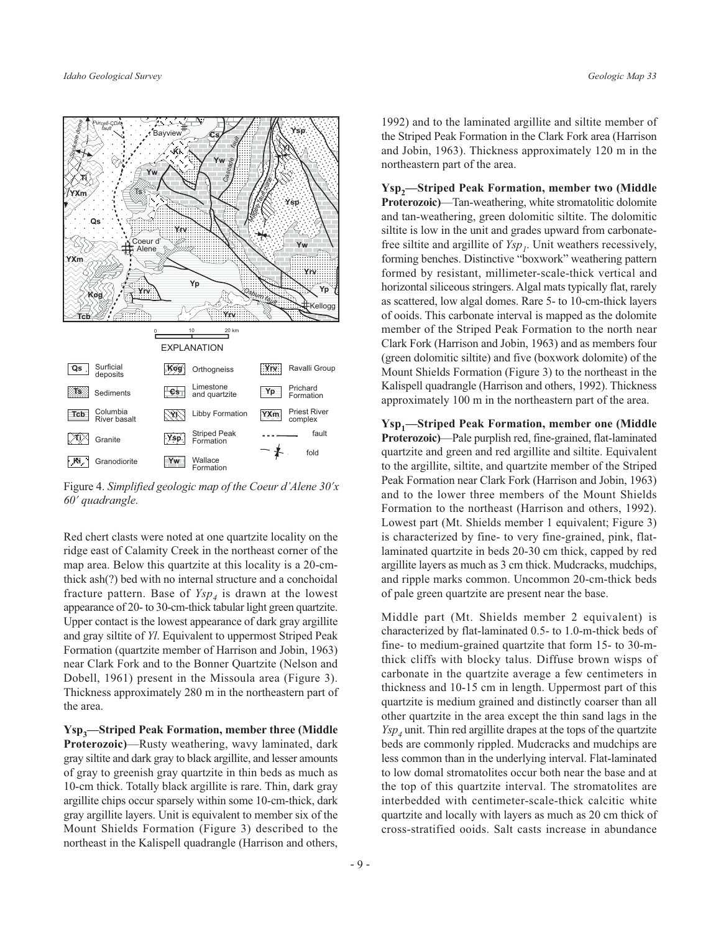

Figure 4. Simplified geologic map of the Coeur d'Alene 30'x 60' quadrangle.

Red chert clasts were noted at one quartzite locality on the ridge east of Calamity Creek in the northeast corner of the map area. Below this quartzite at this locality is a 20-cmthick ash(?) bed with no internal structure and a conchoidal fracture pattern. Base of  $Y_{s}p_{4}$  is drawn at the lowest appearance of 20- to 30-cm-thick tabular light green quartzite. Upper contact is the lowest appearance of dark gray argillite and gray siltite of Yl. Equivalent to uppermost Striped Peak Formation (quartzite member of Harrison and Jobin, 1963) near Clark Fork and to the Bonner Quartzite (Nelson and Dobell, 1961) present in the Missoula area (Figure 3). Thickness approximately 280 m in the northeastern part of the area.

Ysp<sub>3</sub>—Striped Peak Formation, member three (Middle Proterozoic)-Rusty weathering, wavy laminated, dark gray siltite and dark gray to black argillite, and lesser amounts of gray to greenish gray quartzite in thin beds as much as 10-cm thick. Totally black argillite is rare. Thin, dark gray argillite chips occur sparsely within some 10-cm-thick, dark gray argillite layers. Unit is equivalent to member six of the Mount Shields Formation (Figure 3) described to the northeast in the Kalispell quadrangle (Harrison and others,

1992) and to the laminated argillite and siltite member of the Striped Peak Formation in the Clark Fork area (Harrison and Jobin, 1963). Thickness approximately 120 m in the northeastern part of the area.

Ysp<sub>2</sub>-Striped Peak Formation, member two (Middle **Proterozoic**)—Tan-weathering, white stromatolitic dolomite and tan-weathering, green dolomitic siltite. The dolomitic siltite is low in the unit and grades upward from carbonatefree siltite and argillite of  $Y_{sp}$ . Unit weathers recessively, forming benches. Distinctive "boxwork" weathering pattern formed by resistant, millimeter-scale-thick vertical and horizontal siliceous stringers. Algal mats typically flat, rarely as scattered, low algal domes. Rare 5- to 10-cm-thick layers of ooids. This carbonate interval is mapped as the dolomite member of the Striped Peak Formation to the north near Clark Fork (Harrison and Jobin, 1963) and as members four (green dolomitic siltite) and five (boxwork dolomite) of the Mount Shields Formation (Figure 3) to the northeast in the Kalispell quadrangle (Harrison and others, 1992). Thickness approximately 100 m in the northeastern part of the area.

Ysp<sub>1</sub>-Striped Peak Formation, member one (Middle **Proterozoic**)—Pale purplish red, fine-grained, flat-laminated quartzite and green and red argillite and siltite. Equivalent to the argillite, siltite, and quartzite member of the Striped Peak Formation near Clark Fork (Harrison and Jobin, 1963) and to the lower three members of the Mount Shields Formation to the northeast (Harrison and others, 1992). Lowest part (Mt. Shields member 1 equivalent; Figure 3) is characterized by fine- to very fine-grained, pink, flatlaminated quartzite in beds 20-30 cm thick, capped by red argillite layers as much as 3 cm thick. Muderacks, mudchips, and ripple marks common. Uncommon 20-cm-thick beds of pale green quartzite are present near the base.

Middle part (Mt. Shields member 2 equivalent) is characterized by flat-laminated 0.5- to 1.0-m-thick beds of fine- to medium-grained quartzite that form 15- to 30-mthick cliffs with blocky talus. Diffuse brown wisps of carbonate in the quartzite average a few centimeters in thickness and 10-15 cm in length. Uppermost part of this quartzite is medium grained and distinctly coarser than all other quartzite in the area except the thin sand lags in the  $Y_{5p_4}$  unit. Thin red argillite drapes at the tops of the quartzite beds are commonly rippled. Mudcracks and mudchips are less common than in the underlying interval. Flat-laminated to low domal stromatolites occur both near the base and at the top of this quartzite interval. The stromatolites are interbedded with centimeter-scale-thick calcitic white quartzite and locally with layers as much as 20 cm thick of cross-stratified ooids. Salt casts increase in abundance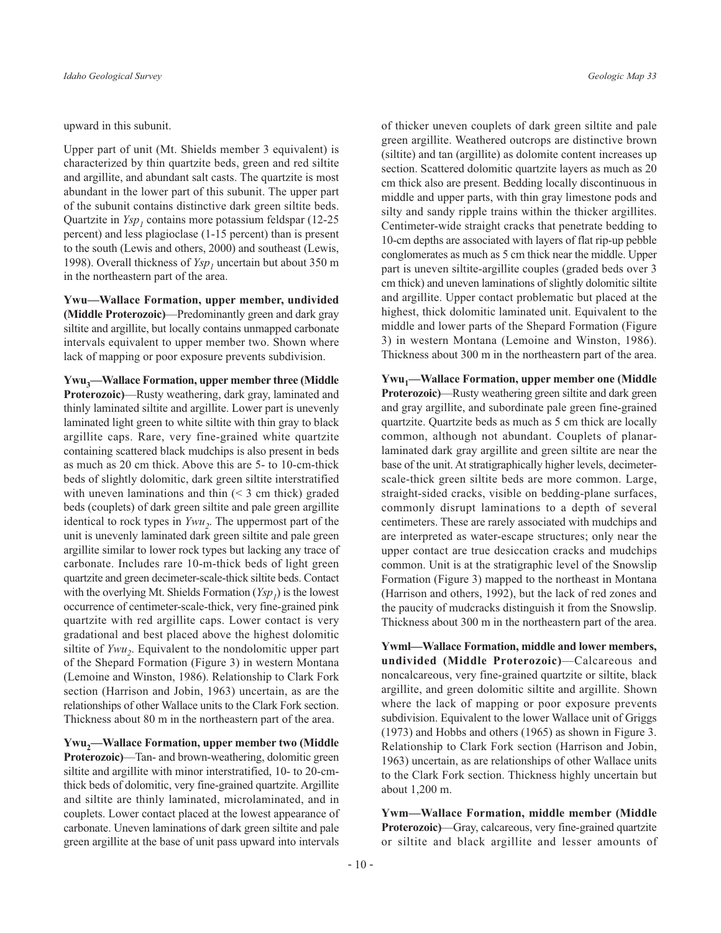upward in this subunit.

Upper part of unit (Mt. Shields member 3 equivalent) is characterized by thin quartzite beds, green and red siltite and argillite, and abundant salt casts. The quartzite is most abundant in the lower part of this subunit. The upper part of the subunit contains distinctive dark green siltite beds. Quartzite in  $Y_{sp}$ , contains more potassium feldspar (12-25) percent) and less plagioclase (1-15 percent) than is present to the south (Lewis and others, 2000) and southeast (Lewis, 1998). Overall thickness of *Ysp*, uncertain but about 350 m in the northeastern part of the area.

Ywu—Wallace Formation, upper member, undivided (Middle Proterozoic)—Predominantly green and dark gray siltite and argillite, but locally contains unmapped carbonate intervals equivalent to upper member two. Shown where lack of mapping or poor exposure prevents subdivision.

Ywu<sub>3</sub>—Wallace Formation, upper member three (Middle Proterozoic)—Rusty weathering, dark gray, laminated and thinly laminated siltite and argillite. Lower part is unevenly laminated light green to white siltite with thin gray to black argillite caps. Rare, very fine-grained white quartzite containing scattered black mudchips is also present in beds as much as 20 cm thick. Above this are 5- to 10-cm-thick beds of slightly dolomitic, dark green siltite interstratified with uneven laminations and thin  $(< 3$  cm thick) graded beds (couplets) of dark green siltite and pale green argillite identical to rock types in  $Ywu_2$ . The uppermost part of the unit is unevenly laminated dark green siltite and pale green argillite similar to lower rock types but lacking any trace of carbonate. Includes rare 10-m-thick beds of light green quartzite and green decimeter-scale-thick siltite beds. Contact with the overlying Mt. Shields Formation  $(Ysp_1)$  is the lowest occurrence of centimeter-scale-thick, very fine-grained pink quartzite with red argillite caps. Lower contact is very gradational and best placed above the highest dolomitic siltite of  $Ywu_2$ . Equivalent to the nondolomitic upper part of the Shepard Formation (Figure 3) in western Montana (Lemoine and Winston, 1986). Relationship to Clark Fork section (Harrison and Jobin, 1963) uncertain, as are the relationships of other Wallace units to the Clark Fork section. Thickness about 80 m in the northeastern part of the area.

Ywu,—Wallace Formation, upper member two (Middle Proterozoic)—Tan- and brown-weathering, dolomitic green siltite and argillite with minor interstratified, 10- to 20-cmthick beds of dolomitic, very fine-grained quartzite. Argillite and siltite are thinly laminated, microlaminated, and in couplets. Lower contact placed at the lowest appearance of carbonate. Uneven laminations of dark green siltite and pale green argillite at the base of unit pass upward into intervals

of thicker uneven couplets of dark green siltite and pale green argillite. Weathered outcrops are distinctive brown (siltite) and tan (argillite) as dolomite content increases up section. Scattered dolomitic quartzite layers as much as 20 em thick also are present. Bedding locally discontinuous in middle and upper parts, with thin gray limestone pods and silty and sandy ripple trains within the thicker argillites. Centimeter-wide straight cracks that penetrate bedding to 10-cm depths are associated with layers of flat rip-up pebble conglomerates as much as 5 cm thick near the middle. Upper part is uneven siltite-argillite couples (graded beds over 3) cm thick) and uneven laminations of slightly dolomitic siltite and argillite. Upper contact problematic but placed at the highest, thick dolomitic laminated unit. Equivalent to the middle and lower parts of the Shepard Formation (Figure 3) in western Montana (Lemoine and Winston, 1986). Thickness about 300 m in the northeastern part of the area.

Ywu<sub>1</sub>—Wallace Formation, upper member one (Middle **Proterozoic**)—Rusty weathering green siltite and dark green and gray argillite, and subordinate pale green fine-grained quartzite. Quartzite beds as much as 5 cm thick are locally common, although not abundant. Couplets of planarlaminated dark gray argillite and green siltite are near the base of the unit. At stratigraphically higher levels, decimeterscale-thick green siltite beds are more common. Large, straight-sided cracks, visible on bedding-plane surfaces, commonly disrupt laminations to a depth of several centimeters. These are rarely associated with mudchips and are interpreted as water-escape structures; only near the upper contact are true desiccation cracks and mudchips common. Unit is at the stratigraphic level of the Snowslip Formation (Figure 3) mapped to the northeast in Montana (Harrison and others, 1992), but the lack of red zones and the paucity of mudcracks distinguish it from the Snowslip. Thickness about 300 m in the northeastern part of the area.

Ywml-Wallace Formation, middle and lower members, undivided (Middle Proterozoic)-Calcareous and noncalcareous, very fine-grained quartzite or siltite, black argillite, and green dolomitic siltite and argillite. Shown where the lack of mapping or poor exposure prevents subdivision. Equivalent to the lower Wallace unit of Griggs (1973) and Hobbs and others (1965) as shown in Figure 3. Relationship to Clark Fork section (Harrison and Jobin, 1963) uncertain, as are relationships of other Wallace units to the Clark Fork section. Thickness highly uncertain but about 1,200 m.

Ywm-Wallace Formation, middle member (Middle **Proterozoic)**—Gray, calcareous, very fine-grained quartzite or siltite and black argillite and lesser amounts of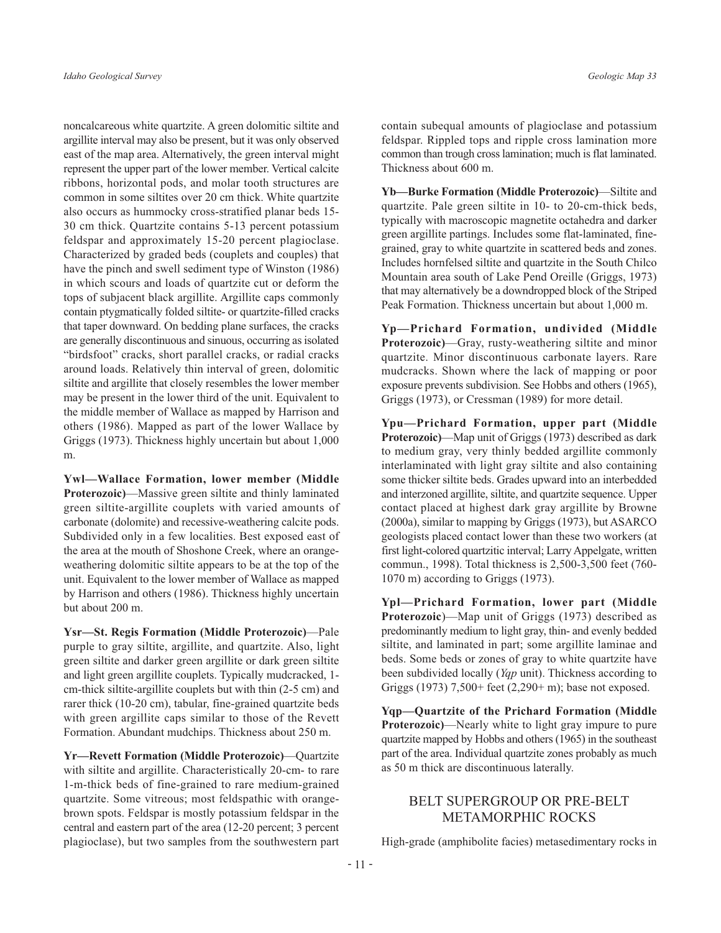noncalcareous white quartzite. A green dolomitic siltite and argillite interval may also be present, but it was only observed east of the map area. Alternatively, the green interval might represent the upper part of the lower member. Vertical calcite ribbons, horizontal pods, and molar tooth structures are common in some siltites over 20 cm thick. White quartzite also occurs as hummocky cross-stratified planar beds 15-30 cm thick. Quartzite contains 5-13 percent potassium feldspar and approximately 15-20 percent plagioclase. Characterized by graded beds (couplets and couples) that have the pinch and swell sediment type of Winston (1986) in which scours and loads of quartzite cut or deform the tops of subjacent black argillite. Argillite caps commonly contain ptygmatically folded siltite- or quartzite-filled cracks that taper downward. On bedding plane surfaces, the cracks are generally discontinuous and sinuous, occurring as isolated "birdsfoot" cracks, short parallel cracks, or radial cracks around loads. Relatively thin interval of green, dolomitic siltite and argillite that closely resembles the lower member may be present in the lower third of the unit. Equivalent to the middle member of Wallace as mapped by Harrison and others (1986). Mapped as part of the lower Wallace by Griggs (1973). Thickness highly uncertain but about 1,000 m.

Ywl-Wallace Formation, lower member (Middle **Proterozoic**)—Massive green siltite and thinly laminated green siltite-argillite couplets with varied amounts of carbonate (dolomite) and recessive-weathering calcite pods. Subdivided only in a few localities. Best exposed east of the area at the mouth of Shoshone Creek, where an orangeweathering dolomitic siltite appears to be at the top of the unit. Equivalent to the lower member of Wallace as mapped by Harrison and others (1986). Thickness highly uncertain but about 200 m.

Ysr-St. Regis Formation (Middle Proterozoic)-Pale purple to gray siltite, argillite, and quartzite. Also, light green siltite and darker green argillite or dark green siltite and light green argillite couplets. Typically mudcracked, 1cm-thick siltite-argillite couplets but with thin (2-5 cm) and rarer thick (10-20 cm), tabular, fine-grained quartzite beds with green argillite caps similar to those of the Revett Formation. Abundant mudchips. Thickness about 250 m.

Yr-Revett Formation (Middle Proterozoic)-Quartzite with siltite and argillite. Characteristically 20-cm- to rare 1-m-thick beds of fine-grained to rare medium-grained quartzite. Some vitreous; most feldspathic with orangebrown spots. Feldspar is mostly potassium feldspar in the central and eastern part of the area (12-20 percent; 3 percent plagioclase), but two samples from the southwestern part

contain subequal amounts of plagioclase and potassium feldspar. Rippled tops and ripple cross lamination more common than trough cross lamination; much is flat laminated. Thickness about 600 m.

Yb-Burke Formation (Middle Proterozoic)-Siltite and quartzite. Pale green siltite in 10- to 20-cm-thick beds, typically with macroscopic magnetite octahedra and darker green argillite partings. Includes some flat-laminated, finegrained, gray to white quartzite in scattered beds and zones. Includes hornfelsed siltite and quartzite in the South Chilco Mountain area south of Lake Pend Oreille (Griggs, 1973) that may alternatively be a downdropped block of the Striped Peak Formation. Thickness uncertain but about 1,000 m.

Yp-Prichard Formation, undivided (Middle Proterozoic)—Gray, rusty-weathering siltite and minor quartzite. Minor discontinuous carbonate layers. Rare muderacks. Shown where the lack of mapping or poor exposure prevents subdivision. See Hobbs and others (1965), Griggs (1973), or Cressman (1989) for more detail.

Ypu-Prichard Formation, upper part (Middle **Proterozoic**)—Map unit of Griggs (1973) described as dark to medium gray, very thinly bedded argillite commonly interlaminated with light gray siltite and also containing some thicker siltite beds. Grades upward into an interbedded and interzoned argillite, siltite, and quartzite sequence. Upper contact placed at highest dark gray argillite by Browne (2000a), similar to mapping by Griggs (1973), but ASARCO geologists placed contact lower than these two workers (at first light-colored quartzitic interval; Larry Appelgate, written commun., 1998). Total thickness is 2,500-3,500 feet (760-1070 m) according to Griggs (1973).

Ypl-Prichard Formation, lower part (Middle Proterozoic)—Map unit of Griggs (1973) described as predominantly medium to light gray, thin- and evenly bedded siltite, and laminated in part; some argillite laminae and beds. Some beds or zones of gray to white quartzite have been subdivided locally (*Yqp* unit). Thickness according to Griggs (1973) 7,500+ feet (2,290+ m); base not exposed.

Yqp-Quartzite of the Prichard Formation (Middle Proterozoic)—Nearly white to light gray impure to pure quartzite mapped by Hobbs and others (1965) in the southeast part of the area. Individual quartzite zones probably as much as 50 m thick are discontinuous laterally.

## BELT SUPERGROUP OR PRE-BELT **METAMORPHIC ROCKS**

High-grade (amphibolite facies) metasedimentary rocks in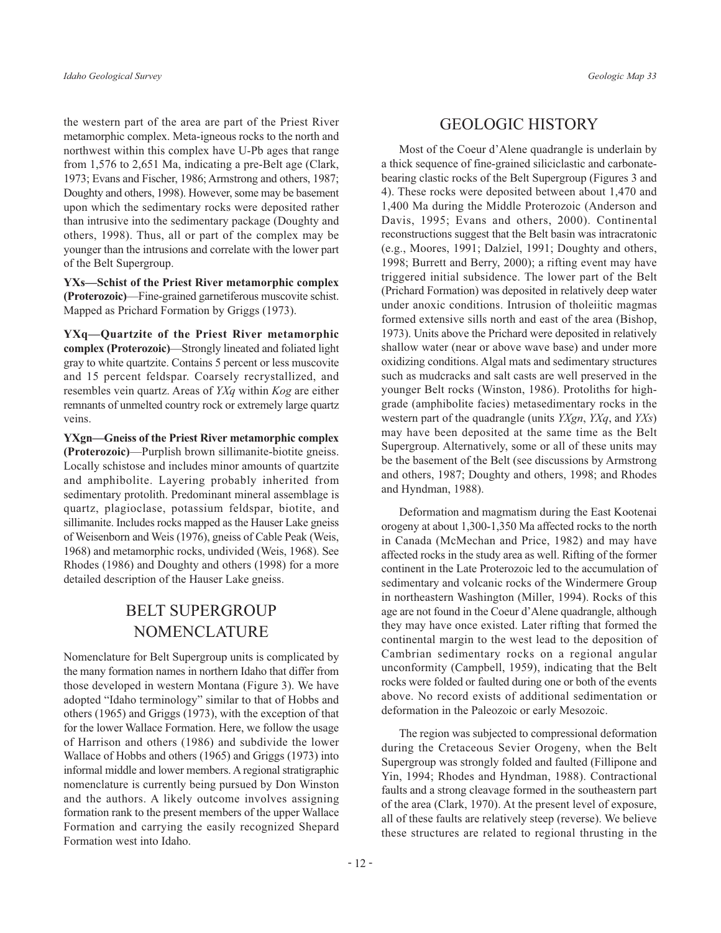the western part of the area are part of the Priest River metamorphic complex. Meta-igneous rocks to the north and northwest within this complex have U-Pb ages that range from 1,576 to 2,651 Ma, indicating a pre-Belt age (Clark, 1973; Evans and Fischer, 1986; Armstrong and others, 1987; Doughty and others, 1998). However, some may be basement upon which the sedimentary rocks were deposited rather than intrusive into the sedimentary package (Doughty and others, 1998). Thus, all or part of the complex may be younger than the intrusions and correlate with the lower part of the Belt Supergroup.

YXs—Schist of the Priest River metamorphic complex (Proterozoic)-Fine-grained garnetiferous muscovite schist. Mapped as Prichard Formation by Griggs (1973).

YXq—Quartzite of the Priest River metamorphic complex (Proterozoic)-Strongly lineated and foliated light gray to white quartzite. Contains 5 percent or less muscovite and 15 percent feldspar. Coarsely recrystallized, and resembles vein quartz. Areas of YXq within Kog are either remnants of unmelted country rock or extremely large quartz veins.

YXgn—Gneiss of the Priest River metamorphic complex (Proterozoic)—Purplish brown sillimanite-biotite gneiss. Locally schistose and includes minor amounts of quartzite and amphibolite. Layering probably inherited from sedimentary protolith. Predominant mineral assemblage is quartz, plagioclase, potassium feldspar, biotite, and sillimanite. Includes rocks mapped as the Hauser Lake gneiss of Weisenborn and Weis (1976), gneiss of Cable Peak (Weis, 1968) and metamorphic rocks, undivided (Weis, 1968). See Rhodes (1986) and Doughty and others (1998) for a more detailed description of the Hauser Lake gneiss.

## **BELT SUPERGROUP NOMENCLATURE**

Nomenclature for Belt Supergroup units is complicated by the many formation names in northern Idaho that differ from those developed in western Montana (Figure 3). We have adopted "Idaho terminology" similar to that of Hobbs and others (1965) and Griggs (1973), with the exception of that for the lower Wallace Formation. Here, we follow the usage of Harrison and others (1986) and subdivide the lower Wallace of Hobbs and others (1965) and Griggs (1973) into informal middle and lower members. A regional stratigraphic nomenclature is currently being pursued by Don Winston and the authors. A likely outcome involves assigning formation rank to the present members of the upper Wallace Formation and carrying the easily recognized Shepard Formation west into Idaho.

Most of the Coeur d'Alene quadrangle is underlain by a thick sequence of fine-grained siliciclastic and carbonatebearing clastic rocks of the Belt Supergroup (Figures 3 and 4). These rocks were deposited between about 1,470 and 1,400 Ma during the Middle Proterozoic (Anderson and Davis, 1995; Evans and others, 2000). Continental reconstructions suggest that the Belt basin was intracratonic (e.g., Moores, 1991; Dalziel, 1991; Doughty and others, 1998; Burrett and Berry, 2000); a rifting event may have triggered initial subsidence. The lower part of the Belt (Prichard Formation) was deposited in relatively deep water under anoxic conditions. Intrusion of tholeiitic magmas formed extensive sills north and east of the area (Bishop, 1973). Units above the Prichard were deposited in relatively shallow water (near or above wave base) and under more oxidizing conditions. Algal mats and sedimentary structures such as mudcracks and salt casts are well preserved in the younger Belt rocks (Winston, 1986). Protoliths for highgrade (amphibolite facies) metasedimentary rocks in the western part of the quadrangle (units  $YXgn$ ,  $YXq$ , and  $YXs$ ) may have been deposited at the same time as the Belt Supergroup. Alternatively, some or all of these units may be the basement of the Belt (see discussions by Armstrong and others, 1987; Doughty and others, 1998; and Rhodes and Hyndman, 1988).

Deformation and magmatism during the East Kootenai orogeny at about 1,300-1,350 Ma affected rocks to the north in Canada (McMechan and Price, 1982) and may have affected rocks in the study area as well. Rifting of the former continent in the Late Proterozoic led to the accumulation of sedimentary and volcanic rocks of the Windermere Group in northeastern Washington (Miller, 1994). Rocks of this age are not found in the Coeur d'Alene quadrangle, although they may have once existed. Later rifting that formed the continental margin to the west lead to the deposition of Cambrian sedimentary rocks on a regional angular unconformity (Campbell, 1959), indicating that the Belt rocks were folded or faulted during one or both of the events above. No record exists of additional sedimentation or deformation in the Paleozoic or early Mesozoic.

The region was subjected to compressional deformation during the Cretaceous Sevier Orogeny, when the Belt Supergroup was strongly folded and faulted (Fillipone and Yin, 1994; Rhodes and Hyndman, 1988). Contractional faults and a strong cleavage formed in the southeastern part of the area (Clark, 1970). At the present level of exposure, all of these faults are relatively steep (reverse). We believe these structures are related to regional thrusting in the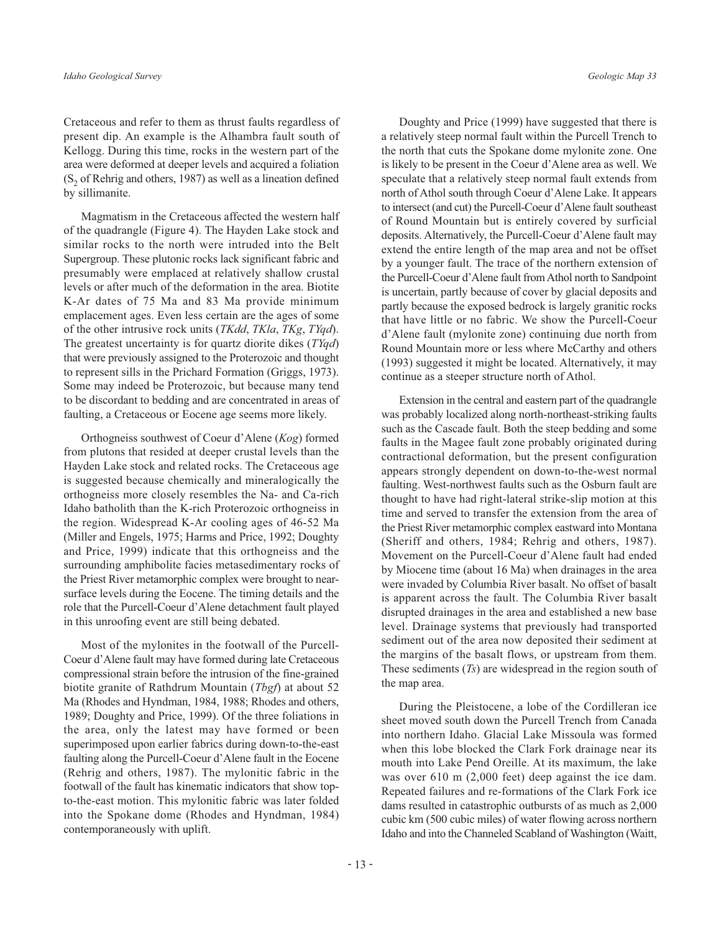by sillimanite.

Cretaceous and refer to them as thrust faults regardless of present dip. An example is the Alhambra fault south of Kellogg. During this time, rocks in the western part of the area were deformed at deeper levels and acquired a foliation  $(S_2 \text{ of Rehrig and others}, 1987)$  as well as a lineation defined

Magmatism in the Cretaceous affected the western half of the quadrangle (Figure 4). The Hayden Lake stock and similar rocks to the north were intruded into the Belt Supergroup. These plutonic rocks lack significant fabric and presumably were emplaced at relatively shallow crustal levels or after much of the deformation in the area. Biotite K-Ar dates of 75 Ma and 83 Ma provide minimum emplacement ages. Even less certain are the ages of some of the other intrusive rock units (TKdd, TKla, TKg, TYqd). The greatest uncertainty is for quartz diorite dikes  $(TYqd)$ that were previously assigned to the Proterozoic and thought to represent sills in the Prichard Formation (Griggs, 1973). Some may indeed be Proterozoic, but because many tend to be discordant to bedding and are concentrated in areas of faulting, a Cretaceous or Eocene age seems more likely.

Orthogneiss southwest of Coeur d'Alene (Kog) formed from plutons that resided at deeper crustal levels than the Hayden Lake stock and related rocks. The Cretaceous age is suggested because chemically and mineralogically the orthogneiss more closely resembles the Na- and Ca-rich Idaho batholith than the K-rich Proterozoic orthogneiss in the region. Widespread K-Ar cooling ages of 46-52 Ma (Miller and Engels, 1975; Harms and Price, 1992; Doughty and Price, 1999) indicate that this orthogneiss and the surrounding amphibolite facies metasedimentary rocks of the Priest River metamorphic complex were brought to nearsurface levels during the Eocene. The timing details and the role that the Purcell-Coeur d'Alene detachment fault played in this unroofing event are still being debated.

Most of the mylonites in the footwall of the Purcell-Coeur d'Alene fault may have formed during late Cretaceous compressional strain before the intrusion of the fine-grained biotite granite of Rathdrum Mountain (Tbgf) at about 52 Ma (Rhodes and Hyndman, 1984, 1988; Rhodes and others, 1989; Doughty and Price, 1999). Of the three foliations in the area, only the latest may have formed or been superimposed upon earlier fabrics during down-to-the-east faulting along the Purcell-Coeur d'Alene fault in the Eocene (Rehrig and others, 1987). The mylonitic fabric in the footwall of the fault has kinematic indicators that show topto-the-east motion. This mylonitic fabric was later folded into the Spokane dome (Rhodes and Hyndman, 1984) contemporaneously with uplift.

Doughty and Price (1999) have suggested that there is a relatively steep normal fault within the Purcell Trench to the north that cuts the Spokane dome mylonite zone. One is likely to be present in the Coeur d'Alene area as well. We speculate that a relatively steep normal fault extends from north of Athol south through Coeur d'Alene Lake. It appears to intersect (and cut) the Purcell-Coeur d'Alene fault southeast of Round Mountain but is entirely covered by surficial deposits. Alternatively, the Purcell-Coeur d'Alene fault may extend the entire length of the map area and not be offset by a younger fault. The trace of the northern extension of the Purcell-Coeur d'Alene fault from Athol north to Sandpoint is uncertain, partly because of cover by glacial deposits and partly because the exposed bedrock is largely granitic rocks that have little or no fabric. We show the Purcell-Coeur d'Alene fault (mylonite zone) continuing due north from Round Mountain more or less where McCarthy and others (1993) suggested it might be located. Alternatively, it may continue as a steeper structure north of Athol.

Extension in the central and eastern part of the quadrangle was probably localized along north-northeast-striking faults such as the Cascade fault. Both the steep bedding and some faults in the Magee fault zone probably originated during contractional deformation, but the present configuration appears strongly dependent on down-to-the-west normal faulting. West-northwest faults such as the Osburn fault are thought to have had right-lateral strike-slip motion at this time and served to transfer the extension from the area of the Priest River metamorphic complex eastward into Montana (Sheriff and others, 1984; Rehrig and others, 1987). Movement on the Purcell-Coeur d'Alene fault had ended by Miocene time (about 16 Ma) when drainages in the area were invaded by Columbia River basalt. No offset of basalt is apparent across the fault. The Columbia River basalt disrupted drainages in the area and established a new base level. Drainage systems that previously had transported sediment out of the area now deposited their sediment at the margins of the basalt flows, or upstream from them. These sediments  $(T_s)$  are widespread in the region south of the map area.

During the Pleistocene, a lobe of the Cordilleran ice sheet moved south down the Purcell Trench from Canada into northern Idaho. Glacial Lake Missoula was formed when this lobe blocked the Clark Fork drainage near its mouth into Lake Pend Oreille. At its maximum, the lake was over  $610 \text{ m}$  (2,000 feet) deep against the ice dam. Repeated failures and re-formations of the Clark Fork ice dams resulted in catastrophic outbursts of as much as 2,000 cubic km (500 cubic miles) of water flowing across northern Idaho and into the Channeled Scabland of Washington (Waitt,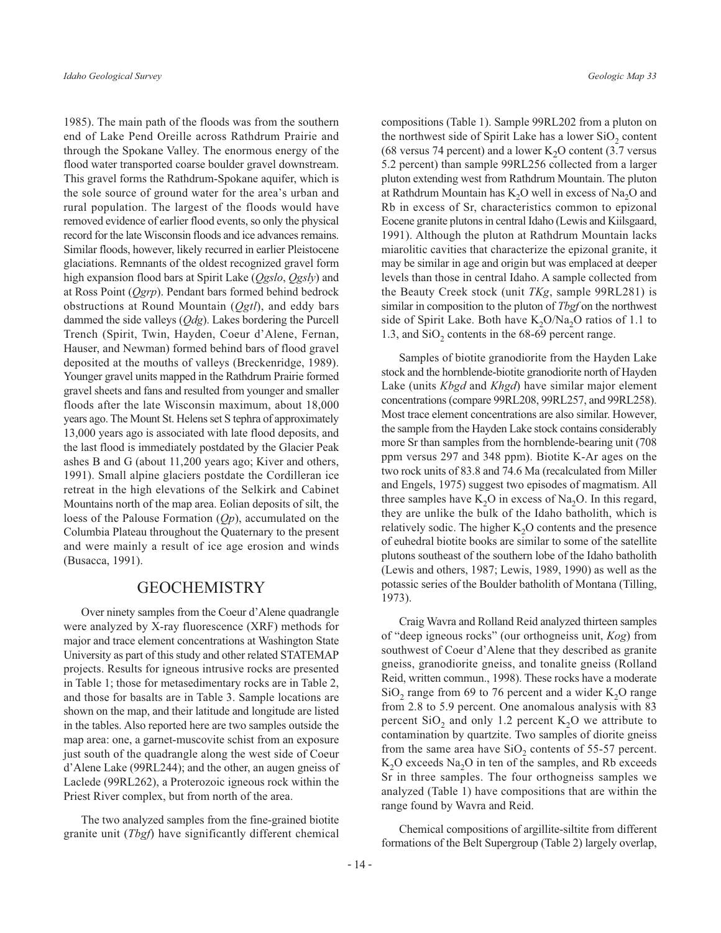1985). The main path of the floods was from the southern end of Lake Pend Oreille across Rathdrum Prairie and through the Spokane Valley. The enormous energy of the flood water transported coarse boulder gravel downstream. This gravel forms the Rathdrum-Spokane aquifer, which is the sole source of ground water for the area's urban and rural population. The largest of the floods would have removed evidence of earlier flood events, so only the physical record for the late Wisconsin floods and ice advances remains. Similar floods, however, likely recurred in earlier Pleistocene glaciations. Remnants of the oldest recognized gravel form high expansion flood bars at Spirit Lake (Qgslo, Qgsly) and at Ross Point  $(Qgrp)$ . Pendant bars formed behind bedrock obstructions at Round Mountain (Qgtl), and eddy bars dammed the side valleys  $(Qdg)$ . Lakes bordering the Purcell Trench (Spirit, Twin, Hayden, Coeur d'Alene, Fernan, Hauser, and Newman) formed behind bars of flood gravel deposited at the mouths of valleys (Breckenridge, 1989). Younger gravel units mapped in the Rathdrum Prairie formed gravel sheets and fans and resulted from younger and smaller floods after the late Wisconsin maximum, about 18,000 years ago. The Mount St. Helens set S tephra of approximately 13,000 years ago is associated with late flood deposits, and the last flood is immediately postdated by the Glacier Peak ashes B and G (about 11,200 years ago; Kiver and others, 1991). Small alpine glaciers postdate the Cordilleran ice retreat in the high elevations of the Selkirk and Cabinet Mountains north of the map area. Eolian deposits of silt, the loess of the Palouse Formation  $(Qp)$ , accumulated on the Columbia Plateau throughout the Quaternary to the present and were mainly a result of ice age erosion and winds (Busacca, 1991).

#### **GEOCHEMISTRY**

Over ninety samples from the Coeur d'Alene quadrangle were analyzed by X-ray fluorescence (XRF) methods for major and trace element concentrations at Washington State University as part of this study and other related STATEMAP projects. Results for igneous intrusive rocks are presented in Table 1; those for metasedimentary rocks are in Table 2, and those for basalts are in Table 3. Sample locations are shown on the map, and their latitude and longitude are listed in the tables. Also reported here are two samples outside the map area: one, a garnet-muscovite schist from an exposure just south of the quadrangle along the west side of Coeur d'Alene Lake (99RL244); and the other, an augen gneiss of Laclede (99RL262), a Proterozoic igneous rock within the Priest River complex, but from north of the area.

The two analyzed samples from the fine-grained biotite granite unit (Tbgf) have significantly different chemical compositions (Table 1). Sample 99RL202 from a pluton on the northwest side of Spirit Lake has a lower SiO<sub>2</sub> content (68 versus 74 percent) and a lower  $K_2O$  content (3.7 versus 5.2 percent) than sample 99RL256 collected from a larger pluton extending west from Rathdrum Mountain. The pluton at Rathdrum Mountain has  $K_2O$  well in excess of  $Na_2O$  and Rb in excess of Sr, characteristics common to epizonal Eocene granite plutons in central Idaho (Lewis and Kiilsgaard, 1991). Although the pluton at Rathdrum Mountain lacks miarolitic cavities that characterize the epizonal granite, it may be similar in age and origin but was emplaced at deeper levels than those in central Idaho. A sample collected from the Beauty Creek stock (unit TKg, sample 99RL281) is similar in composition to the pluton of Tbgf on the northwest side of Spirit Lake. Both have  $K_2O/Na_2O$  ratios of 1.1 to 1.3, and  $SiO<sub>2</sub>$  contents in the 68-69 percent range.

Samples of biotite granodiorite from the Hayden Lake stock and the hornblende-biotite granodiorite north of Hayden Lake (units *Kbgd* and *Khgd*) have similar major element concentrations (compare 99RL208, 99RL257, and 99RL258). Most trace element concentrations are also similar. However, the sample from the Hayden Lake stock contains considerably more Sr than samples from the hornblende-bearing unit (708) ppm versus 297 and 348 ppm). Biotite K-Ar ages on the two rock units of 83.8 and 74.6 Ma (recalculated from Miller and Engels, 1975) suggest two episodes of magmatism. All three samples have  $K_2O$  in excess of Na<sub>2</sub>O. In this regard, they are unlike the bulk of the Idaho batholith, which is relatively sodic. The higher  $K<sub>2</sub>O$  contents and the presence of euhedral biotite books are similar to some of the satellite plutons southeast of the southern lobe of the Idaho batholith (Lewis and others, 1987; Lewis, 1989, 1990) as well as the potassic series of the Boulder batholith of Montana (Tilling, 1973).

Craig Wavra and Rolland Reid analyzed thirteen samples of "deep igneous rocks" (our orthogneiss unit, Kog) from southwest of Coeur d'Alene that they described as granite gneiss, granodiorite gneiss, and tonalite gneiss (Rolland Reid, written commun., 1998). These rocks have a moderate  $SiO<sub>2</sub>$  range from 69 to 76 percent and a wider K<sub>2</sub>O range from 2.8 to 5.9 percent. One anomalous analysis with 83 percent  $SiO_2$  and only 1.2 percent  $K_2O$  we attribute to contamination by quartzite. Two samples of diorite gneiss from the same area have  $SiO_2$  contents of 55-57 percent.  $K<sub>2</sub>O$  exceeds Na<sub>2</sub>O in ten of the samples, and Rb exceeds Sr in three samples. The four orthogneiss samples we analyzed (Table 1) have compositions that are within the range found by Wavra and Reid.

Chemical compositions of argillite-siltite from different formations of the Belt Supergroup (Table 2) largely overlap,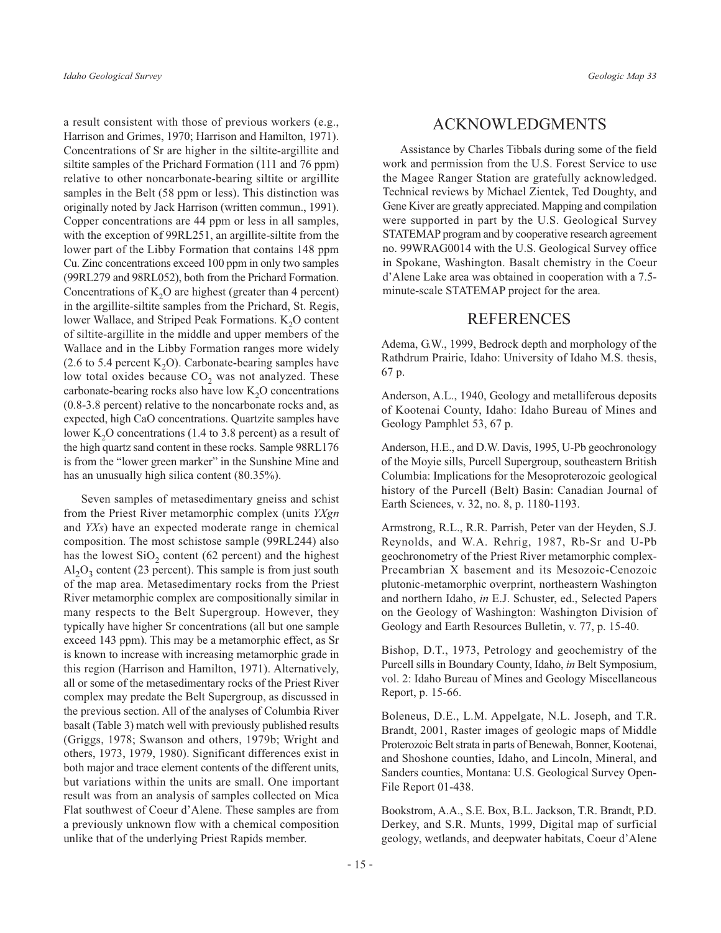a result consistent with those of previous workers (e.g., Harrison and Grimes, 1970; Harrison and Hamilton, 1971). Concentrations of Sr are higher in the siltite-argillite and siltite samples of the Prichard Formation (111 and 76 ppm) relative to other noncarbonate-bearing siltite or argillite samples in the Belt (58 ppm or less). This distinction was originally noted by Jack Harrison (written commun., 1991). Copper concentrations are 44 ppm or less in all samples, with the exception of 99RL251, an argillite-siltite from the lower part of the Libby Formation that contains 148 ppm Cu. Zinc concentrations exceed 100 ppm in only two samples (99RL279 and 98RL052), both from the Prichard Formation. Concentrations of  $K$ <sub>2</sub>O are highest (greater than 4 percent) in the argillite-siltite samples from the Prichard, St. Regis, lower Wallace, and Striped Peak Formations.  $K_2O$  content of siltite-argillite in the middle and upper members of the Wallace and in the Libby Formation ranges more widely (2.6 to 5.4 percent  $K_2O$ ). Carbonate-bearing samples have low total oxides because  $CO<sub>2</sub>$  was not analyzed. These carbonate-bearing rocks also have low K<sub>2</sub>O concentrations  $(0.8-3.8$  percent) relative to the noncarbonate rocks and, as expected, high CaO concentrations. Quartzite samples have lower  $K_2O$  concentrations (1.4 to 3.8 percent) as a result of the high quartz sand content in these rocks. Sample 98RL176 is from the "lower green marker" in the Sunshine Mine and has an unusually high silica content (80.35%).

Seven samples of metasedimentary gneiss and schist from the Priest River metamorphic complex (units YXgn and YXs) have an expected moderate range in chemical composition. The most schistose sample (99RL244) also has the lowest  $SiO<sub>2</sub>$  content (62 percent) and the highest  $Al_2O_3$  content (23 percent). This sample is from just south of the map area. Metasedimentary rocks from the Priest River metamorphic complex are compositionally similar in many respects to the Belt Supergroup. However, they typically have higher Sr concentrations (all but one sample exceed 143 ppm). This may be a metamorphic effect, as Sr is known to increase with increasing metamorphic grade in this region (Harrison and Hamilton, 1971). Alternatively, all or some of the metasedimentary rocks of the Priest River complex may predate the Belt Supergroup, as discussed in the previous section. All of the analyses of Columbia River basalt (Table 3) match well with previously published results (Griggs, 1978; Swanson and others, 1979b; Wright and others, 1973, 1979, 1980). Significant differences exist in both major and trace element contents of the different units, but variations within the units are small. One important result was from an analysis of samples collected on Mica Flat southwest of Coeur d'Alene. These samples are from a previously unknown flow with a chemical composition unlike that of the underlying Priest Rapids member.

## **ACKNOWLEDGMENTS**

Assistance by Charles Tibbals during some of the field work and permission from the U.S. Forest Service to use the Magee Ranger Station are gratefully acknowledged. Technical reviews by Michael Zientek, Ted Doughty, and Gene Kiver are greatly appreciated. Mapping and compilation were supported in part by the U.S. Geological Survey STATEMAP program and by cooperative research agreement no. 99WRAG0014 with the U.S. Geological Survey office in Spokane, Washington. Basalt chemistry in the Coeur d'Alene Lake area was obtained in cooperation with a 7.5minute-scale STATEMAP project for the area.

## **REFERENCES**

Adema, G.W., 1999, Bedrock depth and morphology of the Rathdrum Prairie, Idaho: University of Idaho M.S. thesis, 67 p.

Anderson, A.L., 1940, Geology and metalliferous deposits of Kootenai County, Idaho: Idaho Bureau of Mines and Geology Pamphlet 53, 67 p.

Anderson, H.E., and D.W. Davis, 1995, U-Pb geochronology of the Moyie sills, Purcell Supergroup, southeastern British Columbia: Implications for the Mesoproterozoic geological history of the Purcell (Belt) Basin: Canadian Journal of Earth Sciences, v. 32, no. 8, p. 1180-1193.

Armstrong, R.L., R.R. Parrish, Peter van der Heyden, S.J. Reynolds, and W.A. Rehrig, 1987, Rb-Sr and U-Pb geochronometry of the Priest River metamorphic complex-Precambrian X basement and its Mesozoic-Cenozoic plutonic-metamorphic overprint, northeastern Washington and northern Idaho, in E.J. Schuster, ed., Selected Papers on the Geology of Washington: Washington Division of Geology and Earth Resources Bulletin, v. 77, p. 15-40.

Bishop, D.T., 1973, Petrology and geochemistry of the Purcell sills in Boundary County, Idaho, *in* Belt Symposium, vol. 2: Idaho Bureau of Mines and Geology Miscellaneous Report, p. 15-66.

Boleneus, D.E., L.M. Appelgate, N.L. Joseph, and T.R. Brandt, 2001, Raster images of geologic maps of Middle Proterozoic Belt strata in parts of Benewah, Bonner, Kootenai, and Shoshone counties, Idaho, and Lincoln, Mineral, and Sanders counties, Montana: U.S. Geological Survey Open-File Report 01-438.

Bookstrom, A.A., S.E. Box, B.L. Jackson, T.R. Brandt, P.D. Derkey, and S.R. Munts, 1999, Digital map of surficial geology, wetlands, and deepwater habitats, Coeur d'Alene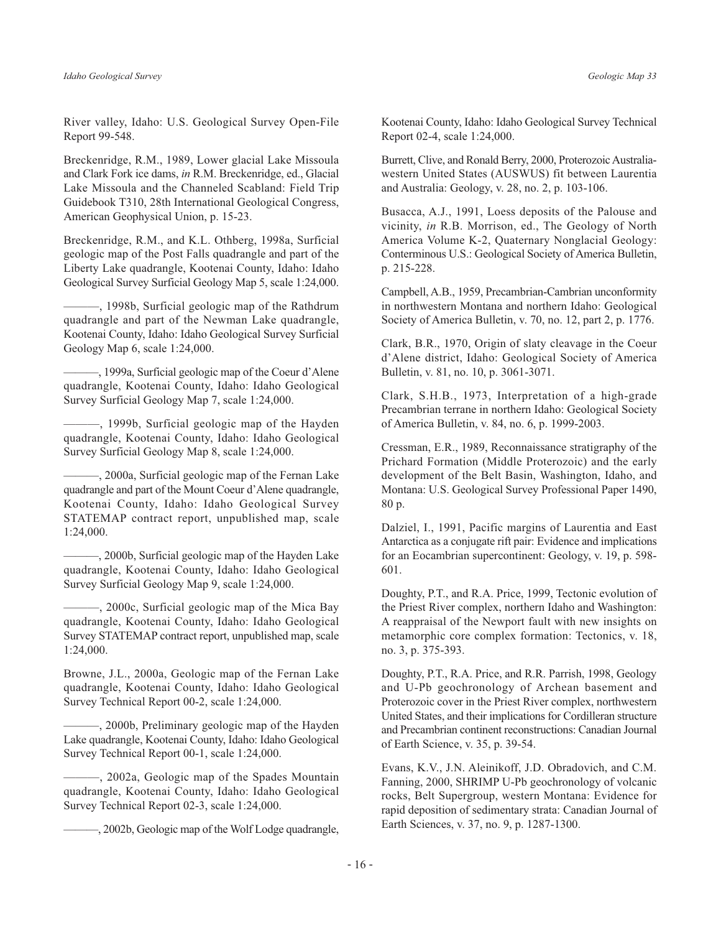River valley, Idaho: U.S. Geological Survey Open-File Report 99-548.

Breckenridge, R.M., 1989, Lower glacial Lake Missoula and Clark Fork ice dams, in R.M. Breckenridge, ed., Glacial Lake Missoula and the Channeled Scabland: Field Trip Guidebook T310, 28th International Geological Congress, American Geophysical Union, p. 15-23.

Breckenridge, R.M., and K.L. Othberg, 1998a, Surficial geologic map of the Post Falls quadrangle and part of the Liberty Lake quadrangle, Kootenai County, Idaho: Idaho Geological Survey Surficial Geology Map 5, scale 1:24,000.

-, 1998b, Surficial geologic map of the Rathdrum quadrangle and part of the Newman Lake quadrangle, Kootenai County, Idaho: Idaho Geological Survey Surficial Geology Map 6, scale 1:24,000.

-, 1999a, Surficial geologic map of the Coeur d'Alene quadrangle, Kootenai County, Idaho: Idaho Geological Survey Surficial Geology Map 7, scale 1:24,000.

-, 1999b, Surficial geologic map of the Hayden quadrangle, Kootenai County, Idaho: Idaho Geological Survey Surficial Geology Map 8, scale 1:24,000.

-, 2000a, Surficial geologic map of the Fernan Lake quadrangle and part of the Mount Coeur d'Alene quadrangle, Kootenai County, Idaho: Idaho Geological Survey STATEMAP contract report, unpublished map, scale  $1:24,000.$ 

-, 2000b, Surficial geologic map of the Hayden Lake quadrangle, Kootenai County, Idaho: Idaho Geological Survey Surficial Geology Map 9, scale 1:24,000.

-, 2000c, Surficial geologic map of the Mica Bay quadrangle, Kootenai County, Idaho: Idaho Geological Survey STATEMAP contract report, unpublished map, scale 1:24,000.

Browne, J.L., 2000a, Geologic map of the Fernan Lake quadrangle, Kootenai County, Idaho: Idaho Geological Survey Technical Report 00-2, scale 1:24,000.

-, 2000b, Preliminary geologic map of the Hayden Lake quadrangle, Kootenai County, Idaho: Idaho Geological Survey Technical Report 00-1, scale 1:24,000.

-, 2002a, Geologic map of the Spades Mountain quadrangle, Kootenai County, Idaho: Idaho Geological Survey Technical Report 02-3, scale 1:24,000.

-, 2002b, Geologic map of the Wolf Lodge quadrangle,

Kootenai County, Idaho: Idaho Geological Survey Technical Report 02-4, scale 1:24,000.

Burrett, Clive, and Ronald Berry, 2000, Proterozoic Australiawestern United States (AUSWUS) fit between Laurentia and Australia: Geology, v. 28, no. 2, p. 103-106.

Busacca, A.J., 1991, Loess deposits of the Palouse and vicinity, in R.B. Morrison, ed., The Geology of North America Volume K-2, Quaternary Nonglacial Geology: Conterminous U.S.: Geological Society of America Bulletin, p. 215-228.

Campbell, A.B., 1959, Precambrian-Cambrian unconformity in northwestern Montana and northern Idaho: Geological Society of America Bulletin, v. 70, no. 12, part 2, p. 1776.

Clark, B.R., 1970, Origin of slaty cleavage in the Coeur d'Alene district, Idaho: Geological Society of America Bulletin, v. 81, no. 10, p. 3061-3071.

Clark, S.H.B., 1973, Interpretation of a high-grade Precambrian terrane in northern Idaho: Geological Society of America Bulletin, v. 84, no. 6, p. 1999-2003.

Cressman, E.R., 1989, Reconnaissance stratigraphy of the Prichard Formation (Middle Proterozoic) and the early development of the Belt Basin, Washington, Idaho, and Montana: U.S. Geological Survey Professional Paper 1490, 80 p.

Dalziel, I., 1991, Pacific margins of Laurentia and East Antarctica as a conjugate rift pair: Evidence and implications for an Eocambrian supercontinent: Geology, v. 19, p. 598-601.

Doughty, P.T., and R.A. Price, 1999, Tectonic evolution of the Priest River complex, northern Idaho and Washington: A reappraisal of the Newport fault with new insights on metamorphic core complex formation: Tectonics, v. 18, no. 3, p. 375-393.

Doughty, P.T., R.A. Price, and R.R. Parrish, 1998, Geology and U-Pb geochronology of Archean basement and Proterozoic cover in the Priest River complex, northwestern United States, and their implications for Cordilleran structure and Precambrian continent reconstructions: Canadian Journal of Earth Science, v. 35, p. 39-54.

Evans, K.V., J.N. Aleinikoff, J.D. Obradovich, and C.M. Fanning, 2000, SHRIMP U-Pb geochronology of volcanic rocks, Belt Supergroup, western Montana: Evidence for rapid deposition of sedimentary strata: Canadian Journal of Earth Sciences, v. 37, no. 9, p. 1287-1300.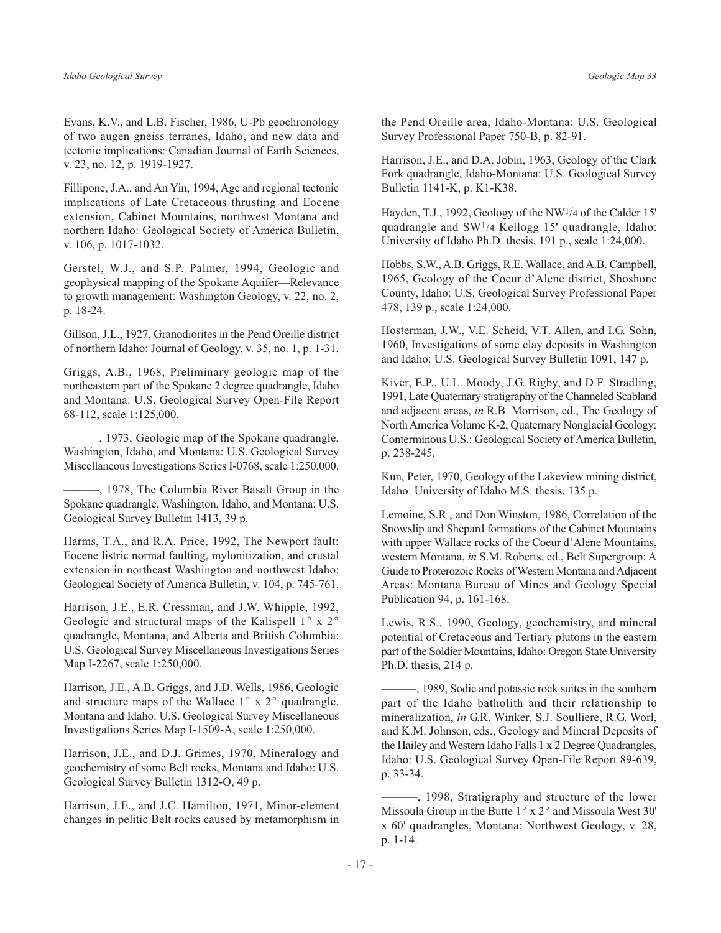Evans, K.V., and L.B. Fischer, 1986, U-Pb geochronology of two augen gneiss terranes, Idaho, and new data and tectonic implications: Canadian Journal of Earth Sciences, v. 23, no. 12, p. 1919-1927.

Fillipone, J.A., and An Yin, 1994, Age and regional tectonic implications of Late Cretaceous thrusting and Eocene extension, Cabinet Mountains, northwest Montana and northern Idaho: Geological Society of America Bulletin, v. 106, p. 1017-1032.

Gerstel, W.J., and S.P. Palmer, 1994, Geologic and geophysical mapping of the Spokane Aquifer—Relevance to growth management: Washington Geology, v. 22, no. 2, p. 18-24.

Gillson, J.L., 1927, Granodiorites in the Pend Oreille district of northern Idaho: Journal of Geology, v. 35, no. 1, p. 1-31.

Griggs, A.B., 1968, Preliminary geologic map of the northeastern part of the Spokane 2 degree quadrangle, Idaho and Montana: U.S. Geological Survey Open-File Report 68-112, scale 1:125,000.

-, 1973, Geologic map of the Spokane quadrangle, Washington, Idaho, and Montana: U.S. Geological Survey Miscellaneous Investigations Series I-0768, scale 1:250,000.

-, 1978, The Columbia River Basalt Group in the Spokane quadrangle, Washington, Idaho, and Montana: U.S. Geological Survey Bulletin 1413, 39 p.

Harms, T.A., and R.A. Price, 1992, The Newport fault: Eocene listric normal faulting, mylonitization, and crustal extension in northeast Washington and northwest Idaho: Geological Society of America Bulletin, v. 104, p. 745-761.

Harrison, J.E., E.R. Cressman, and J.W. Whipple, 1992, Geologic and structural maps of the Kalispell 1° x 2° quadrangle, Montana, and Alberta and British Columbia: U.S. Geological Survey Miscellaneous Investigations Series Map I-2267, scale 1:250,000.

Harrison, J.E., A.B. Griggs, and J.D. Wells, 1986, Geologic and structure maps of the Wallace  $1^\circ$  x  $2^\circ$  quadrangle, Montana and Idaho: U.S. Geological Survey Miscellaneous Investigations Series Map I-1509-A, scale 1:250,000.

Harrison, J.E., and D.J. Grimes, 1970, Mineralogy and geochemistry of some Belt rocks, Montana and Idaho: U.S. Geological Survey Bulletin 1312-O, 49 p.

Harrison, J.E., and J.C. Hamilton, 1971, Minor-element changes in pelitic Belt rocks caused by metamorphism in the Pend Oreille area, Idaho-Montana: U.S. Geological Survey Professional Paper 750-B, p. 82-91.

Harrison, J.E., and D.A. Jobin, 1963, Geology of the Clark Fork quadrangle, Idaho-Montana: U.S. Geological Survey Bulletin 1141-K, p. K1-K38.

Hayden, T.J., 1992, Geology of the NW<sup>1</sup>/4 of the Calder 15' quadrangle and  $SW<sup>1</sup>/4$  Kellogg 15' quadrangle, Idaho: University of Idaho Ph.D. thesis, 191 p., scale 1:24,000.

Hobbs, S.W., A.B. Griggs, R.E. Wallace, and A.B. Campbell, 1965, Geology of the Coeur d'Alene district, Shoshone County, Idaho: U.S. Geological Survey Professional Paper 478, 139 p., scale 1:24,000.

Hosterman, J.W., V.E. Scheid, V.T. Allen, and I.G. Sohn, 1960, Investigations of some clay deposits in Washington and Idaho: U.S. Geological Survey Bulletin 1091, 147 p.

Kiver, E.P., U.L. Moody, J.G. Rigby, and D.F. Stradling, 1991, Late Ouaternary stratigraphy of the Channeled Scabland and adjacent areas, in R.B. Morrison, ed., The Geology of North America Volume K-2, Quaternary Nonglacial Geology: Conterminous U.S.: Geological Society of America Bulletin, p. 238-245.

Kun, Peter, 1970, Geology of the Lakeview mining district, Idaho: University of Idaho M.S. thesis, 135 p.

Lemoine, S.R., and Don Winston, 1986, Correlation of the Snowslip and Shepard formations of the Cabinet Mountains with upper Wallace rocks of the Coeur d'Alene Mountains, western Montana, in S.M. Roberts, ed., Belt Supergroup: A Guide to Proterozoic Rocks of Western Montana and Adjacent Areas: Montana Bureau of Mines and Geology Special Publication 94, p. 161-168.

Lewis, R.S., 1990, Geology, geochemistry, and mineral potential of Cretaceous and Tertiary plutons in the eastern part of the Soldier Mountains, Idaho: Oregon State University Ph.D. thesis,  $214$  p.

-, 1989, Sodic and potassic rock suites in the southern part of the Idaho batholith and their relationship to mineralization, in G.R. Winker, S.J. Soulliere, R.G. Worl, and K.M. Johnson, eds., Geology and Mineral Deposits of the Hailey and Western Idaho Falls 1 x 2 Degree Quadrangles, Idaho: U.S. Geological Survey Open-File Report 89-639, p. 33-34.

-, 1998, Stratigraphy and structure of the lower Missoula Group in the Butte 1° x 2° and Missoula West 30' x 60' quadrangles, Montana: Northwest Geology, v. 28, p. 1-14.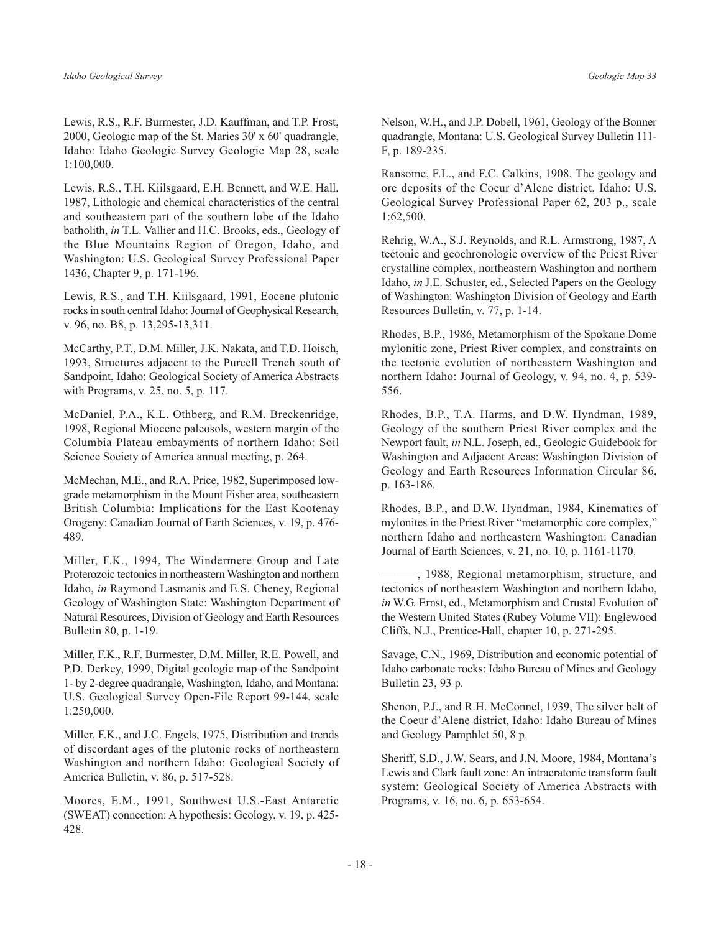Lewis, R.S., R.F. Burmester, J.D. Kauffman, and T.P. Frost, 2000, Geologic map of the St. Maries 30' x 60' quadrangle, Idaho: Idaho Geologic Survey Geologic Map 28, scale 1:100,000.

Lewis, R.S., T.H. Kiilsgaard, E.H. Bennett, and W.E. Hall, 1987, Lithologic and chemical characteristics of the central and southeastern part of the southern lobe of the Idaho batholith, in T.L. Vallier and H.C. Brooks, eds., Geology of the Blue Mountains Region of Oregon, Idaho, and Washington: U.S. Geological Survey Professional Paper 1436, Chapter 9, p. 171-196.

Lewis, R.S., and T.H. Kiilsgaard, 1991, Eocene plutonic rocks in south central Idaho: Journal of Geophysical Research, v. 96, no. B8, p. 13,295-13,311.

McCarthy, P.T., D.M. Miller, J.K. Nakata, and T.D. Hoisch, 1993, Structures adjacent to the Purcell Trench south of Sandpoint, Idaho: Geological Society of America Abstracts with Programs, v. 25, no. 5, p. 117.

McDaniel, P.A., K.L. Othberg, and R.M. Breckenridge, 1998, Regional Miocene paleosols, western margin of the Columbia Plateau embayments of northern Idaho: Soil Science Society of America annual meeting, p. 264.

McMechan, M.E., and R.A. Price, 1982, Superimposed lowgrade metamorphism in the Mount Fisher area, southeastern British Columbia: Implications for the East Kootenay Orogeny: Canadian Journal of Earth Sciences, v. 19, p. 476-489.

Miller, F.K., 1994, The Windermere Group and Late Proterozoic tectonics in northeastern Washington and northern Idaho, in Raymond Lasmanis and E.S. Cheney, Regional Geology of Washington State: Washington Department of Natural Resources, Division of Geology and Earth Resources Bulletin 80, p. 1-19.

Miller, F.K., R.F. Burmester, D.M. Miller, R.E. Powell, and P.D. Derkey, 1999, Digital geologic map of the Sandpoint 1- by 2-degree quadrangle, Washington, Idaho, and Montana: U.S. Geological Survey Open-File Report 99-144, scale 1:250,000.

Miller, F.K., and J.C. Engels, 1975, Distribution and trends of discordant ages of the plutonic rocks of northeastern Washington and northern Idaho: Geological Society of America Bulletin, v. 86, p. 517-528.

Moores, E.M., 1991, Southwest U.S.-East Antarctic (SWEAT) connection: A hypothesis: Geology, v. 19, p. 425-428.

Nelson, W.H., and J.P. Dobell, 1961, Geology of the Bonner quadrangle, Montana: U.S. Geological Survey Bulletin 111-F, p. 189-235.

Ransome, F.L., and F.C. Calkins, 1908, The geology and ore deposits of the Coeur d'Alene district, Idaho: U.S. Geological Survey Professional Paper 62, 203 p., scale  $1:62,500.$ 

Rehrig, W.A., S.J. Reynolds, and R.L. Armstrong, 1987, A tectonic and geochronologic overview of the Priest River crystalline complex, northeastern Washington and northern Idaho, *in* J.E. Schuster, ed., Selected Papers on the Geology of Washington: Washington Division of Geology and Earth Resources Bulletin, v. 77, p. 1-14.

Rhodes, B.P., 1986, Metamorphism of the Spokane Dome mylonitic zone, Priest River complex, and constraints on the tectonic evolution of northeastern Washington and northern Idaho: Journal of Geology, v. 94, no. 4, p. 539-556.

Rhodes, B.P., T.A. Harms, and D.W. Hyndman, 1989, Geology of the southern Priest River complex and the Newport fault, in N.L. Joseph, ed., Geologic Guidebook for Washington and Adjacent Areas: Washington Division of Geology and Earth Resources Information Circular 86, p. 163-186.

Rhodes, B.P., and D.W. Hyndman, 1984, Kinematics of mylonites in the Priest River "metamorphic core complex," northern Idaho and northeastern Washington: Canadian Journal of Earth Sciences, v. 21, no. 10, p. 1161-1170.

-, 1988, Regional metamorphism, structure, and tectonics of northeastern Washington and northern Idaho, in W.G. Ernst, ed., Metamorphism and Crustal Evolution of the Western United States (Rubey Volume VII): Englewood Cliffs, N.J., Prentice-Hall, chapter 10, p. 271-295.

Savage, C.N., 1969, Distribution and economic potential of Idaho carbonate rocks: Idaho Bureau of Mines and Geology Bulletin 23, 93 p.

Shenon, P.J., and R.H. McConnel, 1939, The silver belt of the Coeur d'Alene district, Idaho: Idaho Bureau of Mines and Geology Pamphlet 50, 8 p.

Sheriff, S.D., J.W. Sears, and J.N. Moore, 1984, Montana's Lewis and Clark fault zone: An intracratonic transform fault system: Geological Society of America Abstracts with Programs, v. 16, no. 6, p. 653-654.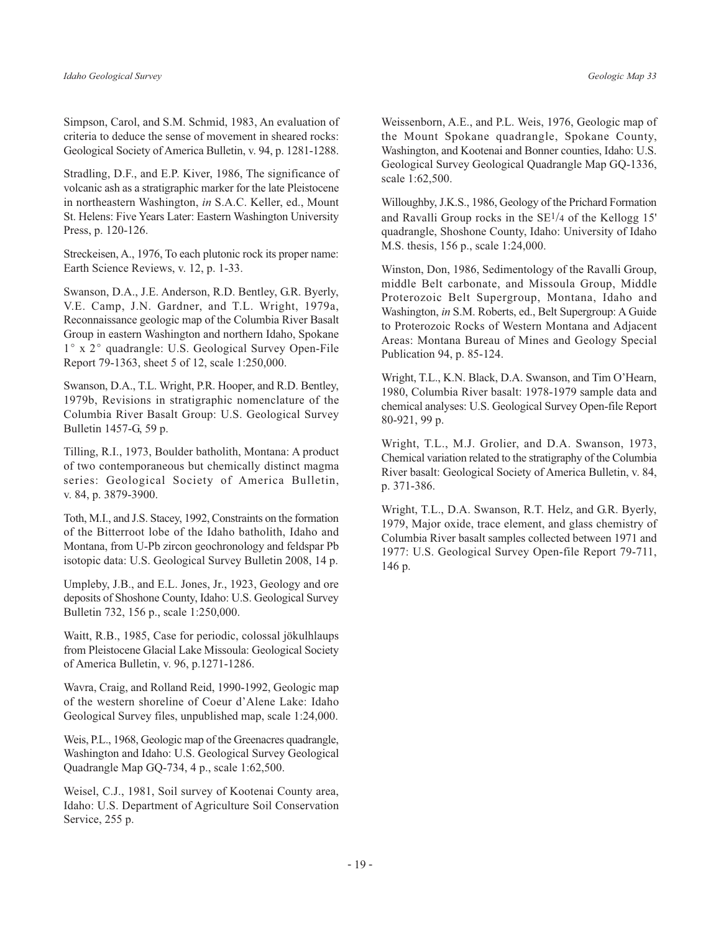Simpson, Carol, and S.M. Schmid, 1983, An evaluation of criteria to deduce the sense of movement in sheared rocks: Geological Society of America Bulletin, v. 94, p. 1281-1288.

Stradling, D.F., and E.P. Kiver, 1986, The significance of volcanic ash as a stratigraphic marker for the late Pleistocene in northeastern Washington, in S.A.C. Keller, ed., Mount St. Helens: Five Years Later: Eastern Washington University Press, p. 120-126.

Streckeisen, A., 1976, To each plutonic rock its proper name: Earth Science Reviews, v. 12, p. 1-33.

Swanson, D.A., J.E. Anderson, R.D. Bentley, G.R. Byerly, V.E. Camp, J.N. Gardner, and T.L. Wright, 1979a, Reconnaissance geologic map of the Columbia River Basalt Group in eastern Washington and northern Idaho, Spokane 1° x 2° quadrangle: U.S. Geological Survey Open-File Report 79-1363, sheet 5 of 12, scale 1:250,000.

Swanson, D.A., T.L. Wright, P.R. Hooper, and R.D. Bentley, 1979b, Revisions in stratigraphic nomenclature of the Columbia River Basalt Group: U.S. Geological Survey Bulletin 1457-G, 59 p.

Tilling, R.I., 1973, Boulder batholith, Montana: A product of two contemporaneous but chemically distinct magma series: Geological Society of America Bulletin, v. 84, p. 3879-3900.

Toth, M.I., and J.S. Stacey, 1992, Constraints on the formation of the Bitterroot lobe of the Idaho batholith, Idaho and Montana, from U-Pb zircon geochronology and feldspar Pb isotopic data: U.S. Geological Survey Bulletin 2008, 14 p.

Umpleby, J.B., and E.L. Jones, Jr., 1923, Geology and ore deposits of Shoshone County, Idaho: U.S. Geological Survey Bulletin 732, 156 p., scale 1:250,000.

Waitt, R.B., 1985, Case for periodic, colossal jökulhlaups from Pleistocene Glacial Lake Missoula: Geological Society of America Bulletin, v. 96, p.1271-1286.

Wavra, Craig, and Rolland Reid, 1990-1992, Geologic map of the western shoreline of Coeur d'Alene Lake: Idaho Geological Survey files, unpublished map, scale 1:24,000.

Weis, P.L., 1968, Geologic map of the Greenacres quadrangle, Washington and Idaho: U.S. Geological Survey Geological Quadrangle Map GO-734, 4 p., scale 1:62,500.

Weisel, C.J., 1981, Soil survey of Kootenai County area, Idaho: U.S. Department of Agriculture Soil Conservation Service, 255 p.

Weissenborn, A.E., and P.L. Weis, 1976, Geologic map of the Mount Spokane quadrangle, Spokane County, Washington, and Kootenai and Bonner counties, Idaho: U.S. Geological Survey Geological Quadrangle Map GQ-1336, scale 1:62,500.

Willoughby, J.K.S., 1986, Geology of the Prichard Formation and Ravalli Group rocks in the  $SE<sup>1/4</sup>$  of the Kellogg 15' quadrangle, Shoshone County, Idaho: University of Idaho M.S. thesis, 156 p., scale 1:24,000.

Winston, Don, 1986, Sedimentology of the Ravalli Group, middle Belt carbonate, and Missoula Group, Middle Proterozoic Belt Supergroup, Montana, Idaho and Washington, in S.M. Roberts, ed., Belt Supergroup: A Guide to Proterozoic Rocks of Western Montana and Adjacent Areas: Montana Bureau of Mines and Geology Special Publication 94, p. 85-124.

Wright, T.L., K.N. Black, D.A. Swanson, and Tim O'Hearn, 1980, Columbia River basalt: 1978-1979 sample data and chemical analyses: U.S. Geological Survey Open-file Report 80-921, 99 p.

Wright, T.L., M.J. Grolier, and D.A. Swanson, 1973, Chemical variation related to the stratigraphy of the Columbia River basalt: Geological Society of America Bulletin, v. 84, p. 371-386.

Wright, T.L., D.A. Swanson, R.T. Helz, and G.R. Byerly, 1979, Major oxide, trace element, and glass chemistry of Columbia River basalt samples collected between 1971 and 1977: U.S. Geological Survey Open-file Report 79-711, 146 p.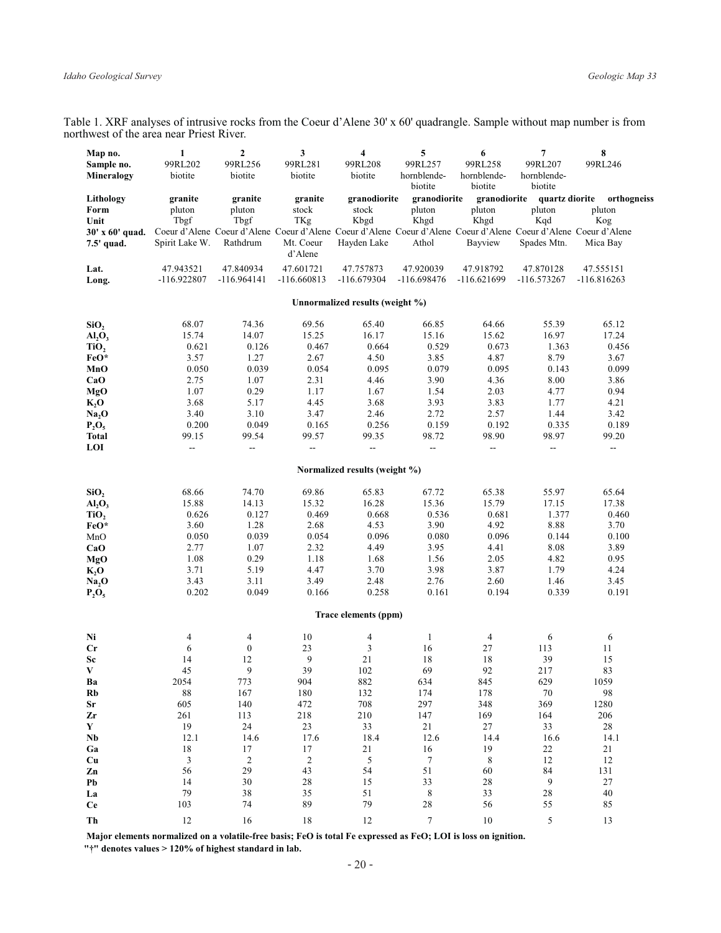Table 1. XRF analyses of intrusive rocks from the Coeur d'Alene 30' x 60' quadrangle. Sample without map number is from northwest of the area near Priest River.

| Map no.                        | $\mathbf{1}$             | $\mathbf{2}$     | 3                | $\overline{\mathbf{4}}$         | 5                        | 6                      | 7                        | 8                                                                                                               |
|--------------------------------|--------------------------|------------------|------------------|---------------------------------|--------------------------|------------------------|--------------------------|-----------------------------------------------------------------------------------------------------------------|
| Sample no.                     | 99RL202                  | 99RL256          | 99RL281          | 99RL208                         | 99RL257                  | 99RL258                | 99RL207                  | 99RL246                                                                                                         |
| Mineralogy                     | biotite                  | biotite          | biotite          | biotite                         | hornblende-              | hornblende-            | hornblende-              |                                                                                                                 |
|                                |                          |                  |                  |                                 | biotite                  | biotite                | biotite                  |                                                                                                                 |
| Lithology<br>Form              | granite                  | granite          | granite<br>stock | granodiorite<br>stock           | granodiorite<br>pluton   | granodiorite<br>pluton | quartz diorite<br>pluton | orthogneiss                                                                                                     |
| Unit                           | pluton<br>Tbgf           | pluton<br>Tbgf   | TKg              | Kbgd                            | Khgd                     | Khgd                   | Kqd                      | pluton<br>Kog                                                                                                   |
| 30' x 60' quad.                |                          |                  |                  |                                 |                          |                        |                          | Coeur d'Alene Coeur d'Alene Coeur d'Alene Coeur d'Alene Coeur d'Alene Coeur d'Alene Coeur d'Alene Coeur d'Alene |
| 7.5' quad.                     | Spirit Lake W.           | Rathdrum         | Mt. Coeur        | Hayden Lake                     | Athol                    | Bayview                | Spades Mtn.              | Mica Bay                                                                                                        |
|                                |                          |                  | d'Alene          |                                 |                          |                        |                          |                                                                                                                 |
| Lat.                           | 47.943521                | 47.840934        | 47.601721        | 47.757873                       | 47.920039                | 47.918792              | 47.870128                | 47.555151                                                                                                       |
| Long.                          | -116.922807              | $-116.964141$    | $-116.660813$    | $-116.679304$                   | $-116.698476$            | $-116.621699$          | $-116.573267$            | $-116.816263$                                                                                                   |
|                                |                          |                  |                  |                                 |                          |                        |                          |                                                                                                                 |
|                                |                          |                  |                  | Unnormalized results (weight %) |                          |                        |                          |                                                                                                                 |
| SiO <sub>2</sub>               | 68.07                    | 74.36            | 69.56            | 65.40                           | 66.85                    | 64.66                  | 55.39                    | 65.12                                                                                                           |
| AI <sub>2</sub> O <sub>3</sub> | 15.74                    | 14.07            | 15.25            | 16.17                           | 15.16                    | 15.62                  | 16.97                    | 17.24                                                                                                           |
| TiO,                           | 0.621                    | 0.126            | 0.467            | 0.664                           | 0.529                    | 0.673                  | 1.363                    | 0.456                                                                                                           |
| FeO*                           | 3.57                     | 1.27             | 2.67             | 4.50                            | 3.85                     | 4.87                   | 8.79                     | 3.67                                                                                                            |
| MnO                            | 0.050                    | 0.039            | 0.054            | 0.095                           | 0.079                    | 0.095                  | 0.143                    | 0.099                                                                                                           |
| CaO                            | 2.75                     | 1.07             | 2.31             | 4.46                            | 3.90                     | 4.36                   | 8.00                     | 3.86                                                                                                            |
| <b>MgO</b>                     | 1.07                     | 0.29             | 1.17             | 1.67                            | 1.54                     | 2.03                   | 4.77                     | 0.94                                                                                                            |
| $K_2O$                         | 3.68                     | 5.17             | 4.45             | 3.68                            | 3.93                     | 3.83                   | 1.77                     | 4.21                                                                                                            |
| Na, O                          | 3.40                     | 3.10             | 3.47             | 2.46                            | 2.72                     | 2.57                   | 1.44                     | 3.42                                                                                                            |
| $P_2O_5$<br><b>Total</b>       | 0.200<br>99.15           | 0.049<br>99.54   | 0.165<br>99.57   | 0.256<br>99.35                  | 0.159<br>98.72           | 0.192<br>98.90         | 0.335<br>98.97           | 0.189<br>99.20                                                                                                  |
| LOI                            | $\overline{\phantom{a}}$ | ۰.               | --               | --                              | $\overline{\phantom{a}}$ | ۰.                     | --                       | --                                                                                                              |
|                                |                          |                  |                  |                                 |                          |                        |                          |                                                                                                                 |
|                                |                          |                  |                  | Normalized results (weight %)   |                          |                        |                          |                                                                                                                 |
| SiO <sub>2</sub>               | 68.66                    | 74.70            | 69.86            | 65.83                           | 67.72                    | 65.38                  | 55.97                    | 65.64                                                                                                           |
| AI <sub>2</sub> O <sub>3</sub> | 15.88                    | 14.13            | 15.32            | 16.28                           | 15.36                    | 15.79                  | 17.15                    | 17.38                                                                                                           |
| TiO <sub>2</sub>               | 0.626                    | 0.127            | 0.469            | 0.668                           | 0.536                    | 0.681                  | 1.377                    | 0.460                                                                                                           |
| FeO*                           | 3.60                     | 1.28             | 2.68             | 4.53                            | 3.90                     | 4.92                   | 8.88                     | 3.70                                                                                                            |
| MnO                            | 0.050                    | 0.039            | 0.054            | 0.096                           | 0.080                    | 0.096                  | 0.144                    | 0.100                                                                                                           |
| CaO                            | 2.77                     | 1.07             | 2.32             | 4.49                            | 3.95                     | 4.41                   | 8.08                     | 3.89                                                                                                            |
| MgO                            | 1.08                     | 0.29             | 1.18             | 1.68                            | 1.56                     | 2.05                   | 4.82                     | 0.95                                                                                                            |
| $K_2O$                         | 3.71                     | 5.19             | 4.47             | 3.70                            | 3.98                     | 3.87                   | 1.79                     | 4.24                                                                                                            |
| Na <sub>2</sub> O              | 3.43<br>0.202            | 3.11<br>0.049    | 3.49<br>0.166    | 2.48<br>0.258                   | 2.76<br>0.161            | 2.60<br>0.194          | 1.46<br>0.339            | 3.45<br>0.191                                                                                                   |
| $P_2O_5$                       |                          |                  |                  |                                 |                          |                        |                          |                                                                                                                 |
|                                |                          |                  |                  | Trace elements (ppm)            |                          |                        |                          |                                                                                                                 |
| Ni                             | 4                        | 4                | 10               | 4                               | $\mathbf{1}$             | 4                      | 6                        | 6                                                                                                               |
| Cr                             | 6                        | $\boldsymbol{0}$ | 23               | $\mathfrak{Z}$                  | 16                       | $27\,$                 | 113                      | 11                                                                                                              |
| Sc                             | 14                       | 12               | 9                | 21                              | 18                       | 18                     | 39                       | 15                                                                                                              |
| V                              | 45                       | 9                | 39               | 102                             | 69                       | 92                     | 217                      | 83                                                                                                              |
| Ba                             | 2054                     | 773              | 904              | 882                             | 634                      | 845                    | 629                      | 1059                                                                                                            |
| Rb                             | $\bf 88$                 | 167              | 180              | 132                             | 174                      | 178                    | 70                       | 98                                                                                                              |
| Sr                             | 605                      | 140              | 472              | 708                             | 297                      | 348                    | 369                      | 1280                                                                                                            |
| Zr<br>Y                        | 261                      | 113<br>$24\,$    | 218              | 210                             | 147                      | 169<br>27              | 164                      | 206                                                                                                             |
| Nb                             | 19<br>12.1               | 14.6             | 23<br>17.6       | 33<br>18.4                      | 21<br>12.6               | 14.4                   | 33<br>16.6               | 28<br>14.1                                                                                                      |
| Ga                             | 18                       | 17               | 17               | 21                              | 16                       | 19                     | 22                       | 21                                                                                                              |
| Cu                             | $\mathfrak{Z}$           | $\sqrt{2}$       | $\sqrt{2}$       | $\mathfrak{s}$                  | $\boldsymbol{7}$         | $\,8\,$                | 12                       | 12                                                                                                              |
| Zn                             | 56                       | 29               | 43               | 54                              | 51                       | 60                     | 84                       | 131                                                                                                             |
| Pb                             | 14                       | $30\,$           | 28               | 15                              | 33                       | $28\,$                 | $\boldsymbol{9}$         | $27\,$                                                                                                          |
| La                             | 79                       | 38               | 35               | 51                              | $\,$ 8 $\,$              | 33                     | 28                       | $40\,$                                                                                                          |
| <b>Ce</b>                      | 103                      | 74               | 89               | 79                              | 28                       | 56                     | 55                       | 85                                                                                                              |
| Th                             | 12                       | 16               | $1\,8$           | 12                              | $\boldsymbol{7}$         | 10                     | 5                        | 13                                                                                                              |

Major elements normalized on a volatile-free basis; FeO is total Fe expressed as FeO; LOI is loss on ignition.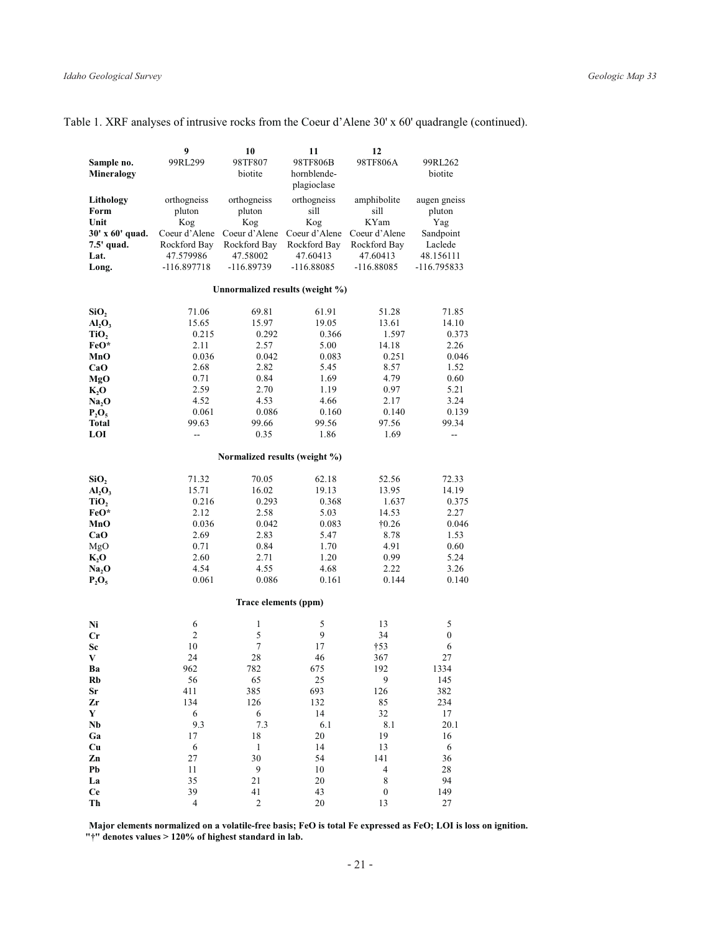| Sample no.                     | 9<br>99RL299         | 10<br>98TF807                 | 11<br>98TF806B                  | 12<br>98TF806A        | 99RL262                  |
|--------------------------------|----------------------|-------------------------------|---------------------------------|-----------------------|--------------------------|
| Mineralogy                     |                      | biotite                       | hornblende-<br>plagioclase      |                       | biotite                  |
| Lithology                      | orthogneiss          | orthogneiss                   | orthogneiss                     | amphibolite           | augen gneiss             |
| Form                           | pluton               | pluton                        | sill                            | sill                  | pluton                   |
| Unit<br>30' x 60' quad.        | Kog<br>Coeur d'Alene | Kog<br>Coeur d'Alene          | Kog<br>Coeur d'Alene            | KYam<br>Coeur d'Alene | Yag<br>Sandpoint         |
| 7.5' quad.                     | Rockford Bay         | Rockford Bay                  | Rockford Bay                    | Rockford Bay          | Laclede                  |
| Lat.                           | 47.579986            | 47.58002                      | 47.60413                        | 47.60413              | 48.156111                |
| Long.                          | $-116.897718$        | -116.89739                    | $-116.88085$                    | $-116.88085$          | -116.795833              |
|                                |                      |                               | Unnormalized results (weight %) |                       |                          |
| SiO <sub>2</sub>               | 71.06                | 69.81                         | 61.91                           | 51.28                 | 71.85                    |
| AI <sub>2</sub> O <sub>3</sub> | 15.65                | 15.97                         | 19.05                           | 13.61                 | 14.10                    |
| TiO,                           | 0.215                | 0.292                         | 0.366                           | 1.597                 | 0.373                    |
| FeO*                           | 2.11                 | 2.57                          | 5.00                            | 14.18                 | 2.26                     |
| MnO                            | 0.036                | 0.042                         | 0.083                           | 0.251                 | 0.046                    |
| CaO                            | 2.68                 | 2.82                          | 5.45                            | 8.57                  | 1.52                     |
| MgO                            | 0.71<br>2.59         | 0.84<br>2.70                  | 1.69<br>1.19                    | 4.79                  | 0.60<br>5.21             |
| K, O<br>Na, O                  | 4.52                 | 4.53                          | 4.66                            | 0.97<br>2.17          | 3.24                     |
| $P_2O_5$                       | 0.061                | 0.086                         | 0.160                           | 0.140                 | 0.139                    |
| <b>Total</b>                   | 99.63                | 99.66                         | 99.56                           | 97.56                 | 99.34                    |
| LOI                            | --                   | 0.35                          | 1.86                            | 1.69                  | $\overline{\phantom{a}}$ |
|                                |                      | Normalized results (weight %) |                                 |                       |                          |
| SiO <sub>2</sub>               | 71.32                | 70.05                         | 62.18                           | 52.56                 | 72.33                    |
| AI <sub>2</sub> O <sub>3</sub> | 15.71                | 16.02                         | 19.13                           | 13.95                 | 14.19                    |
| TiO,                           | 0.216                | 0.293                         | 0.368                           | 1.637                 | 0.375                    |
| FeO*                           | 2.12                 | 2.58                          | 5.03                            | 14.53                 | 2.27                     |
| MnO                            | 0.036                | 0.042                         | 0.083                           | $\dagger 0.26$        | 0.046                    |
| CaO                            | 2.69                 | 2.83                          | 5.47                            | 8.78                  | 1.53                     |
| MgO                            | 0.71<br>2.60         | 0.84<br>2.71                  | 1.70<br>1.20                    | 4.91                  | 0.60<br>5.24             |
| K, O<br>Na <sub>2</sub> O      | 4.54                 | 4.55                          | 4.68                            | 0.99<br>2.22          | 3.26                     |
| $P_2O_5$                       | 0.061                | 0.086                         | 0.161                           | 0.144                 | 0.140                    |
|                                |                      | Trace elements (ppm)          |                                 |                       |                          |
| Ni                             | 6                    | $\mathbf{1}$                  | 5                               | 13                    | 5                        |
| $_{\rm Cr}$                    | 2                    | 5                             | 9                               | 34                    | $\boldsymbol{0}$         |
| Sc                             | 10                   | 7                             | 17                              | $\dagger$ 53          | 6                        |
| V                              | 24                   | 28                            | 46                              | 367                   | 27                       |
| Ba                             | 962                  | 782                           | 675                             | 192                   | 1334                     |
| Rb                             | 56                   | 65                            | 25                              | $\overline{9}$        | 145                      |
| <b>Sr</b>                      | 411                  | 385                           | 693                             | 126                   | 382                      |
| Zr                             | 134                  | 126                           | 132                             | 85                    | 234                      |
| Y<br>Nb                        | 6<br>9.3             | 6<br>7.3                      | 14<br>6.1                       | 32<br>$8.1\,$         | 17<br>20.1               |
| Ga                             | 17                   | 18                            | 20                              | 19                    | 16                       |
| Cu                             | 6                    | $\mathbf{1}$                  | 14                              | 13                    | 6                        |
| Zn                             | 27                   | 30                            | 54                              | 141                   | 36                       |
| Pb                             | 11                   | 9                             | 10                              | $\overline{4}$        | 28                       |
| La                             | 35                   | 21                            | 20                              | $\,$ 8 $\,$           | 94                       |
| <b>Ce</b>                      | 39                   | 41                            | 43                              | $\boldsymbol{0}$      | 149                      |
| Th                             | $\overline{4}$       | $\overline{\mathbf{c}}$       | 20                              | 13                    | 27                       |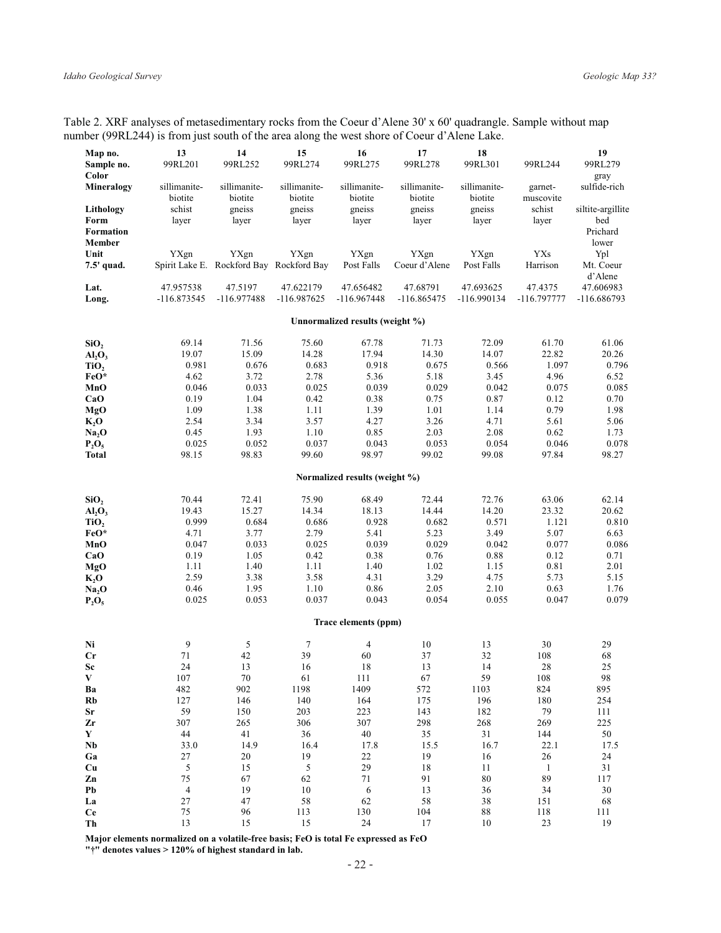Table 2. XRF analyses of metasedimentary rocks from the Coeur d'Alene 30' x 60' quadrangle. Sample without map number (99RL244) is from just south of the area along the west shore of Coeur d'Alene Lake.

| Map no.<br>Sample no.                           | 13<br>99RL201            | 14<br>99RL252                                    | 15<br>99RL274              | 16<br>99RL275                   | 17<br>99RL278             | 18<br>99RL301            | 99RL244                | 19<br>99RL279                                 |
|-------------------------------------------------|--------------------------|--------------------------------------------------|----------------------------|---------------------------------|---------------------------|--------------------------|------------------------|-----------------------------------------------|
| Color<br>Mineralogy                             | sillimanite-<br>biotite  | sillimanite-<br>biotite                          | sillimanite-<br>biotite    | sillimanite-<br>biotite         | sillimanite-<br>biotite   | sillimanite-<br>biotite  | garnet-<br>muscovite   | gray<br>sulfide-rich                          |
| Lithology<br>Form<br>Formation<br><b>Member</b> | schist<br>layer          | gneiss<br>layer                                  | gneiss<br>layer            | gneiss<br>layer                 | gneiss<br>layer           | gneiss<br>layer          | schist<br>layer        | siltite-argillite<br>bed<br>Prichard<br>lower |
| Unit<br>7.5' quad.                              | YXgn                     | YXgn<br>Spirit Lake E. Rockford Bay Rockford Bay | YXgn                       | YXgn<br>Post Falls              | YXgn<br>Coeur d'Alene     | YXgn<br>Post Falls       | <b>YXs</b><br>Harrison | Ypl<br>Mt. Coeur                              |
| Lat.<br>Long.                                   | 47.957538<br>-116.873545 | 47.5197<br>$-116.977488$                         | 47.622179<br>$-116.987625$ | 47.656482<br>$-116.967448$      | 47.68791<br>$-116.865475$ | 47.693625<br>-116.990134 | 47.4375<br>-116.797777 | d'Alene<br>47.606983<br>-116.686793           |
|                                                 |                          |                                                  |                            | Unnormalized results (weight %) |                           |                          |                        |                                               |
| SiO,                                            | 69.14                    | 71.56                                            | 75.60                      | 67.78                           | 71.73                     | 72.09                    | 61.70                  | 61.06                                         |
| AI <sub>2</sub> O <sub>3</sub>                  | 19.07                    | 15.09                                            | 14.28                      | 17.94                           | 14.30                     | 14.07                    | 22.82                  | 20.26                                         |
| TiO <sub>2</sub>                                | 0.981                    | 0.676                                            | 0.683                      | 0.918                           | 0.675                     | 0.566                    | 1.097                  | 0.796                                         |
| FeO*                                            | 4.62                     | 3.72                                             | 2.78                       | 5.36                            | 5.18                      | 3.45                     | 4.96                   | 6.52                                          |
| MnO                                             | 0.046                    | 0.033                                            | 0.025                      | 0.039                           | 0.029                     | 0.042                    | 0.075                  | 0.085                                         |
| CaO                                             | 0.19                     | 1.04                                             | 0.42                       | 0.38                            | 0.75                      | 0.87                     | 0.12                   | 0.70                                          |
| MgO                                             | 1.09                     | 1.38                                             | 1.11                       | 1.39                            | 1.01                      | 1.14                     | 0.79                   | 1.98                                          |
|                                                 | 2.54                     | 3.34                                             | 3.57                       | 4.27                            |                           |                          |                        |                                               |
| $K_2$ O                                         |                          | 1.93                                             | 1.10                       | 0.85                            | 3.26                      | 4.71<br>2.08             | 5.61<br>0.62           | 5.06                                          |
| Na <sub>2</sub> O                               | 0.45                     |                                                  |                            |                                 | 2.03                      |                          |                        | 1.73                                          |
| $P_2O_5$<br><b>Total</b>                        | 0.025<br>98.15           | 0.052<br>98.83                                   | 0.037<br>99.60             | 0.043<br>98.97                  | 0.053<br>99.02            | 0.054<br>99.08           | 0.046<br>97.84         | 0.078<br>98.27                                |
|                                                 |                          |                                                  |                            |                                 |                           |                          |                        |                                               |
|                                                 |                          |                                                  |                            | Normalized results (weight %)   |                           |                          |                        |                                               |
| SiO <sub>2</sub>                                | 70.44                    | 72.41                                            | 75.90                      | 68.49                           | 72.44                     | 72.76                    | 63.06                  | 62.14                                         |
| AI <sub>2</sub> O <sub>3</sub>                  | 19.43                    | 15.27                                            | 14.34                      | 18.13                           | 14.44                     | 14.20                    | 23.32                  | 20.62                                         |
| TiO <sub>2</sub>                                | 0.999                    | 0.684                                            | 0.686                      | 0.928                           | 0.682                     | 0.571                    | 1.121                  | 0.810                                         |
| FeO*                                            | 4.71                     | 3.77                                             | 2.79                       | 5.41                            | 5.23                      | 3.49                     | 5.07                   | 6.63                                          |
| MnO                                             | 0.047                    | 0.033                                            | 0.025                      | 0.039                           | 0.029                     | 0.042                    | 0.077                  | 0.086                                         |
| CaO                                             | 0.19                     | 1.05                                             | 0.42                       | 0.38                            | 0.76                      | 0.88                     | 0.12                   | 0.71                                          |
| MgO                                             | 1.11                     | 1.40                                             | 1.11                       | 1.40                            | 1.02                      | 1.15                     | 0.81                   | 2.01                                          |
| $K_2$ O                                         | 2.59                     | 3.38                                             | 3.58                       | 4.31                            | 3.29                      | 4.75                     | 5.73                   | 5.15                                          |
| Na, O                                           | 0.46                     | 1.95                                             | 1.10                       | 0.86                            | 2.05                      | 2.10                     | 0.63                   | 1.76                                          |
| $P_2O_5$                                        | 0.025                    | 0.053                                            | 0.037                      | 0.043                           | 0.054                     | 0.055                    | 0.047                  | 0.079                                         |
|                                                 |                          |                                                  |                            | Trace elements (ppm)            |                           |                          |                        |                                               |
| Ni                                              | 9                        | 5                                                | $\overline{7}$             | 4                               | 10                        | 13                       | 30                     | 29                                            |
| Cr                                              | 71                       | 42                                               | 39                         | 60                              | 37                        | 32                       | 108                    | 68                                            |
| Sc                                              | 24                       | 13                                               | 16                         | 18                              | 13                        | 14                       | 28                     | 25                                            |
| $\mathbf{V}$                                    | 107                      | 70                                               | 61                         | 111                             | 67                        | 59                       | 108                    | 98                                            |
| Ba                                              | 482                      | 902                                              | 1198                       | 1409                            | 572                       | 1103                     | 824                    | 895                                           |
| Rb                                              | 127                      | 146                                              | 140                        | 164                             | 175                       | 196                      | 180                    | 254                                           |
| Sr                                              | 59                       | 150                                              | 203                        | 223                             | 143                       | 182                      | 79                     | 111                                           |
| Zr                                              | 307                      | 265                                              | 306                        | 307                             | 298                       | 268                      | 269                    | 225                                           |
| Y                                               | 44                       | 41                                               | 36                         | $40\,$                          | 35                        | $31\,$                   | 144                    | $50\,$                                        |
| Nb                                              | 33.0                     | 14.9                                             | 16.4                       | 17.8                            | 15.5                      | 16.7                     | 22.1                   | 17.5                                          |
| Ga                                              | 27                       | $20\,$                                           | 19                         | $22\,$                          | 19                        | 16                       | 26                     | 24                                            |
| Cu                                              | $\sqrt{5}$               | 15                                               | $\sqrt{5}$                 | 29                              | $18\,$                    | 11                       | $\overline{1}$         | $3\sqrt{1}$                                   |
|                                                 | 75                       | 67                                               | 62                         | 71                              | 91                        | 80                       | 89                     |                                               |
| Zn                                              |                          |                                                  |                            |                                 |                           |                          |                        | 117                                           |
| Pb                                              | $\overline{4}$           | 19                                               | 10                         | 6                               | 13                        | 36                       | 34                     | 30                                            |
| La                                              | 27                       | 47                                               | 58                         | 62                              | 58                        | 38                       | 151                    | 68                                            |
| <b>Ce</b>                                       | 75                       | 96                                               | 113                        | 130                             | 104                       | $88\,$                   | 118                    | 111                                           |
| Th                                              | 13                       | 15                                               | 15                         | 24                              | 17                        | 10                       | $23\,$                 | 19                                            |

Major elements normalized on a volatile-free basis; FeO is total Fe expressed as FeO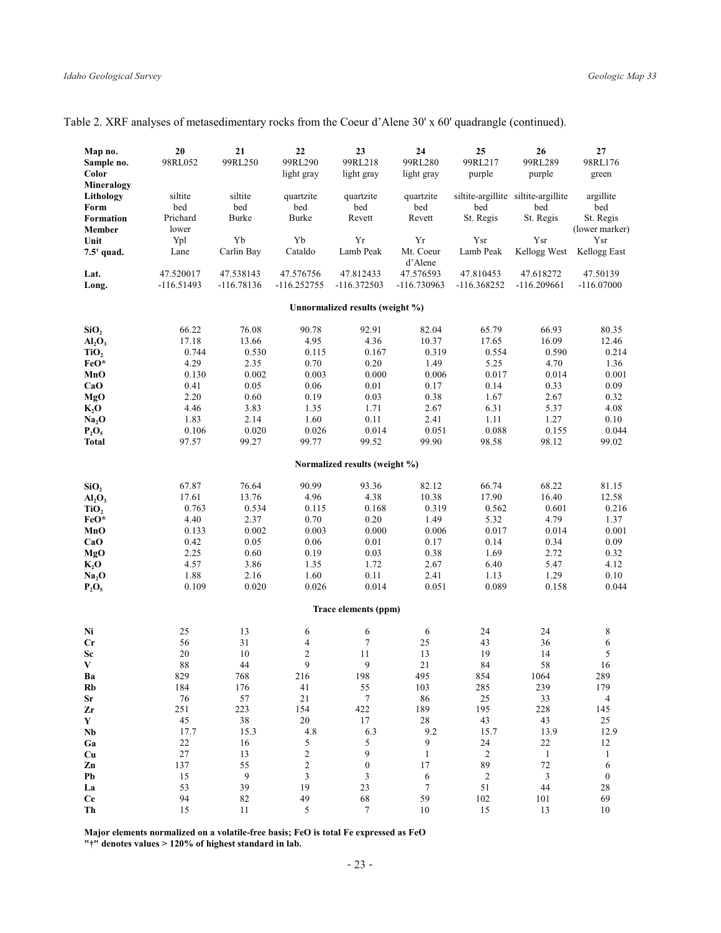| Map no.                                            | 20                        | 21                        | 22                         | 23                              | 24                       | 25                         | 26                                         | 27                       |
|----------------------------------------------------|---------------------------|---------------------------|----------------------------|---------------------------------|--------------------------|----------------------------|--------------------------------------------|--------------------------|
| Sample no.                                         | 98RL052                   | 99RL250                   | 99RL290                    | 99RL218                         | 99RL280                  | 99RL217                    | 99RL289                                    | 98RL176                  |
| Color                                              |                           |                           | light gray                 | light gray                      | light gray               | purple                     | purple                                     | green                    |
| Mineralogy                                         |                           |                           |                            |                                 |                          |                            |                                            |                          |
| Lithology<br>Form                                  | siltite<br>bed            | siltite<br>bed            | quartzite<br>bed           | quartzite<br>bed                | quartzite<br>bed         | bed                        | siltite-argillite siltite-argillite<br>bed | argillite<br>bed         |
| Formation                                          | Prichard                  | <b>Burke</b>              | Burke                      | Revett                          | Revett                   | St. Regis                  | St. Regis                                  | St. Regis                |
| Member                                             | lower                     |                           |                            |                                 |                          |                            |                                            | (lower marker            |
| Unit                                               | Ypl                       | Yb                        | Yb                         | Yr                              | Yr                       | Ysr                        | Ysr                                        | Ysr                      |
| 7.5' quad.                                         | Lane                      | Carlin Bay                | Cataldo                    | Lamb Peak                       | Mt. Coeur                | Lamb Peak                  | Kellogg West                               | Kellogg East             |
|                                                    |                           |                           |                            |                                 | d'Alene                  |                            |                                            |                          |
| Lat.<br>Long.                                      | 47.520017<br>$-116.51493$ | 47.538143<br>$-116.78136$ | 47.576756<br>$-116.252755$ | 47.812433<br>-116.372503        | 47.576593<br>-116.730963 | 47.810453<br>$-116.368252$ | 47.618272<br>$-116.209661$                 | 47.50139<br>$-116.07000$ |
|                                                    |                           |                           |                            |                                 |                          |                            |                                            |                          |
|                                                    |                           |                           |                            | Unnormalized results (weight %) |                          |                            |                                            |                          |
| SiO <sub>2</sub>                                   | 66.22                     | 76.08                     | 90.78                      | 92.91                           | 82.04                    | 65.79                      | 66.93                                      | 80.35                    |
| AI <sub>2</sub> O <sub>3</sub>                     | 17.18                     | 13.66                     | 4.95                       | 4.36                            | 10.37                    | 17.65                      | 16.09                                      | 12.46                    |
| TiO <sub>2</sub>                                   | 0.744                     | 0.530                     | 0.115                      | 0.167                           | 0.319                    | 0.554                      | 0.590                                      | 0.214                    |
| FeO*                                               | 4.29                      | 2.35                      | 0.70                       | 0.20                            | 1.49                     | 5.25                       | 4.70                                       | 1.36                     |
| MnO                                                | 0.130                     | 0.002                     | 0.003                      | 0.000                           | 0.006                    | 0.017                      | 0.014                                      | 0.001                    |
| CaO<br>MgO                                         | 0.41<br>2.20              | 0.05<br>0.60              | 0.06<br>0.19               | 0.01<br>0.03                    | 0.17<br>0.38             | 0.14<br>1.67               | 0.33<br>2.67                               | 0.09<br>0.32             |
| $K_2$ O                                            | 4.46                      | 3.83                      | 1.35                       | 1.71                            | 2.67                     | 6.31                       | 5.37                                       | 4.08                     |
| Na <sub>2</sub> O                                  | 1.83                      | 2.14                      | 1.60                       | 0.11                            | 2.41                     | 1.11                       | 1.27                                       | 0.10                     |
| $P_2O_5$                                           | 0.106                     | 0.020                     | 0.026                      | 0.014                           | 0.051                    | 0.088                      | 0.155                                      | 0.044                    |
| <b>Total</b>                                       | 97.57                     | 99.27                     | 99.77                      | 99.52                           | 99.90                    | 98.58                      | 98.12                                      | 99.02                    |
|                                                    |                           |                           |                            | Normalized results (weight %)   |                          |                            |                                            |                          |
|                                                    |                           |                           |                            |                                 |                          |                            |                                            |                          |
| SiO <sub>2</sub><br>AI <sub>2</sub> O <sub>3</sub> | 67.87<br>17.61            | 76.64<br>13.76            | 90.99<br>4.96              | 93.36<br>4.38                   | 82.12<br>10.38           | 66.74<br>17.90             | 68.22<br>16.40                             | 81.15<br>12.58           |
| TiO <sub>2</sub>                                   | 0.763                     | 0.534                     | 0.115                      | 0.168                           | 0.319                    | 0.562                      | 0.601                                      | 0.216                    |
| FeO*                                               | 4.40                      | 2.37                      | 0.70                       | 0.20                            | 1.49                     | 5.32                       | 4.79                                       | 1.37                     |
| MnO                                                | 0.133                     | 0.002                     | 0.003                      | 0.000                           | 0.006                    | 0.017                      | 0.014                                      | 0.001                    |
| CaO                                                | 0.42                      | 0.05                      | 0.06                       | 0.01                            | 0.17                     | 0.14                       | 0.34                                       | 0.09                     |
| MgO                                                | 2.25                      | 0.60                      | 0.19                       | 0.03                            | 0.38                     | 1.69                       | 2.72                                       | 0.32                     |
| K, O                                               | 4.57                      | 3.86                      | 1.35                       | 1.72                            | 2.67                     | 6.40                       | 5.47                                       | 4.12                     |
| Na, O                                              | 1.88<br>0.109             | 2.16<br>0.020             | 1.60<br>0.026              | 0.11<br>0.014                   | 2.41<br>0.051            | 1.13<br>0.089              | 1.29<br>0.158                              | 0.10<br>0.044            |
| $P_2O_5$                                           |                           |                           |                            |                                 |                          |                            |                                            |                          |
|                                                    |                           |                           |                            | Trace elements (ppm)            |                          |                            |                                            |                          |
| Ni                                                 | 25                        | 13                        | 6                          | 6                               | 6                        | 24                         | 24                                         | 8                        |
| Cr                                                 | 56                        | 31                        | 4                          | $\overline{7}$                  | 25                       | 43                         | 36                                         | 6                        |
| Sc                                                 | $20\,$                    | 10                        | $\mathfrak{2}$             | 11                              | 13                       | 19                         | 14                                         | 5                        |
| V                                                  | 88                        | 44                        | 9                          | 9                               | 21                       | 84                         | 58                                         | 16                       |
| Ba<br><b>Rb</b>                                    | 829<br>184                | 768<br>176                | 216<br>41                  | 198<br>55                       | 495<br>103               | 854<br>285                 | 1064<br>239                                | 289<br>179               |
| ${\bf Sr}$                                         | 76                        | 57                        | 21                         | $\boldsymbol{7}$                | 86                       | 25                         | 33                                         | $\overline{4}$           |
| Zr                                                 | 251                       | 223                       | 154                        | 422                             | 189                      | 195                        | 228                                        | 145                      |
| $\mathbf Y$                                        | $45\,$                    | $3\,8$                    | $20\,$                     | $17\,$                          | $28\,$                   | 43                         | 43                                         | $25\,$                   |
| Nb                                                 | 17.7                      | 15.3                      | 4.8                        | 6.3                             | 9.2                      | 15.7                       | 13.9                                       | 12.9                     |
| Ga                                                 | $22\,$                    | 16                        | 5                          | 5                               | 9                        | 24                         | $22\,$                                     | $12\,$                   |
| Cu                                                 | $27\,$                    | 13                        | $\boldsymbol{2}$           | 9                               | $\mathbf{1}$             | $\sqrt{2}$                 | $\mathbf{1}$                               | $\mathbf{1}$             |
| Zn                                                 | 137                       | 55                        | $\overline{c}$             | $\boldsymbol{0}$                | 17                       | 89                         | 72                                         | 6                        |
| Pb                                                 | 15                        | 9                         | $\mathfrak{Z}$             | 3                               | 6                        | $\sqrt{2}$                 | $\mathfrak{Z}$                             | $\boldsymbol{0}$         |
| La<br>Ce                                           | 53<br>94                  | 39<br>82                  | 19<br>49                   | 23<br>68                        | $\tau$<br>59             | $51\,$<br>102              | 44<br>101                                  | 28<br>69                 |
| Th                                                 | 15                        | 11                        | 5                          | $\boldsymbol{7}$                | 10                       | $15\,$                     | 13                                         | 10                       |
|                                                    |                           |                           |                            |                                 |                          |                            |                                            |                          |

Major elements normalized on a volatile-free basis; FeO is total Fe expressed as FeO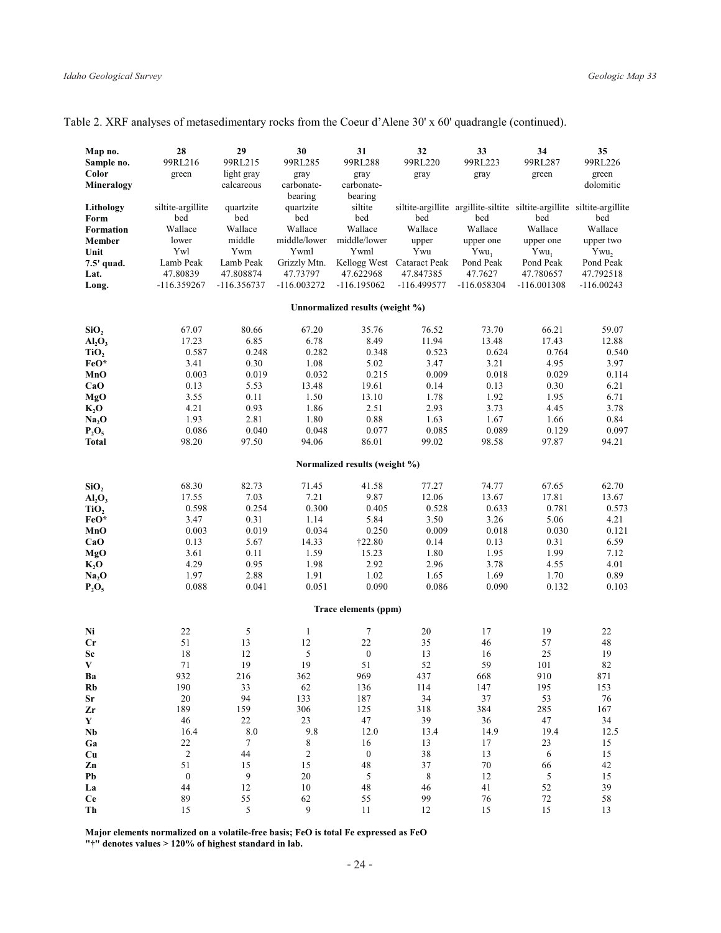| Table 2. XRF analyses of metasedimentary rocks from the Coeur d'Alene 30' x 60' quadrangle (continued). |  |  |
|---------------------------------------------------------------------------------------------------------|--|--|
|---------------------------------------------------------------------------------------------------------|--|--|

| Map no.                        | 28                       | 29                         | 30                        | 31                              | 32                         | 33                                                                             | 34                         | 35                        |
|--------------------------------|--------------------------|----------------------------|---------------------------|---------------------------------|----------------------------|--------------------------------------------------------------------------------|----------------------------|---------------------------|
| Sample no.<br>Color            | 99RL216                  | 99RL215<br>light gray      | 99RL285                   | 99RL288                         | 99RL220                    | 99RL223                                                                        | 99RL287                    | 99RL226                   |
| Mineralogy                     | green                    | calcareous                 | gray<br>carbonate-        | gray<br>carbonate-              | gray                       | gray                                                                           | green                      | green<br>dolomitic        |
|                                |                          |                            | bearing                   | bearing                         |                            |                                                                                |                            |                           |
| Lithology                      | siltite-argillite<br>bed | quartzite<br>bed           | quartzite<br>bed          | siltite<br>bed                  | bed                        | siltite-argillite argillite-siltite siltite-argillite siltite-argillite<br>bed | bed                        | bed                       |
| Form<br>Formation              | Wallace                  | Wallace                    | Wallace                   | Wallace                         | Wallace                    | Wallace                                                                        | Wallace                    | Wallace                   |
| Member                         | lower                    | middle                     | middle/lower              | middle/lower                    | upper                      | upper one                                                                      | upper one                  | upper two                 |
| Unit                           | Ywl                      | Ywm                        | Ywml                      | Ywml                            | Ywu                        | $Ywu_1$                                                                        | $Ywu_1$                    | Ywu,                      |
| 7.5' quad.                     | Lamb Peak<br>47.80839    | Lamb Peak                  | Grizzly Mtn.              |                                 | Kellogg West Cataract Peak | Pond Peak                                                                      | Pond Peak                  | Pond Peak                 |
| Lat.<br>Long.                  | $-116.359267$            | 47.808874<br>$-116.356737$ | 47.73797<br>$-116.003272$ | 47.622968<br>$-116.195062$      | 47.847385<br>$-116.499577$ | 47.7627<br>$-116.058304$                                                       | 47.780657<br>$-116.001308$ | 47.792518<br>$-116.00243$ |
|                                |                          |                            |                           |                                 |                            |                                                                                |                            |                           |
|                                |                          |                            |                           | Unnormalized results (weight %) |                            |                                                                                |                            |                           |
| SiO,                           | 67.07                    | 80.66                      | 67.20                     | 35.76                           | 76.52                      | 73.70                                                                          | 66.21                      | 59.07                     |
| AI <sub>2</sub> O <sub>3</sub> | 17.23                    | 6.85                       | 6.78                      | 8.49                            | 11.94                      | 13.48                                                                          | 17.43                      | 12.88                     |
| TiO <sub>2</sub>               | 0.587                    | 0.248                      | 0.282                     | 0.348                           | 0.523                      | 0.624                                                                          | 0.764                      | 0.540                     |
| FeO*                           | 3.41<br>0.003            | 0.30                       | 1.08<br>0.032             | 5.02                            | 3.47<br>0.009              | 3.21<br>0.018                                                                  | 4.95                       | 3.97                      |
| MnO<br>CaO                     | 0.13                     | 0.019<br>5.53              | 13.48                     | 0.215<br>19.61                  | 0.14                       | 0.13                                                                           | 0.029<br>0.30              | 0.114<br>6.21             |
| MgO                            | 3.55                     | 0.11                       | 1.50                      | 13.10                           | 1.78                       | 1.92                                                                           | 1.95                       | 6.71                      |
| $K_2O$                         | 4.21                     | 0.93                       | 1.86                      | 2.51                            | 2.93                       | 3.73                                                                           | 4.45                       | 3.78                      |
| Na <sub>2</sub> O              | 1.93                     | 2.81                       | 1.80                      | 0.88                            | 1.63                       | 1.67                                                                           | 1.66                       | 0.84                      |
| $P_2O_5$                       | 0.086                    | 0.040                      | 0.048                     | 0.077                           | 0.085                      | 0.089                                                                          | 0.129                      | 0.097                     |
| <b>Total</b>                   | 98.20                    | 97.50                      | 94.06                     | 86.01                           | 99.02                      | 98.58                                                                          | 97.87                      | 94.21                     |
|                                |                          |                            |                           | Normalized results (weight %)   |                            |                                                                                |                            |                           |
| SiO,                           | 68.30                    | 82.73                      | 71.45                     | 41.58                           | 77.27                      | 74.77                                                                          | 67.65                      | 62.70                     |
| AI <sub>2</sub> O <sub>3</sub> | 17.55                    | 7.03                       | 7.21                      | 9.87                            | 12.06                      | 13.67                                                                          | 17.81                      | 13.67                     |
| TiO,                           | 0.598                    | 0.254                      | 0.300                     | 0.405                           | 0.528                      | 0.633                                                                          | 0.781                      | 0.573                     |
| FeO*                           | 3.47                     | 0.31                       | 1.14                      | 5.84                            | 3.50                       | 3.26                                                                           | 5.06                       | 4.21                      |
| MnO                            | 0.003                    | 0.019                      | 0.034                     | 0.250                           | 0.009                      | 0.018                                                                          | 0.030                      | 0.121                     |
| CaO                            | 0.13                     | 5.67                       | 14.33                     | <b>†22.80</b>                   | 0.14                       | 0.13                                                                           | 0.31                       | 6.59                      |
| MgO                            | 3.61<br>4.29             | 0.11<br>0.95               | 1.59<br>1.98              | 15.23<br>2.92                   | 1.80<br>2.96               | 1.95<br>3.78                                                                   | 1.99<br>4.55               | 7.12<br>4.01              |
| K, O<br>Na <sub>2</sub> O      | 1.97                     | 2.88                       | 1.91                      | 1.02                            | 1.65                       | 1.69                                                                           | 1.70                       | 0.89                      |
| $P_2O_5$                       | 0.088                    | 0.041                      | 0.051                     | 0.090                           | 0.086                      | 0.090                                                                          | 0.132                      | 0.103                     |
|                                |                          |                            |                           |                                 |                            |                                                                                |                            |                           |
|                                |                          |                            |                           | Trace elements (ppm)            |                            |                                                                                |                            |                           |
| Ni                             | 22                       | 5                          | $\mathbf{1}$              | $\tau$                          | 20                         | 17                                                                             | 19                         | 22                        |
| Cr                             | 51                       | 13                         | 12                        | 22                              | 35                         | 46                                                                             | 57                         | 48                        |
| Sc                             | 18                       | 12                         | 5                         | $\boldsymbol{0}$                | 13                         | 16                                                                             | 25                         | 19                        |
| $\mathbf{V}$<br>Ba             | 71<br>932                | 19<br>216                  | 19<br>362                 | 51<br>969                       | 52<br>437                  | 59<br>668                                                                      | 101<br>910                 | 82<br>871                 |
| Rb                             | 190                      | 33                         | 62                        | 136                             | 114                        | 147                                                                            | 195                        | 153                       |
| Sr                             | 20                       | 94                         | 133                       | 187                             | 34                         | 37                                                                             | 53                         | 76                        |
| Zr                             | 189                      | 159                        | 306                       | 125                             | 318                        | 384                                                                            | 285                        | 167                       |
| Y                              | 46                       | $22\,$                     | 23                        | 47                              | 39                         | 36                                                                             | 47                         | 34                        |
| N <sub>b</sub>                 | 16.4                     | 8.0                        | 9.8                       | 12.0                            | 13.4                       | 14.9                                                                           | 19.4                       | 12.5                      |
| Ga                             | 22                       | $7\phantom{.0}$            | 8                         | 16                              | 13                         | 17                                                                             | 23                         | 15                        |
| Cu                             | $\overline{c}$<br>51     | 44<br>15                   | $\mathbf{2}$              | $\boldsymbol{0}$                | 38<br>37                   | 13                                                                             | 6                          | $15\,$                    |
| Zn<br>Pb                       | $\boldsymbol{0}$         | 9                          | 15<br>$20\,$              | 48<br>5                         | $\,8\,$                    | $70\,$<br>12                                                                   | 66<br>5                    | 42<br>15                  |
| La                             | 44                       | 12                         | 10                        | 48                              | 46                         | 41                                                                             | 52                         | 39                        |
| <b>Ce</b>                      | 89                       | 55                         | 62                        | 55                              | 99                         | 76                                                                             | $72\,$                     | 58                        |
| Th                             | 15                       | 5                          | 9                         | 11                              | 12                         | 15                                                                             | 15                         | 13                        |

Major elements normalized on a volatile-free basis; FeO is total Fe expressed as FeO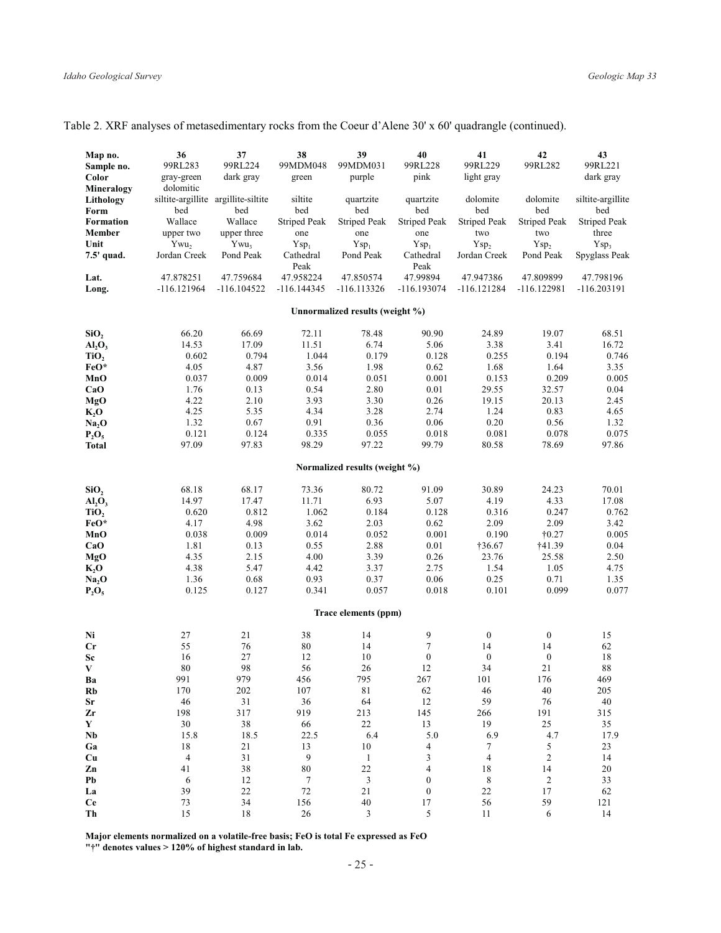|  |  |  |  |  |  | Table 2. XRF analyses of metasedimentary rocks from the Coeur d'Alene 30' x 60' quadrangle (continued). |  |
|--|--|--|--|--|--|---------------------------------------------------------------------------------------------------------|--|
|  |  |  |  |  |  |                                                                                                         |  |

| Map no.                        | 36             | 37                                  | 38                         | 39                              | 40                         | 41                         | 42                         | 43                         |
|--------------------------------|----------------|-------------------------------------|----------------------------|---------------------------------|----------------------------|----------------------------|----------------------------|----------------------------|
| Sample no.                     | 99RL283        | 99RL224                             | 99MDM048                   | 99MDM031                        | 99RL228                    | 99RL229                    | 99RL282                    | 99RL221                    |
| Color                          | gray-green     | dark gray                           | green                      | purple                          | pink                       | light gray                 |                            | dark gray                  |
| Mineralogy<br>Lithology        | dolomitic      | siltite-argillite argillite-siltite | siltite                    | quartzite                       | quartzite                  | dolomite                   | dolomite                   | siltite-argillite          |
| Form<br><b>Formation</b>       | bed<br>Wallace | bed<br>Wallace                      | bed<br><b>Striped Peak</b> | bed<br><b>Striped Peak</b>      | bed<br><b>Striped Peak</b> | bed<br><b>Striped Peak</b> | bed<br><b>Striped Peak</b> | bed<br><b>Striped Peak</b> |
| Member                         | upper two      | upper three                         | one                        | one                             | one                        | two                        | two                        | three                      |
| Unit                           | Ywu,           | $Ywu_3$                             | $Ysp_1$                    | $Ysp_1$                         | $Ysp_1$                    | Ysp <sub>2</sub>           | Ysp <sub>2</sub>           | Ysp <sub>3</sub>           |
| 7.5' quad.                     | Jordan Creek   | Pond Peak                           | Cathedral<br>Peak          | Pond Peak                       | Cathedral<br>Peak          | Jordan Creek               | Pond Peak                  | Spyglass Peak              |
| Lat.                           | 47.878251      | 47.759684                           | 47.958224                  | 47.850574                       | 47.99894                   | 47.947386                  | 47.809899                  | 47.798196                  |
| Long.                          | -116.121964    | $-116.104522$                       | $-116.144345$              | $-116.113326$                   | $-116.193074$              | $-116.121284$              | -116.122981                | $-116.203191$              |
|                                |                |                                     |                            | Unnormalized results (weight %) |                            |                            |                            |                            |
| SiO,                           | 66.20          | 66.69                               | 72.11                      | 78.48                           | 90.90                      | 24.89                      | 19.07                      | 68.51                      |
| AI <sub>2</sub> O <sub>3</sub> | 14.53          | 17.09                               | 11.51                      | 6.74                            | 5.06                       | 3.38                       | 3.41                       | 16.72                      |
| TiO <sub>2</sub>               | 0.602          | 0.794                               | 1.044                      | 0.179                           | 0.128                      | 0.255                      | 0.194                      | 0.746                      |
| FeO*                           | 4.05           | 4.87                                | 3.56                       | 1.98                            | 0.62                       | 1.68                       | 1.64                       | 3.35                       |
| MnO                            | 0.037          | 0.009                               | 0.014                      | 0.051                           | 0.001                      | 0.153                      | 0.209                      | 0.005                      |
| CaO                            | 1.76           | 0.13                                | 0.54                       | 2.80                            | 0.01                       | 29.55                      | 32.57                      | 0.04                       |
| <b>MgO</b>                     | 4.22<br>4.25   | 2.10<br>5.35                        | 3.93<br>4.34               | 3.30<br>3.28                    | 0.26<br>2.74               | 19.15<br>1.24              | 20.13<br>0.83              | 2.45<br>4.65               |
| $K_2O$<br>Na <sub>2</sub> O    | 1.32           | 0.67                                | 0.91                       | 0.36                            | 0.06                       | 0.20                       | 0.56                       | 1.32                       |
| $P_2O_5$                       | 0.121          | 0.124                               | 0.335                      | 0.055                           | 0.018                      | 0.081                      | 0.078                      | 0.075                      |
| <b>Total</b>                   | 97.09          | 97.83                               | 98.29                      | 97.22                           | 99.79                      | 80.58                      | 78.69                      | 97.86                      |
|                                |                |                                     |                            | Normalized results (weight %)   |                            |                            |                            |                            |
| SiO <sub>2</sub>               | 68.18          | 68.17                               | 73.36                      | 80.72                           | 91.09                      | 30.89                      | 24.23                      | 70.01                      |
| AI <sub>2</sub> O <sub>3</sub> | 14.97          | 17.47                               | 11.71                      | 6.93                            | 5.07                       | 4.19                       | 4.33                       | 17.08                      |
| TiO <sub>2</sub>               | 0.620          | 0.812                               | 1.062                      | 0.184                           | 0.128                      | 0.316                      | 0.247                      | 0.762                      |
| FeO*                           | 4.17           | 4.98                                | 3.62                       | 2.03                            | 0.62                       | 2.09                       | 2.09                       | 3.42                       |
| MnO                            | 0.038          | 0.009                               | 0.014                      | 0.052                           | 0.001                      | 0.190                      | $\dagger 0.27$             | 0.005                      |
| CaO                            | 1.81           | 0.13                                | 0.55                       | 2.88                            | 0.01                       | †36.67                     | †41.39                     | 0.04                       |
| MgO                            | 4.35           | 2.15                                | 4.00                       | 3.39                            | 0.26                       | 23.76                      | 25.58                      | 2.50                       |
| $K_2O$                         | 4.38           | 5.47                                | 4.42                       | 3.37                            | 2.75                       | 1.54                       | 1.05                       | 4.75                       |
| Na, O                          | 1.36           | 0.68                                | 0.93                       | 0.37                            | 0.06                       | 0.25                       | 0.71                       | 1.35                       |
| $P_2O_5$                       | 0.125          | 0.127                               | 0.341                      | 0.057                           | 0.018                      | 0.101                      | 0.099                      | 0.077                      |
|                                |                |                                     |                            | Trace elements (ppm)            |                            |                            |                            |                            |
| Ni                             | 27             | 21                                  | 38                         | 14                              | 9                          | $\boldsymbol{0}$           | $\boldsymbol{0}$           | 15                         |
| Cr                             | 55             | 76                                  | 80                         | 14                              | $\tau$                     | 14                         | 14                         | 62                         |
| Sc                             | 16             | 27                                  | 12                         | 10                              | $\boldsymbol{0}$           | $\boldsymbol{0}$           | $\boldsymbol{0}$           | 18                         |
| V                              | 80             | 98                                  | 56                         | 26                              | 12                         | 34                         | 21                         | 88                         |
| Ba<br>Rb                       | 991<br>170     | 979<br>202                          | 456<br>107                 | 795<br>81                       | 267<br>62                  | 101<br>46                  | 176<br>$40\,$              | 469<br>205                 |
| Sr                             | 46             | 31                                  | 36                         | 64                              | 12                         | 59                         | 76                         | 40                         |
| Zr                             | 198            | 317                                 | 919                        | 213                             | 145                        | 266                        | 191                        | 315                        |
| Y                              | 30             | 38                                  | 66                         | $22\,$                          | 13                         | 19                         | $25\,$                     | 35                         |
| Nb                             | 15.8           | 18.5                                | 22.5                       | 6.4                             | 5.0                        | 6.9                        | 4.7                        | 17.9                       |
| Ga                             | 18             | 21                                  | 13                         | 10                              | 4                          | 7                          | 5                          | 23                         |
| Cu                             | $\overline{4}$ | 31                                  | 9                          | $\mathbf{1}$                    | 3                          | $\overline{4}$             | $\boldsymbol{2}$           | 14                         |
| Zn                             | 41             | 38                                  | 80                         | $22\,$                          | 4                          | 18                         | 14                         | 20                         |
| Pb                             | 6              | 12                                  | 7                          | $\mathfrak{Z}$                  | $\boldsymbol{0}$           | 8                          | $\overline{c}$             | 33                         |
| La                             | 39             | $22\,$                              | $72\,$                     | 21                              | $\boldsymbol{0}$           | 22                         | 17                         | 62                         |
| <b>Ce</b><br>Th                | 73<br>15       | 34<br>$18\,$                        | 156<br>26                  | 40<br>3                         | 17<br>5                    | 56<br>11                   | 59<br>6                    | 121<br>14                  |
|                                |                |                                     |                            |                                 |                            |                            |                            |                            |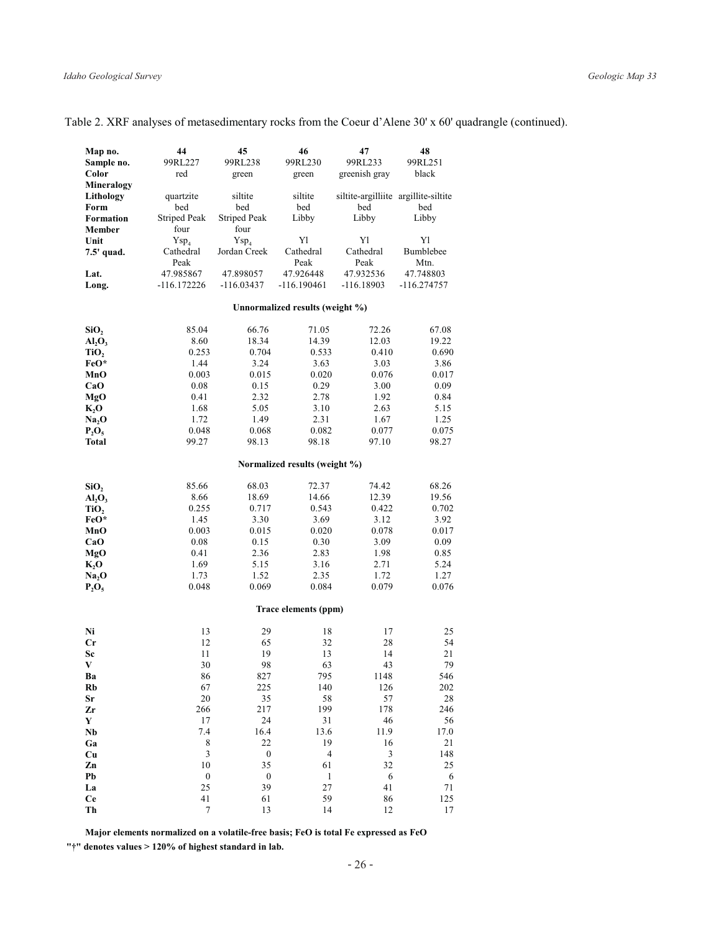| Map no.                        | 44                   | 45                  | 46                              | 47                                   | 48          |
|--------------------------------|----------------------|---------------------|---------------------------------|--------------------------------------|-------------|
| Sample no.                     | 99RL227              | 99RL238             | 99RL230                         | 99RL233                              | 99RL251     |
| Color                          | red                  | green               | green                           | greenish gray                        | black       |
| Mineralogy                     |                      |                     |                                 |                                      |             |
| Lithology                      | quartzite            | siltite             | siltite                         | siltite-argilliite argillite-siltite |             |
| Form                           | bed                  | bed                 | bed                             | bed                                  | bed         |
| <b>Formation</b>               | <b>Striped Peak</b>  | <b>Striped Peak</b> | Libby                           | Libby                                | Libby       |
| Member                         | four                 | four                |                                 |                                      |             |
| Unit                           | Ysp <sub>4</sub>     | Ysp <sub>4</sub>    | Y1                              | Y1                                   | Y1          |
| 7.5' quad.                     | Cathedral            | Jordan Creek        | Cathedral                       | Cathedral                            | Bumblebee   |
|                                | Peak                 |                     | Peak                            | Peak                                 | Mtn.        |
| Lat.                           | 47.985867            | 47.898057           | 47.926448                       | 47.932536                            | 47.748803   |
| Long.                          | -116.172226          | $-116.03437$        | $-116.190461$                   | $-116.18903$                         | -116.274757 |
|                                |                      |                     |                                 |                                      |             |
|                                |                      |                     | Unnormalized results (weight %) |                                      |             |
| SiO,                           | 85.04                | 66.76               | 71.05                           | 72.26                                | 67.08       |
| AI <sub>2</sub> O <sub>3</sub> | 8.60                 | 18.34               | 14.39                           | 12.03                                | 19.22       |
| TiO,                           | 0.253                | 0.704               | 0.533                           | 0.410                                | 0.690       |
| FeO*                           | 1.44                 | 3.24                | 3.63                            | 3.03                                 | 3.86        |
| MnO                            | 0.003                | 0.015               | 0.020                           | 0.076                                | 0.017       |
| CaO                            | 0.08                 | 0.15                | 0.29                            | 3.00                                 | 0.09        |
| MgO                            | 0.41                 | 2.32                | 2.78                            | 1.92                                 | 0.84        |
| K, O                           | 1.68                 | 5.05                | 3.10                            | 2.63                                 | 5.15        |
| Na, O                          | 1.72                 | 1.49                | 2.31                            | 1.67                                 | 1.25        |
| $P_2O_5$                       | 0.048                | 0.068               | 0.082                           | 0.077                                | 0.075       |
| Total                          | 99.27                | 98.13               | 98.18                           | 97.10                                | 98.27       |
|                                |                      |                     | Normalized results (weight %)   |                                      |             |
|                                |                      |                     |                                 |                                      |             |
| SiO <sub>2</sub>               | 85.66                | 68.03               | 72.37                           | 74.42                                | 68.26       |
| AI <sub>2</sub> O <sub>3</sub> | 8.66                 | 18.69               | 14.66                           | 12.39                                | 19.56       |
| TiO,                           | 0.255                | 0.717               | 0.543                           | 0.422                                | 0.702       |
| FeO*                           | 1.45                 | 3.30                | 3.69                            | 3.12                                 | 3.92        |
| MnO                            | 0.003                | 0.015               | 0.020                           | 0.078                                | 0.017       |
| CaO                            | 0.08                 | 0.15                | 0.30                            | 3.09                                 | 0.09        |
| MgO                            | 0.41                 | 2.36                | 2.83                            | 1.98                                 | 0.85        |
| K, O                           | 1.69                 | 5.15                | 3.16                            | 2.71                                 | 5.24        |
| Na, O                          | 1.73                 | 1.52                | 2.35                            | 1.72                                 | 1.27        |
| $P_2O_5$                       | 0.048                | 0.069               | 0.084                           | 0.079                                | 0.076       |
|                                |                      |                     | Trace elements (ppm)            |                                      |             |
| Ni                             | 13                   | 29                  | 18                              | 17                                   | 25          |
| $_{\rm Cr}$                    | 12                   | 65                  | 32                              | 28                                   | 54          |
| Sc                             | 11                   | 19                  | 13                              | 14                                   | 21          |
| V                              | 30                   | 98                  | 63                              | 43                                   | 79          |
| Ba                             | 86                   | 827                 | 795                             | 1148                                 | 546         |
| Rb                             | 67                   | 225                 | 140                             | 126                                  | 202         |
| Sr                             | 20                   | 35                  | 58                              | 57                                   | 28          |
| Zr                             | 266                  | 217                 | 199                             | 178                                  | 246         |
| Y                              | 17                   | 24                  | 31                              | 46                                   | 56          |
| Nb                             | 7.4                  | 16.4                | 13.6                            | 11.9                                 | 17.0        |
| Ga                             | 8                    | 22                  | 19                              | 16                                   | 21          |
| Cu                             | $\mathfrak{Z}$       | $\boldsymbol{0}$    | 4                               | $\mathfrak{Z}$                       | 148         |
| Zn                             | 10                   | 35                  | 61                              | 32                                   | 25          |
| Pb                             | $\boldsymbol{0}$     | $\boldsymbol{0}$    | $\mathbf{1}$                    | 6                                    | 6           |
| La                             | 25                   | 39                  | 27                              | 41                                   | 71          |
| <b>Ce</b>                      | 41<br>$\overline{7}$ | 61<br>13            | 59                              | 86                                   | 125<br>17   |
| Th                             |                      |                     | 14                              | 12                                   |             |

Major elements normalized on a volatile-free basis; FeO is total Fe expressed as FeO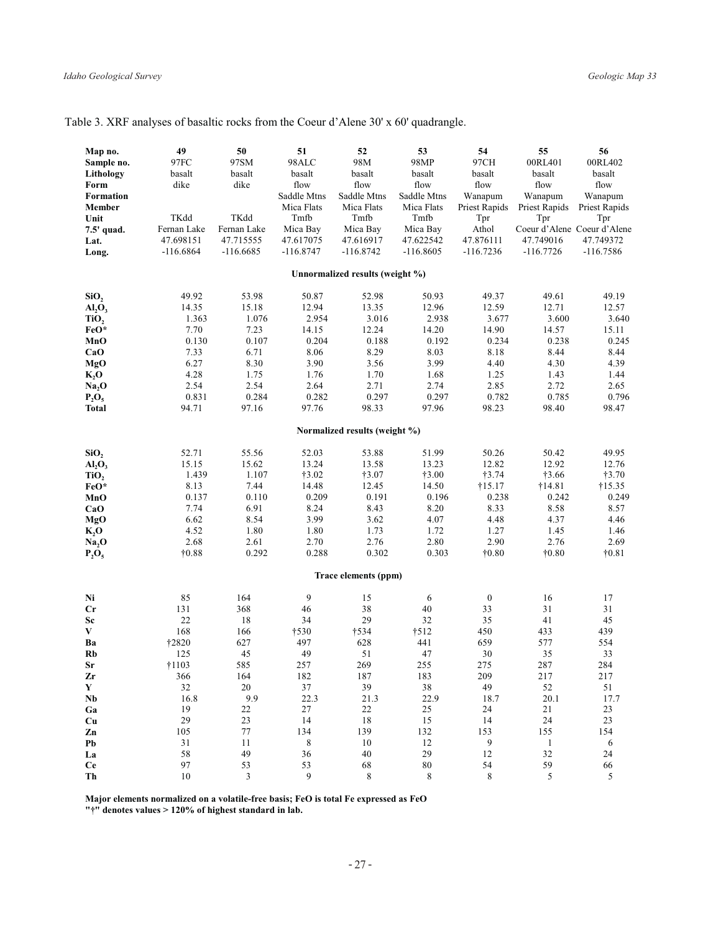| Map no.<br>Sample no.<br>Lithology<br>Form<br>Formation<br>Member<br>Unit<br>7.5' quad.<br>Lat.<br>Long.                                     | 49<br>97FC<br>basalt<br>dike<br>TKdd<br>Fernan Lake<br>47.698151<br>$-116.6864$                     | ${\bf 50}$<br>97SM<br>basalt<br>dike<br>TKdd<br>Fernan Lake<br>47.715555<br>$-116.6685$           | 51<br>98ALC<br>basalt<br>flow<br>Saddle Mtns<br>Mica Flats<br>Tmfb<br>Mica Bay<br>47.617075<br>$-116.8747$ | 52<br>98M<br>basalt<br>flow<br>Saddle Mtns<br>Mica Flats<br>Tmfb<br>Mica Bay<br>47.616917<br>$-116.8742$   | 53<br>98MP<br>basalt<br>flow<br>Saddle Mtns<br>Mica Flats<br>Tmfb<br>Mica Bay<br>47.622542<br>$-116.8605$ | 54<br>97CH<br>basalt<br>flow<br>Wanapum<br>Priest Rapids<br>Tpr<br>Athol<br>47.876111<br>$-116.7236$       | 55<br>00RL401<br>basalt<br>flow<br>Wanapum<br>Priest Rapids<br>Tpr<br>47.749016<br>$-116.7726$          | 56<br>00RL402<br>basalt<br>flow<br>Wanapum<br>Priest Rapids<br>Tpr<br>Coeur d'Alene Coeur d'Alene<br>47.749372<br>$-116.7586$ |
|----------------------------------------------------------------------------------------------------------------------------------------------|-----------------------------------------------------------------------------------------------------|---------------------------------------------------------------------------------------------------|------------------------------------------------------------------------------------------------------------|------------------------------------------------------------------------------------------------------------|-----------------------------------------------------------------------------------------------------------|------------------------------------------------------------------------------------------------------------|---------------------------------------------------------------------------------------------------------|-------------------------------------------------------------------------------------------------------------------------------|
|                                                                                                                                              |                                                                                                     |                                                                                                   |                                                                                                            | Unnormalized results (weight %)                                                                            |                                                                                                           |                                                                                                            |                                                                                                         |                                                                                                                               |
| SiO <sub>2</sub><br>AI <sub>2</sub> O <sub>3</sub><br>TiO,<br>FeO*<br>MnO<br>CaO<br>MgO<br>$K_2$ O<br>Na <sub>2</sub> O<br>$P_2O_5$<br>Total | 49.92<br>14.35<br>1.363<br>7.70<br>0.130<br>7.33<br>6.27<br>4.28<br>2.54<br>0.831<br>94.71          | 53.98<br>15.18<br>1.076<br>7.23<br>0.107<br>6.71<br>8.30<br>1.75<br>2.54<br>0.284<br>97.16        | 50.87<br>12.94<br>2.954<br>14.15<br>0.204<br>8.06<br>3.90<br>1.76<br>2.64<br>0.282<br>97.76                | 52.98<br>13.35<br>3.016<br>12.24<br>0.188<br>8.29<br>3.56<br>1.70<br>2.71<br>0.297<br>98.33                | 50.93<br>12.96<br>2.938<br>14.20<br>0.192<br>8.03<br>3.99<br>1.68<br>2.74<br>0.297<br>97.96               | 49.37<br>12.59<br>3.677<br>14.90<br>0.234<br>8.18<br>4.40<br>1.25<br>2.85<br>0.782<br>98.23                | 49.61<br>12.71<br>3.600<br>14.57<br>0.238<br>8.44<br>4.30<br>1.43<br>2.72<br>0.785<br>98.40             | 49.19<br>12.57<br>3.640<br>15.11<br>0.245<br>8.44<br>4.39<br>1.44<br>2.65<br>0.796<br>98.47                                   |
|                                                                                                                                              |                                                                                                     |                                                                                                   |                                                                                                            | Normalized results (weight %)                                                                              |                                                                                                           |                                                                                                            |                                                                                                         |                                                                                                                               |
| SiO <sub>2</sub><br>AI <sub>2</sub> O <sub>3</sub><br>TiO <sub>2</sub><br>FeO*<br>MnO<br>CaO<br>MgO<br>K, O<br>Na, O<br>$P_2O_5$             | 52.71<br>15.15<br>1.439<br>8.13<br>0.137<br>7.74<br>6.62<br>4.52<br>2.68<br>$\dagger 0.88$          | 55.56<br>15.62<br>1.107<br>7.44<br>0.110<br>6.91<br>8.54<br>1.80<br>2.61<br>0.292                 | 52.03<br>13.24<br>†3.02<br>14.48<br>0.209<br>8.24<br>3.99<br>1.80<br>2.70<br>0.288                         | 53.88<br>13.58<br>†3.07<br>12.45<br>0.191<br>8.43<br>3.62<br>1.73<br>2.76<br>0.302<br>Trace elements (ppm) | 51.99<br>13.23<br>$\dagger 3.00$<br>14.50<br>0.196<br>8.20<br>4.07<br>1.72<br>2.80<br>0.303               | 50.26<br>12.82<br>†3.74<br>†15.17<br>0.238<br>8.33<br>4.48<br>1.27<br>2.90<br>$\dagger 0.80$               | 50.42<br>12.92<br>$\dagger 3.66$<br>†14.81<br>0.242<br>8.58<br>4.37<br>1.45<br>2.76<br>$\dagger 0.80$   | 49.95<br>12.76<br>$\dagger 3.70$<br>$\dagger$ 15.35<br>0.249<br>8.57<br>4.46<br>1.46<br>2.69<br>$\dagger 0.81$                |
| Ni<br>Cr<br><b>Sc</b><br>V<br>Ba<br>Rb<br>Sr<br>Zr<br>Y<br>$\mathbf{Nb}$<br>Ga<br>Cu<br>Zn<br>Pb<br>La                                       | 85<br>131<br>22<br>168<br>†2820<br>125<br>†1103<br>366<br>32<br>16.8<br>19<br>29<br>105<br>31<br>58 | 164<br>368<br>18<br>166<br>627<br>45<br>585<br>164<br>$20\,$<br>9.9<br>22<br>23<br>77<br>11<br>49 | 9<br>46<br>34<br>†530<br>497<br>49<br>257<br>182<br>37<br>22.3<br>27<br>14<br>134<br>$\,8\,$<br>36         | 15<br>38<br>29<br>†534<br>628<br>51<br>269<br>187<br>39<br>21.3<br>22<br>18<br>139<br>10<br>40             | 6<br>$40\,$<br>32<br>†512<br>441<br>47<br>255<br>183<br>$3\,8$<br>22.9<br>25<br>15<br>132<br>12<br>29     | $\boldsymbol{0}$<br>33<br>35<br>450<br>659<br>30<br>275<br>209<br>49<br>18.7<br>24<br>14<br>153<br>9<br>12 | 16<br>31<br>41<br>433<br>577<br>35<br>287<br>217<br>52<br>20.1<br>21<br>24<br>155<br>$\mathbf{1}$<br>32 | 17<br>31<br>45<br>439<br>554<br>33<br>284<br>217<br>51<br>17.7<br>23<br>23<br>154<br>6<br>24                                  |
| <b>Ce</b><br>Th                                                                                                                              | 97<br>10                                                                                            | 53<br>3                                                                                           | 53<br>9                                                                                                    | 68<br>8                                                                                                    | 80<br>8                                                                                                   | 54<br>8                                                                                                    | 59<br>5                                                                                                 | 66<br>5                                                                                                                       |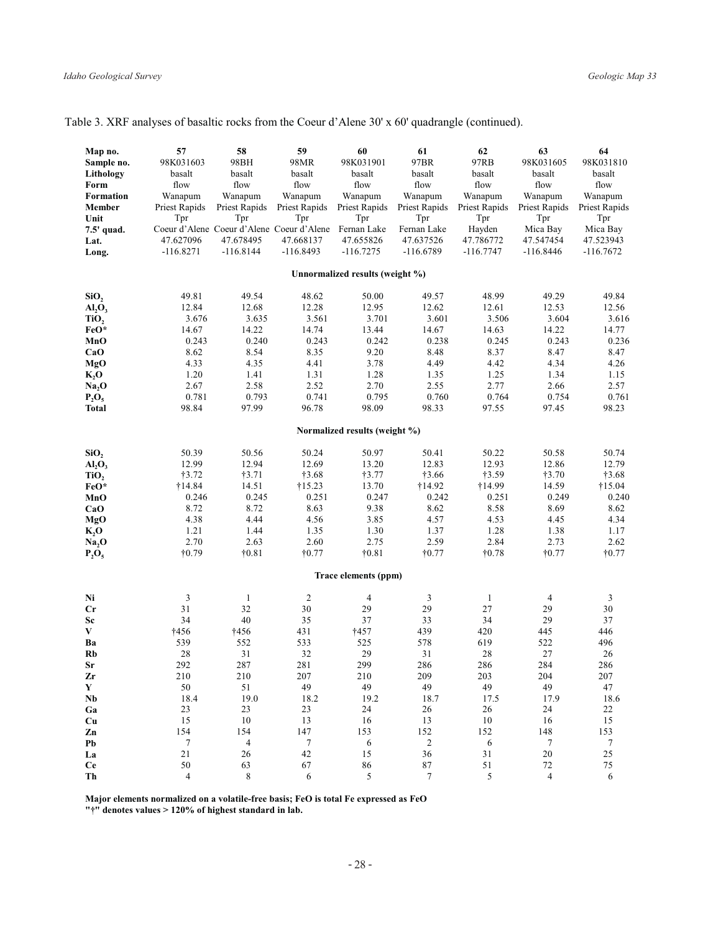| Map no.<br>Sample no.<br>Lithology<br>Form<br>Formation<br>Member<br>Unit<br>7.5' quad.<br>Lat.<br>Long. | 57<br>98K031603<br>basalt<br>flow<br>Wanapum<br>Priest Rapids<br>Tpr<br>47.627096<br>$-116.8271$ | 58<br>98BH<br>basalt<br>flow<br>Wanapum<br>Priest Rapids<br>Tpr<br>47.678495<br>$-116.8144$ | 59<br>98MR<br>basalt<br>flow<br>Wanapum<br>Priest Rapids<br>Tpr<br>Coeur d'Alene Coeur d'Alene Coeur d'Alene Fernan Lake<br>47.668137<br>$-116.8493$ | 60<br>98K031901<br>basalt<br>flow<br>Wanapum<br>Priest Rapids<br>Tpr<br>47.655826<br>$-116.7275$ | 61<br>97BR<br>basalt<br>flow<br>Wanapum<br>Priest Rapids<br>Tpr<br>Fernan Lake<br>47.637526<br>$-116.6789$ | 62<br>97RB<br>basalt<br>flow<br>Wanapum<br>Priest Rapids<br>Tpr<br>Hayden<br>47.786772<br>$-116.7747$ | 63<br>98K031605<br>basalt<br>flow<br>Wanapum<br>Priest Rapids<br>Tpr<br>Mica Bay<br>47.547454<br>$-116.8446$ | 64<br>98K031810<br>basalt<br>flow<br>Wanapum<br>Priest Rapids<br>Tpr<br>Mica Bay<br>47.523943<br>-116.7672 |
|----------------------------------------------------------------------------------------------------------|--------------------------------------------------------------------------------------------------|---------------------------------------------------------------------------------------------|------------------------------------------------------------------------------------------------------------------------------------------------------|--------------------------------------------------------------------------------------------------|------------------------------------------------------------------------------------------------------------|-------------------------------------------------------------------------------------------------------|--------------------------------------------------------------------------------------------------------------|------------------------------------------------------------------------------------------------------------|
|                                                                                                          |                                                                                                  |                                                                                             |                                                                                                                                                      | Unnormalized results (weight %)                                                                  |                                                                                                            |                                                                                                       |                                                                                                              |                                                                                                            |
|                                                                                                          | 49.81                                                                                            | 49.54                                                                                       | 48.62                                                                                                                                                | 50.00                                                                                            | 49.57                                                                                                      | 48.99                                                                                                 | 49.29                                                                                                        | 49.84                                                                                                      |
| SiO <sub>2</sub><br>AI <sub>2</sub> O <sub>3</sub>                                                       | 12.84                                                                                            | 12.68                                                                                       | 12.28                                                                                                                                                | 12.95                                                                                            | 12.62                                                                                                      | 12.61                                                                                                 | 12.53                                                                                                        | 12.56                                                                                                      |
| TiO,                                                                                                     | 3.676                                                                                            | 3.635                                                                                       | 3.561                                                                                                                                                | 3.701                                                                                            | 3.601                                                                                                      | 3.506                                                                                                 | 3.604                                                                                                        | 3.616                                                                                                      |
| FeO*                                                                                                     | 14.67                                                                                            | 14.22                                                                                       | 14.74                                                                                                                                                | 13.44                                                                                            | 14.67                                                                                                      | 14.63                                                                                                 | 14.22                                                                                                        | 14.77                                                                                                      |
| MnO                                                                                                      | 0.243                                                                                            | 0.240                                                                                       | 0.243                                                                                                                                                | 0.242                                                                                            | 0.238                                                                                                      | 0.245                                                                                                 | 0.243                                                                                                        | 0.236                                                                                                      |
| CaO                                                                                                      | 8.62                                                                                             | 8.54                                                                                        | 8.35                                                                                                                                                 | 9.20                                                                                             | 8.48                                                                                                       | 8.37                                                                                                  | 8.47                                                                                                         | 8.47                                                                                                       |
| MgO                                                                                                      | 4.33                                                                                             | 4.35                                                                                        | 4.41                                                                                                                                                 | 3.78                                                                                             | 4.49                                                                                                       | 4.42                                                                                                  | 4.34                                                                                                         | 4.26                                                                                                       |
| $K_2$ O                                                                                                  | 1.20                                                                                             | 1.41                                                                                        | 1.31                                                                                                                                                 | 1.28                                                                                             | 1.35                                                                                                       | 1.25                                                                                                  | 1.34                                                                                                         | 1.15                                                                                                       |
| Na, O                                                                                                    | 2.67                                                                                             | 2.58                                                                                        | 2.52                                                                                                                                                 | 2.70                                                                                             | 2.55                                                                                                       | 2.77                                                                                                  | 2.66                                                                                                         | 2.57                                                                                                       |
| $P_2O_5$                                                                                                 | 0.781                                                                                            | 0.793                                                                                       | 0.741                                                                                                                                                | 0.795                                                                                            | 0.760                                                                                                      | 0.764                                                                                                 | 0.754                                                                                                        | 0.761                                                                                                      |
| Total                                                                                                    | 98.84                                                                                            | 97.99                                                                                       | 96.78                                                                                                                                                | 98.09                                                                                            | 98.33                                                                                                      | 97.55                                                                                                 | 97.45                                                                                                        | 98.23                                                                                                      |
|                                                                                                          |                                                                                                  |                                                                                             |                                                                                                                                                      | Normalized results (weight %)                                                                    |                                                                                                            |                                                                                                       |                                                                                                              |                                                                                                            |
| SiO,                                                                                                     | 50.39                                                                                            | 50.56                                                                                       | 50.24                                                                                                                                                | 50.97                                                                                            | 50.41                                                                                                      | 50.22                                                                                                 | 50.58                                                                                                        | 50.74                                                                                                      |
| AI <sub>2</sub> O <sub>3</sub>                                                                           | 12.99                                                                                            | 12.94                                                                                       | 12.69                                                                                                                                                | 13.20                                                                                            | 12.83                                                                                                      | 12.93                                                                                                 | 12.86                                                                                                        | 12.79                                                                                                      |
| TiO,                                                                                                     | †3.72                                                                                            | †3.71                                                                                       | †3.68                                                                                                                                                | †3.77                                                                                            | †3.66                                                                                                      | †3.59                                                                                                 | †3.70                                                                                                        | $\dagger 3.68$                                                                                             |
| FeO*                                                                                                     | †14.84                                                                                           | 14.51                                                                                       | $\dagger$ 15.23                                                                                                                                      | 13.70                                                                                            | †14.92                                                                                                     | †14.99                                                                                                | 14.59                                                                                                        | $\dagger$ 15.04                                                                                            |
| MnO                                                                                                      | 0.246                                                                                            | 0.245                                                                                       | 0.251                                                                                                                                                | 0.247                                                                                            | 0.242                                                                                                      | 0.251                                                                                                 | 0.249                                                                                                        | 0.240                                                                                                      |
| CaO                                                                                                      | 8.72                                                                                             | 8.72                                                                                        | 8.63                                                                                                                                                 | 9.38                                                                                             | 8.62                                                                                                       | 8.58                                                                                                  | 8.69                                                                                                         | 8.62                                                                                                       |
| MgO                                                                                                      | 4.38                                                                                             | 4.44                                                                                        | 4.56                                                                                                                                                 | 3.85                                                                                             | 4.57                                                                                                       | 4.53                                                                                                  | 4.45                                                                                                         | 4.34                                                                                                       |
| K, O                                                                                                     | 1.21<br>2.70                                                                                     | 1.44<br>2.63                                                                                | 1.35<br>2.60                                                                                                                                         | 1.30<br>2.75                                                                                     | 1.37<br>2.59                                                                                               | 1.28<br>2.84                                                                                          | 1.38<br>2.73                                                                                                 | 1.17<br>2.62                                                                                               |
| Na, O<br>$P_2O_5$                                                                                        | $\dagger 0.79$                                                                                   | $\dagger 0.81$                                                                              | $\dagger$ 0.77                                                                                                                                       | $\dagger 0.81$                                                                                   | $\dagger 0.77$                                                                                             | $\dagger 0.78$                                                                                        | $\dagger 0.77$                                                                                               | $\dagger 0.77$                                                                                             |
|                                                                                                          |                                                                                                  |                                                                                             |                                                                                                                                                      |                                                                                                  |                                                                                                            |                                                                                                       |                                                                                                              |                                                                                                            |
|                                                                                                          |                                                                                                  |                                                                                             |                                                                                                                                                      | Trace elements (ppm)                                                                             |                                                                                                            |                                                                                                       |                                                                                                              |                                                                                                            |
| Ni                                                                                                       | $\mathfrak{Z}$                                                                                   | $\mathbf{1}$                                                                                | $\overline{c}$                                                                                                                                       | 4                                                                                                | 3                                                                                                          | $\mathbf{1}$                                                                                          | 4                                                                                                            | 3                                                                                                          |
| Cr                                                                                                       | 31                                                                                               | 32                                                                                          | 30                                                                                                                                                   | 29                                                                                               | 29                                                                                                         | 27                                                                                                    | 29                                                                                                           | 30                                                                                                         |
| Sc                                                                                                       | 34                                                                                               | 40                                                                                          | 35                                                                                                                                                   | 37                                                                                               | 33                                                                                                         | 34                                                                                                    | 29                                                                                                           | 37                                                                                                         |
| V                                                                                                        | †456                                                                                             | <b>†456</b>                                                                                 | 431                                                                                                                                                  | †457                                                                                             | 439                                                                                                        | 420                                                                                                   | 445                                                                                                          | 446                                                                                                        |
| Ba<br>Rb                                                                                                 | 539<br>28                                                                                        | 552<br>31                                                                                   | 533<br>32                                                                                                                                            | 525<br>29                                                                                        | 578<br>31                                                                                                  | 619<br>28                                                                                             | 522<br>27                                                                                                    | 496<br>26                                                                                                  |
| Sr                                                                                                       | 292                                                                                              | 287                                                                                         | 281                                                                                                                                                  | 299                                                                                              | 286                                                                                                        | 286                                                                                                   | 284                                                                                                          | 286                                                                                                        |
| Zr                                                                                                       | 210                                                                                              | 210                                                                                         | 207                                                                                                                                                  | 210                                                                                              | 209                                                                                                        | 203                                                                                                   | 204                                                                                                          | 207                                                                                                        |
| Y                                                                                                        | 50                                                                                               | 51                                                                                          | 49                                                                                                                                                   | 49                                                                                               | 49                                                                                                         | 49                                                                                                    | 49                                                                                                           | 47                                                                                                         |
| $\mathbf{Nb}$                                                                                            | 18.4                                                                                             | 19.0                                                                                        | 18.2                                                                                                                                                 | 19.2                                                                                             | 18.7                                                                                                       | 17.5                                                                                                  | 17.9                                                                                                         | 18.6                                                                                                       |
| Ga                                                                                                       | 23                                                                                               | 23                                                                                          | 23                                                                                                                                                   | 24                                                                                               | 26                                                                                                         | 26                                                                                                    | 24                                                                                                           | 22                                                                                                         |
| Cu                                                                                                       | 15                                                                                               | 10                                                                                          | 13                                                                                                                                                   | 16                                                                                               | 13                                                                                                         | $10\,$                                                                                                | 16                                                                                                           | 15                                                                                                         |
| Zn                                                                                                       | 154                                                                                              | 154                                                                                         | 147                                                                                                                                                  | 153                                                                                              | 152                                                                                                        | 152                                                                                                   | 148                                                                                                          | 153                                                                                                        |
| Pb                                                                                                       | $\boldsymbol{7}$                                                                                 | $\overline{4}$                                                                              | $\boldsymbol{7}$                                                                                                                                     | 6                                                                                                | $\sqrt{2}$                                                                                                 | $\sqrt{6}$                                                                                            | 7                                                                                                            | $\boldsymbol{7}$                                                                                           |
| La                                                                                                       | 21                                                                                               | 26                                                                                          | 42                                                                                                                                                   | 15                                                                                               | 36                                                                                                         | 31                                                                                                    | 20                                                                                                           | 25                                                                                                         |
| Ce                                                                                                       | 50                                                                                               | 63                                                                                          | 67                                                                                                                                                   | 86                                                                                               | $87\,$                                                                                                     | 51                                                                                                    | 72                                                                                                           | $75\,$                                                                                                     |
| Th                                                                                                       | $\overline{4}$                                                                                   | 8                                                                                           | 6                                                                                                                                                    | 5                                                                                                | $\tau$                                                                                                     | 5                                                                                                     | $\overline{4}$                                                                                               | 6                                                                                                          |

Major elements normalized on a volatile-free basis; FeO is total Fe expressed as FeO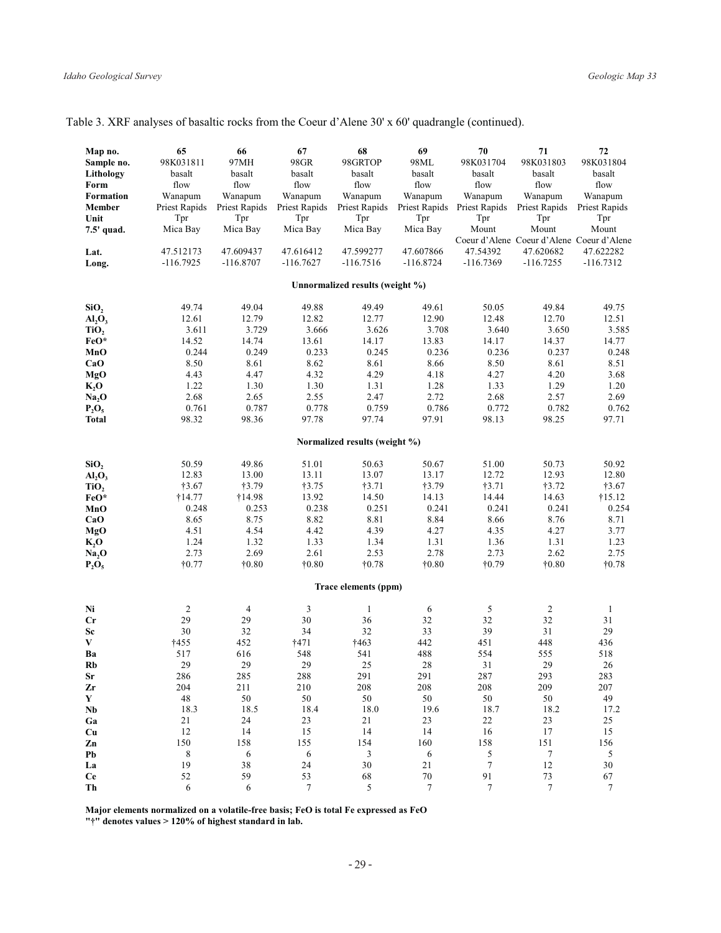| Map no.                        | 65             | 66             | 67             | 68                              | 69             | 70                          | 71                                        | 72             |
|--------------------------------|----------------|----------------|----------------|---------------------------------|----------------|-----------------------------|-------------------------------------------|----------------|
|                                |                |                |                | 98GRTOP                         | 98ML           | 98K031704                   |                                           |                |
| Sample no.                     | 98K031811      | 97MH           | 98GR           |                                 |                |                             | 98K031803                                 | 98K031804      |
| Lithology                      | basalt         | basalt         | basalt         | basalt                          | basalt         | basalt                      | basalt                                    | basalt         |
| Form                           | flow           | flow           | flow           | flow                            | flow           | flow                        | flow                                      | flow           |
| Formation                      | Wanapum        | Wanapum        | Wanapum        | Wanapum                         | Wanapum        | Wanapum                     | Wanapum                                   | Wanapum        |
| <b>Member</b>                  | Priest Rapids  | Priest Rapids  | Priest Rapids  | Priest Rapids                   |                | Priest Rapids Priest Rapids | Priest Rapids                             | Priest Rapids  |
| Unit                           | Tpr            | Tpr            | Tpr            | Tpr                             | Tpr            | Tpr                         | Tpr                                       | Tpr            |
| 7.5' quad.                     | Mica Bay       | Mica Bay       | Mica Bay       | Mica Bay                        | Mica Bay       | Mount                       | Mount                                     | Mount          |
|                                |                |                |                |                                 |                |                             | Coeur d'Alene Coeur d'Alene Coeur d'Alene |                |
|                                |                |                |                |                                 |                |                             |                                           |                |
| Lat.                           | 47.512173      | 47.609437      | 47.616412      | 47.599277                       | 47.607866      | 47.54392                    | 47.620682                                 | 47.622282      |
| Long.                          | $-116.7925$    | $-116.8707$    | $-116.7627$    | $-116.7516$                     | $-116.8724$    | $-116.7369$                 | $-116.7255$                               | $-116.7312$    |
|                                |                |                |                | Unnormalized results (weight %) |                |                             |                                           |                |
|                                |                |                |                |                                 |                |                             |                                           |                |
| SiO <sub>2</sub>               | 49.74          | 49.04          | 49.88          | 49.49                           | 49.61          | 50.05                       | 49.84                                     | 49.75          |
| AI <sub>2</sub> O <sub>3</sub> | 12.61          | 12.79          | 12.82          | 12.77                           | 12.90          | 12.48                       | 12.70                                     | 12.51          |
| TiO,                           | 3.611          | 3.729          | 3.666          | 3.626                           | 3.708          | 3.640                       | 3.650                                     | 3.585          |
| FeO*                           | 14.52          | 14.74          | 13.61          | 14.17                           | 13.83          | 14.17                       | 14.37                                     | 14.77          |
|                                | 0.244          | 0.249          | 0.233          | 0.245                           | 0.236          | 0.236                       | 0.237                                     | 0.248          |
| MnO                            |                |                |                |                                 |                |                             |                                           |                |
| CaO                            | 8.50           | 8.61           | 8.62           | 8.61                            | 8.66           | 8.50                        | 8.61                                      | 8.51           |
| MgO                            | 4.43           | 4.47           | 4.32           | 4.29                            | 4.18           | 4.27                        | 4.20                                      | 3.68           |
| $K_2O$                         | 1.22           | 1.30           | 1.30           | 1.31                            | 1.28           | 1.33                        | 1.29                                      | 1.20           |
| Na, O                          | 2.68           | 2.65           | 2.55           | 2.47                            | 2.72           | 2.68                        | 2.57                                      | 2.69           |
| $P_2O_5$                       | 0.761          | 0.787          | 0.778          | 0.759                           | 0.786          | 0.772                       | 0.782                                     | 0.762          |
| <b>Total</b>                   | 98.32          | 98.36          | 97.78          | 97.74                           | 97.91          | 98.13                       | 98.25                                     | 97.71          |
|                                |                |                |                | Normalized results (weight %)   |                |                             |                                           |                |
| SiO <sub>2</sub>               | 50.59          | 49.86          | 51.01          | 50.63                           | 50.67          | 51.00                       | 50.73                                     | 50.92          |
| AI <sub>2</sub> O <sub>3</sub> | 12.83          | 13.00          | 13.11          | 13.07                           | 13.17          | 12.72                       | 12.93                                     | 12.80          |
|                                |                |                |                |                                 |                |                             |                                           |                |
| TiO <sub>2</sub>               | †3.67          | †3.79          | †3.75          | †3.71                           | †3.79          | †3.71                       | †3.72                                     | †3.67          |
| FeO*                           | †14.77         | †14.98         | 13.92          | 14.50                           | 14.13          | 14.44                       | 14.63                                     | †15.12         |
| MnO                            | 0.248          | 0.253          | 0.238          | 0.251                           | 0.241          | 0.241                       | 0.241                                     | 0.254          |
| CaO                            | 8.65           | 8.75           | 8.82           | 8.81                            | 8.84           | 8.66                        | 8.76                                      | 8.71           |
| MgO                            | 4.51           | 4.54           | 4.42           | 4.39                            | 4.27           | 4.35                        | 4.27                                      | 3.77           |
| $K_2O$                         | 1.24           | 1.32           | 1.33           | 1.34                            | 1.31           | 1.36                        | 1.31                                      | 1.23           |
| Na <sub>2</sub> O              | 2.73           | 2.69           | 2.61           | 2.53                            | 2.78           | 2.73                        | 2.62                                      | 2.75           |
| $P_2O_5$                       | $\dagger 0.77$ | $\dagger 0.80$ | $\dagger 0.80$ | $\dagger 0.78$                  | $\dagger 0.80$ | $\dagger 0.79$              | $\dagger 0.80$                            | $\dagger 0.78$ |
|                                |                |                |                | Trace elements (ppm)            |                |                             |                                           |                |
|                                |                |                |                |                                 |                |                             |                                           |                |
| Ni                             | $\overline{c}$ | $\overline{4}$ | 3              | 1                               | 6              | $\mathfrak{S}$              | $\overline{2}$                            | 1              |
| $_{\rm Cr}$                    | 29             | 29             | 30             | 36                              | 32             | 32                          | 32                                        | 31             |
| Sc                             | 30             | 32             | 34             | 32                              | 33             | 39                          | 31                                        | 29             |
| V                              | †455           | 452            | †471           | †463                            | 442            | 451                         | 448                                       | 436            |
| Ba                             | 517            | 616            | 548            | 541                             | 488            | 554                         | 555                                       | 518            |
| Rb                             | 29             | 29             | 29             | 25                              | 28             | 31                          | 29                                        | 26             |
| <b>Sr</b>                      | 286            | 285            | 288            | 291                             | 291            | 287                         | 293                                       | 283            |
|                                | 204            |                |                |                                 |                |                             | 209                                       | 207            |
| Zr                             |                | 211            | 210            | 208                             | 208            | 208                         |                                           |                |
| Y                              | 48             | 50             | 50             | 50                              | 50             | 50                          | 50                                        | 49             |
| Nb                             | 18.3           | 18.5           | 18.4           | 18.0                            | 19.6           | 18.7                        | 18.2                                      | 17.2           |
| Ga                             | 21             | 24             | 23             | 21                              | 23             | 22                          | 23                                        | 25             |
| Cu                             | 12             | 14             | 15             | 14                              | 14             | 16                          | 17                                        | 15             |
| Zn                             | 150            | 158            | 155            | 154                             | 160            | 158                         | 151                                       | 156            |
| Pb                             | 8              | 6              | 6              | $\ensuremath{\mathfrak{Z}}$     | 6              | 5                           | 7                                         | 5              |
| La                             | 19             | 38             | 24             | 30                              | 21             | $\tau$                      | 12                                        | $30\,$         |
| <b>Ce</b>                      | 52             | 59             | 53             | 68                              | $70\,$         | 91                          | 73                                        | 67             |
| Th                             | 6              | 6              | $\overline{7}$ | $\overline{\mathcal{L}}$        | $\overline{7}$ | $\overline{7}$              | $\overline{7}$                            | $\overline{7}$ |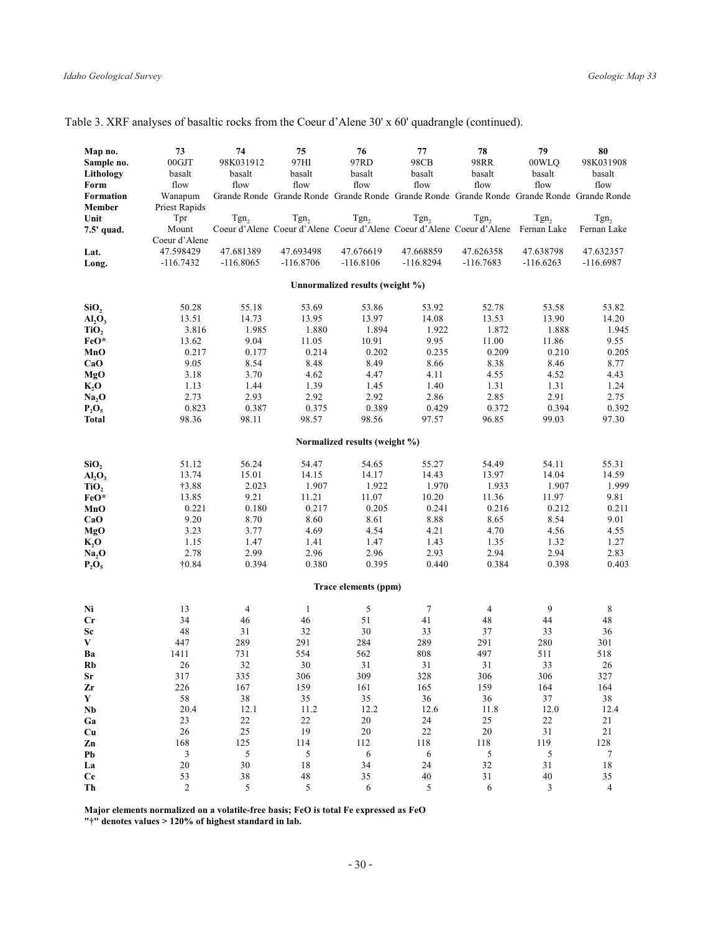| Map no.<br>Sample no.<br>Lithology<br>Form<br><b>Formation</b><br><b>Member</b><br>Unit | 73<br>00GJT<br>basalt<br>flow<br>Wanapum<br>Priest Rapids<br>Tpr | 74<br>98K031912<br>basalt<br>flow<br>Tgn <sub>2</sub> | 75<br>97HI<br>basalt<br>flow<br>Tgn <sub>2</sub> | 76<br>97RD<br>basalt<br>flow<br>Tgn <sub>2</sub> | 77<br>98CB<br>basalt<br>flow<br>Tgn <sub>2</sub> | 78<br>98RR<br>basalt<br>flow<br>Grande Ronde Grande Ronde Grande Ronde Grande Ronde Grande Ronde Grande Ronde Grande Ronde<br>Tgn <sub>2</sub> | 79<br>00WLQ<br>basalt<br>flow<br>Tgn <sub>2</sub> | 80<br>98K031908<br>basalt<br>flow<br>Tgn <sub>2</sub> |
|-----------------------------------------------------------------------------------------|------------------------------------------------------------------|-------------------------------------------------------|--------------------------------------------------|--------------------------------------------------|--------------------------------------------------|------------------------------------------------------------------------------------------------------------------------------------------------|---------------------------------------------------|-------------------------------------------------------|
| 7.5' quad.                                                                              | Mount<br>Coeur d'Alene                                           |                                                       |                                                  |                                                  |                                                  | Coeur d'Alene Coeur d'Alene Coeur d'Alene Coeur d'Alene Coeur d'Alene                                                                          | Fernan Lake                                       | Fernan Lake                                           |
| Lat.<br>Long.                                                                           | 47.598429<br>$-116.7432$                                         | 47.681389<br>$-116.8065$                              | 47.693498<br>$-116.8706$                         | 47.676619<br>$-116.8106$                         | 47.668859<br>$-116.8294$                         | 47.626358<br>$-116.7683$                                                                                                                       | 47.638798<br>$-116.6263$                          | 47.632357<br>$-116.6987$                              |
|                                                                                         |                                                                  |                                                       |                                                  | Unnormalized results (weight %)                  |                                                  |                                                                                                                                                |                                                   |                                                       |
| SiO <sub>2</sub>                                                                        | 50.28                                                            | 55.18                                                 | 53.69                                            | 53.86                                            | 53.92                                            | 52.78                                                                                                                                          | 53.58                                             | 53.82                                                 |
| AI <sub>2</sub> O <sub>3</sub>                                                          | 13.51                                                            | 14.73                                                 | 13.95                                            | 13.97                                            | 14.08                                            | 13.53                                                                                                                                          | 13.90                                             | 14.20                                                 |
| TiO,                                                                                    | 3.816                                                            | 1.985                                                 | 1.880                                            | 1.894                                            | 1.922                                            | 1.872                                                                                                                                          | 1.888                                             | 1.945                                                 |
| FeO*                                                                                    | 13.62                                                            | 9.04                                                  | 11.05                                            | 10.91                                            | 9.95                                             | 11.00                                                                                                                                          | 11.86                                             | 9.55                                                  |
| MnO                                                                                     | 0.217                                                            | 0.177                                                 | 0.214                                            | 0.202                                            | 0.235                                            | 0.209                                                                                                                                          | 0.210                                             | 0.205                                                 |
| CaO                                                                                     | 9.05                                                             | 8.54                                                  | 8.48                                             | 8.49                                             | 8.66                                             | 8.38                                                                                                                                           | 8.46                                              | 8.77                                                  |
| MgO                                                                                     | 3.18                                                             | 3.70                                                  | 4.62                                             | 4.47                                             | 4.11                                             | 4.55                                                                                                                                           | 4.52                                              | 4.43                                                  |
| $K_2O$                                                                                  | 1.13                                                             | 1.44                                                  | 1.39                                             | 1.45                                             | 1.40                                             | 1.31                                                                                                                                           | 1.31                                              | 1.24                                                  |
| Na, O                                                                                   | 2.73                                                             | 2.93                                                  | 2.92                                             | 2.92                                             | 2.86                                             | 2.85                                                                                                                                           | 2.91                                              | 2.75                                                  |
| $P_2O_5$                                                                                | 0.823<br>98.36                                                   | 0.387<br>98.11                                        | 0.375<br>98.57                                   | 0.389                                            | 0.429<br>97.57                                   | 0.372<br>96.85                                                                                                                                 | 0.394<br>99.03                                    | 0.392<br>97.30                                        |
| <b>Total</b>                                                                            |                                                                  |                                                       |                                                  | 98.56                                            |                                                  |                                                                                                                                                |                                                   |                                                       |
|                                                                                         |                                                                  |                                                       |                                                  | Normalized results (weight %)                    |                                                  |                                                                                                                                                |                                                   |                                                       |
| SiO,                                                                                    | 51.12                                                            | 56.24                                                 | 54.47                                            | 54.65                                            | 55.27                                            | 54.49                                                                                                                                          | 54.11                                             | 55.31                                                 |
| AI <sub>2</sub> O <sub>3</sub>                                                          | 13.74                                                            | 15.01                                                 | 14.15                                            | 14.17                                            | 14.43                                            | 13.97                                                                                                                                          | 14.04                                             | 14.59                                                 |
| TiO,                                                                                    | †3.88                                                            | 2.023                                                 | 1.907                                            | 1.922                                            | 1.970                                            | 1.933                                                                                                                                          | 1.907                                             | 1.999                                                 |
| FeO*                                                                                    | 13.85                                                            | 9.21                                                  | 11.21                                            | 11.07                                            | 10.20                                            | 11.36                                                                                                                                          | 11.97                                             | 9.81                                                  |
| MnO                                                                                     | 0.221                                                            | 0.180                                                 | 0.217                                            | 0.205                                            | 0.241                                            | 0.216                                                                                                                                          | 0.212                                             | 0.211                                                 |
| CaO                                                                                     | 9.20                                                             | 8.70                                                  | 8.60                                             | 8.61                                             | 8.88                                             | 8.65                                                                                                                                           | 8.54                                              | 9.01                                                  |
| MgO                                                                                     | 3.23                                                             | 3.77                                                  | 4.69                                             | 4.54                                             | 4.21                                             | 4.70                                                                                                                                           | 4.56                                              | 4.55                                                  |
| $K_2O$                                                                                  | 1.15                                                             | 1.47                                                  | 1.41                                             | 1.47                                             | 1.43                                             | 1.35                                                                                                                                           | 1.32                                              | 1.27                                                  |
| Na <sub>2</sub> O                                                                       | 2.78                                                             | 2.99                                                  | 2.96                                             | 2.96                                             | 2.93                                             | 2.94                                                                                                                                           | 2.94                                              | 2.83                                                  |
| $P_2O_5$                                                                                | $\dagger 0.84$                                                   | 0.394                                                 | 0.380                                            | 0.395                                            | 0.440                                            | 0.384                                                                                                                                          | 0.398                                             | 0.403                                                 |
|                                                                                         |                                                                  |                                                       |                                                  | Trace elements (ppm)                             |                                                  |                                                                                                                                                |                                                   |                                                       |
| Ni                                                                                      | 13                                                               | 4                                                     | 1                                                | 5                                                | $\boldsymbol{7}$                                 | $\overline{4}$                                                                                                                                 | $\overline{9}$                                    | 8                                                     |
| Cr                                                                                      | 34                                                               | 46                                                    | 46                                               | 51                                               | 41                                               | 48                                                                                                                                             | 44                                                | 48                                                    |
| Sc                                                                                      | 48                                                               | 31                                                    | 32                                               | 30                                               | 33                                               | 37                                                                                                                                             | 33                                                | 36                                                    |
| $\mathbf{V}$                                                                            | 447                                                              | 289                                                   | 291                                              | 284                                              | 289                                              | 291                                                                                                                                            | 280                                               | 301                                                   |
| Ba                                                                                      | 1411                                                             | 731                                                   | 554                                              | 562                                              | 808                                              | 497                                                                                                                                            | 511                                               | 518                                                   |
| Rb                                                                                      | 26                                                               | 32                                                    | 30                                               | 31                                               | 31                                               | 31                                                                                                                                             | 33                                                | 26                                                    |
| Sr                                                                                      | 317                                                              | 335                                                   | 306                                              | 309                                              | 328                                              | 306                                                                                                                                            | 306                                               | 327                                                   |
| Zr                                                                                      | 226                                                              | 167                                                   | 159                                              | 161                                              | 165                                              | 159                                                                                                                                            | 164                                               | 164                                                   |
| Y                                                                                       | 58                                                               | $3\,8$                                                | 35                                               | 35                                               | 36                                               | 36                                                                                                                                             | 37                                                | 38                                                    |
| N <sub>b</sub>                                                                          | 20.4                                                             | 12.1                                                  | 11.2                                             | 12.2                                             | 12.6                                             | 11.8                                                                                                                                           | 12.0                                              | 12.4                                                  |
| Ga                                                                                      | 23                                                               | 22                                                    | 22                                               | $20\,$                                           | 24                                               | 25                                                                                                                                             | $22\,$                                            | $2\sqrt{1}$                                           |
| Cu                                                                                      | 26                                                               | $25\,$                                                | 19                                               | $20\,$                                           | 22                                               | $20\,$                                                                                                                                         | 31                                                | 21                                                    |
| Zn                                                                                      | 168                                                              | 125                                                   | 114                                              | 112                                              | 118                                              | 118                                                                                                                                            | 119                                               | 128                                                   |
| Pb                                                                                      | 3                                                                | $\sqrt{5}$                                            | 5                                                | 6                                                | 6                                                | $\sqrt{5}$                                                                                                                                     | $\sqrt{5}$                                        | $\boldsymbol{7}$                                      |
| La                                                                                      | 20                                                               | 30                                                    | 18                                               | 34                                               | 24<br>40                                         | 32<br>31                                                                                                                                       | 31<br>40                                          | 18<br>35                                              |
| Ce<br>Th                                                                                | 53<br>$\mathfrak{D}$                                             | 38<br>$\overline{5}$                                  | 48<br>$\overline{\phantom{0}}$                   | 35<br>6                                          | $\varsigma$                                      | 6                                                                                                                                              | $\mathbf{3}$                                      | $\overline{4}$                                        |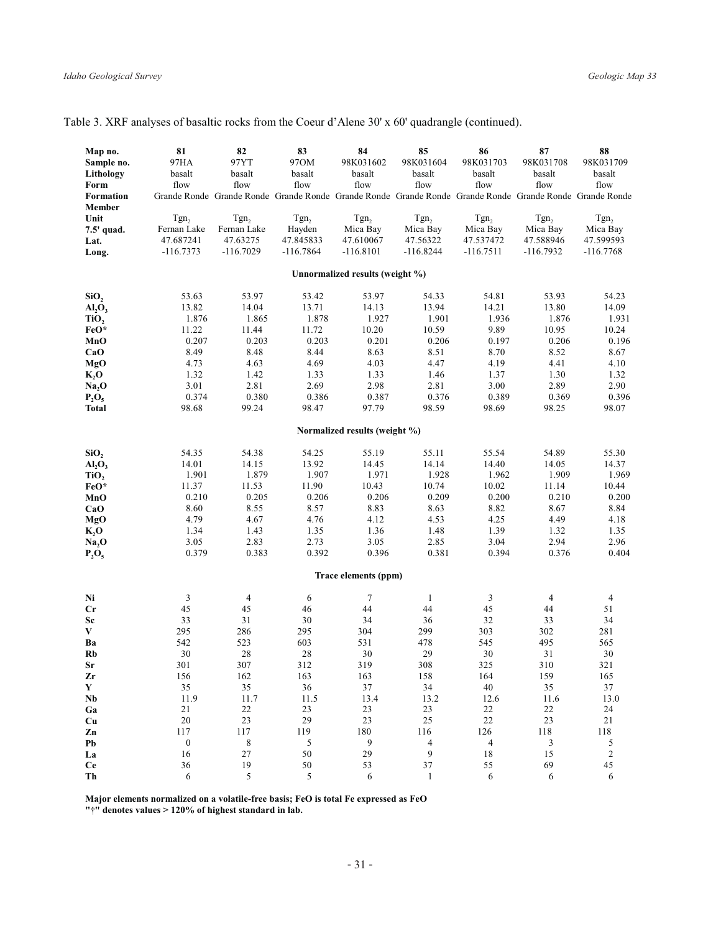|  |  |  |  |  | Table 3. XRF analyses of basaltic rocks from the Coeur d'Alene 30' x 60' quadrangle (continued). |  |
|--|--|--|--|--|--------------------------------------------------------------------------------------------------|--|
|  |  |  |  |  |                                                                                                  |  |

| Map no.<br>Sample no.<br>Lithology<br>Form<br>Formation<br>Member<br>Unit | 81<br>97HA<br>basalt<br>flow<br>Tgn <sub>2</sub> | 82<br>97YT<br>basalt<br>flow<br>Tgn <sub>2</sub> | 83<br>970M<br>basalt<br>flow<br>Tgn <sub>2</sub> | 84<br>98K031602<br>basalt<br>flow<br>Tgn <sub>2</sub> | 85<br>98K031604<br>basalt<br>flow<br>Grande Ronde Grande Ronde Grande Ronde Grande Ronde Grande Ronde Grande Ronde Grande Ronde Grande Ronde<br>Tgn <sub>2</sub> | 86<br>98K031703<br>basalt<br>flow<br>Tgn <sub>2</sub> | 87<br>98K031708<br>basalt<br>flow<br>Tgn <sub>2</sub> | 88<br>98K031709<br>basalt<br>flow<br>Tgn <sub>2</sub> |
|---------------------------------------------------------------------------|--------------------------------------------------|--------------------------------------------------|--------------------------------------------------|-------------------------------------------------------|------------------------------------------------------------------------------------------------------------------------------------------------------------------|-------------------------------------------------------|-------------------------------------------------------|-------------------------------------------------------|
| 7.5' quad.<br>Lat.                                                        | Fernan Lake<br>47.687241                         | Fernan Lake<br>47.63275                          | Hayden<br>47.845833                              | Mica Bay<br>47.610067                                 | Mica Bay<br>47.56322                                                                                                                                             | Mica Bay<br>47.537472                                 | Mica Bay<br>47.588946                                 | Mica Bay<br>47.599593                                 |
| Long.                                                                     | $-116.7373$                                      | $-116.7029$                                      | $-116.7864$                                      | $-116.8101$                                           | $-116.8244$                                                                                                                                                      | $-116.7511$                                           | $-116.7932$                                           | $-116.7768$                                           |
|                                                                           |                                                  |                                                  |                                                  | Unnormalized results (weight %)                       |                                                                                                                                                                  |                                                       |                                                       |                                                       |
| SiO <sub>2</sub>                                                          | 53.63                                            | 53.97                                            | 53.42                                            | 53.97                                                 | 54.33                                                                                                                                                            | 54.81                                                 | 53.93                                                 | 54.23                                                 |
| AI <sub>2</sub> O <sub>3</sub>                                            | 13.82                                            | 14.04                                            | 13.71                                            | 14.13                                                 | 13.94                                                                                                                                                            | 14.21                                                 | 13.80                                                 | 14.09                                                 |
| TiO,                                                                      | 1.876                                            | 1.865                                            | 1.878                                            | 1.927                                                 | 1.901                                                                                                                                                            | 1.936                                                 | 1.876                                                 | 1.931                                                 |
| FeO*                                                                      | 11.22                                            | 11.44                                            | 11.72                                            | 10.20                                                 | 10.59                                                                                                                                                            | 9.89                                                  | 10.95                                                 | 10.24                                                 |
| MnO                                                                       | 0.207                                            | 0.203                                            | 0.203                                            | 0.201                                                 | 0.206                                                                                                                                                            | 0.197                                                 | 0.206                                                 | 0.196                                                 |
| CaO                                                                       | 8.49                                             | 8.48                                             | 8.44                                             | 8.63                                                  | 8.51                                                                                                                                                             | 8.70                                                  | 8.52                                                  | 8.67                                                  |
| MgO                                                                       | 4.73                                             | 4.63                                             | 4.69                                             | 4.03                                                  | 4.47                                                                                                                                                             | 4.19                                                  | 4.41                                                  | 4.10                                                  |
| $K_2$ O                                                                   | 1.32                                             | 1.42                                             | 1.33                                             | 1.33                                                  | 1.46                                                                                                                                                             | 1.37                                                  | 1.30                                                  | 1.32                                                  |
| Na <sub>2</sub> O                                                         | 3.01                                             | 2.81                                             | 2.69                                             | 2.98                                                  | 2.81                                                                                                                                                             | 3.00                                                  | 2.89                                                  | 2.90                                                  |
| $P_2O_5$                                                                  | 0.374                                            | 0.380<br>99.24                                   | 0.386<br>98.47                                   | 0.387<br>97.79                                        | 0.376<br>98.59                                                                                                                                                   | 0.389<br>98.69                                        | 0.369<br>98.25                                        | 0.396<br>98.07                                        |
| <b>Total</b>                                                              | 98.68                                            |                                                  |                                                  |                                                       |                                                                                                                                                                  |                                                       |                                                       |                                                       |
|                                                                           |                                                  |                                                  |                                                  | Normalized results (weight %)                         |                                                                                                                                                                  |                                                       |                                                       |                                                       |
| SiO <sub>2</sub>                                                          | 54.35                                            | 54.38                                            | 54.25                                            | 55.19                                                 | 55.11                                                                                                                                                            | 55.54                                                 | 54.89                                                 | 55.30                                                 |
| $Al_2O_3$                                                                 | 14.01                                            | 14.15                                            | 13.92                                            | 14.45                                                 | 14.14                                                                                                                                                            | 14.40                                                 | 14.05                                                 | 14.37                                                 |
| TiO <sub>2</sub>                                                          | 1.901                                            | 1.879                                            | 1.907                                            | 1.971                                                 | 1.928                                                                                                                                                            | 1.962                                                 | 1.909                                                 | 1.969                                                 |
| FeO*                                                                      | 11.37                                            | 11.53                                            | 11.90                                            | 10.43                                                 | 10.74                                                                                                                                                            | 10.02                                                 | 11.14                                                 | 10.44                                                 |
| MnO                                                                       | 0.210                                            | 0.205                                            | 0.206                                            | 0.206                                                 | 0.209                                                                                                                                                            | 0.200                                                 | 0.210                                                 | 0.200                                                 |
| CaO<br>MgO                                                                | 8.60<br>4.79                                     | 8.55<br>4.67                                     | 8.57<br>4.76                                     | 8.83<br>4.12                                          | 8.63<br>4.53                                                                                                                                                     | 8.82<br>4.25                                          | 8.67<br>4.49                                          | 8.84<br>4.18                                          |
| $K_2O$                                                                    | 1.34                                             | 1.43                                             | 1.35                                             | 1.36                                                  | 1.48                                                                                                                                                             | 1.39                                                  | 1.32                                                  | 1.35                                                  |
| Na <sub>2</sub> O                                                         | 3.05                                             | 2.83                                             | 2.73                                             | 3.05                                                  | 2.85                                                                                                                                                             | 3.04                                                  | 2.94                                                  | 2.96                                                  |
| $P_2O_5$                                                                  | 0.379                                            | 0.383                                            | 0.392                                            | 0.396                                                 | 0.381                                                                                                                                                            | 0.394                                                 | 0.376                                                 | 0.404                                                 |
|                                                                           |                                                  |                                                  |                                                  | Trace elements (ppm)                                  |                                                                                                                                                                  |                                                       |                                                       |                                                       |
| Ni                                                                        | $\ensuremath{\mathfrak{Z}}$                      | $\overline{4}$                                   | 6                                                | $\overline{7}$                                        | $\mathbf{1}$                                                                                                                                                     | 3                                                     | $\overline{4}$                                        | $\overline{4}$                                        |
| $_{\rm Cr}$                                                               | 45                                               | 45                                               | 46                                               | 44                                                    | 44                                                                                                                                                               | 45                                                    | 44                                                    | 51                                                    |
| Sc                                                                        | 33                                               | 31                                               | 30                                               | 34                                                    | 36                                                                                                                                                               | 32                                                    | 33                                                    | 34                                                    |
| V                                                                         | 295                                              | 286                                              | 295                                              | 304                                                   | 299                                                                                                                                                              | 303                                                   | 302                                                   | 281                                                   |
| Ba                                                                        | 542                                              | 523                                              | 603                                              | 531                                                   | 478                                                                                                                                                              | 545                                                   | 495                                                   | 565                                                   |
| <b>Rb</b>                                                                 | 30                                               | 28                                               | 28                                               | 30                                                    | 29                                                                                                                                                               | 30                                                    | 31                                                    | 30                                                    |
| Sr                                                                        | 301                                              | 307                                              | 312                                              | 319                                                   | 308                                                                                                                                                              | 325                                                   | 310                                                   | 321                                                   |
| Zr                                                                        | 156                                              | 162                                              | 163                                              | 163                                                   | 158                                                                                                                                                              | 164                                                   | 159                                                   | 165                                                   |
| Y<br>$\mathbf{Nb}$                                                        | 35<br>11.9                                       | 35<br>11.7                                       | 36<br>11.5                                       | 37<br>13.4                                            | 34<br>13.2                                                                                                                                                       | 40<br>12.6                                            | 35<br>11.6                                            | 37<br>13.0                                            |
| Ga                                                                        | 21                                               | 22                                               | 23                                               | 23                                                    | 23                                                                                                                                                               | 22                                                    | 22                                                    | 24                                                    |
| Cu                                                                        | 20                                               | 23                                               | 29                                               | $23\,$                                                | 25                                                                                                                                                               | $22\,$                                                | 23                                                    | 21                                                    |
| Zn                                                                        | 117                                              | 117                                              | 119                                              | 180                                                   | 116                                                                                                                                                              | 126                                                   | 118                                                   | 118                                                   |
| Pb                                                                        | $\boldsymbol{0}$                                 | $\,$ 8 $\,$                                      | 5                                                | 9                                                     | 4                                                                                                                                                                | $\overline{\mathcal{A}}$                              | 3                                                     | 5                                                     |
| La                                                                        | 16                                               | $27\,$                                           | 50                                               | 29                                                    | 9                                                                                                                                                                | 18                                                    | 15                                                    | $\sqrt{2}$                                            |
| <b>Ce</b>                                                                 | 36                                               | 19                                               | 50                                               | 53                                                    | 37                                                                                                                                                               | 55                                                    | 69                                                    | 45                                                    |
| Th                                                                        | 6                                                | 5                                                | 5                                                | 6                                                     | $\mathbf{1}$                                                                                                                                                     | 6                                                     | 6                                                     | 6                                                     |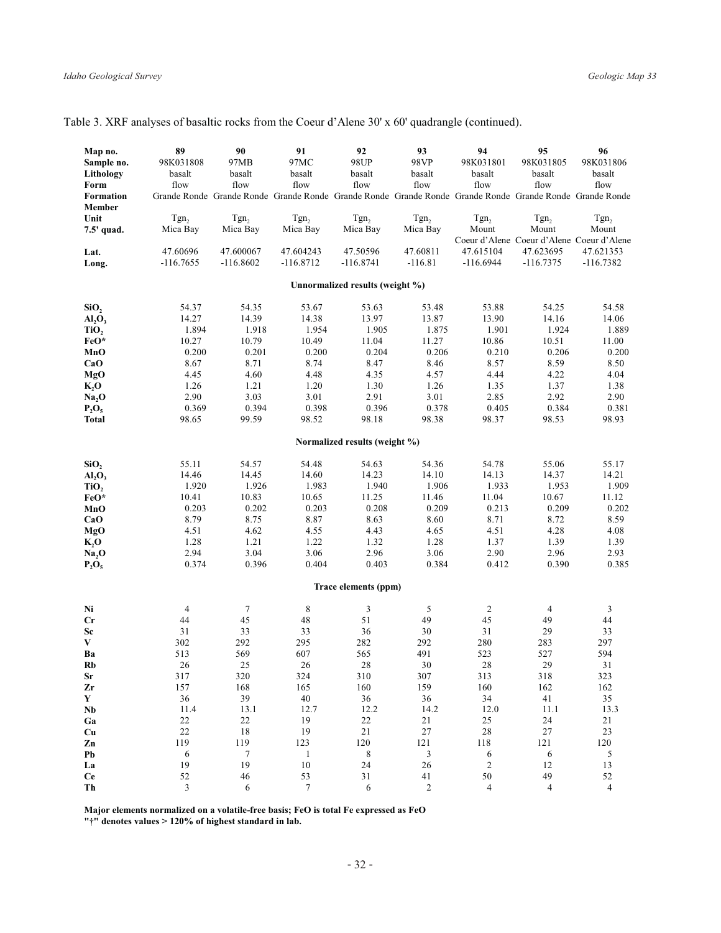| Map no.<br>Sample no.<br>Lithology<br>Form<br><b>Formation</b> | 89<br>98K031808<br>basalt<br>flow | 90<br>97MB<br>basalt<br>flow | 91<br>97MC<br>basalt<br>flow<br>Grande Ronde Grande Ronde Grande Ronde Grande Ronde Grande Ronde Grande Ronde Grande Ronde Grande Ronde | 92<br>98UP<br>basalt<br>flow    | 93<br>98VP<br>basalt<br>flow | 94<br>98K031801<br>basalt<br>flow | 95<br>98K031805<br>basalt<br>flow                                      | 96<br>98K031806<br>basalt<br>flow |
|----------------------------------------------------------------|-----------------------------------|------------------------------|-----------------------------------------------------------------------------------------------------------------------------------------|---------------------------------|------------------------------|-----------------------------------|------------------------------------------------------------------------|-----------------------------------|
| Member<br>Unit<br>7.5' quad.                                   | Tgn,<br>Mica Bay                  | Tgn <sub>2</sub><br>Mica Bay | Tgn <sub>2</sub><br>Mica Bay                                                                                                            | Tgn <sub>2</sub><br>Mica Bay    | Tgn <sub>2</sub><br>Mica Bay | Tgn <sub>2</sub><br>Mount         | Tgn <sub>2</sub><br>Mount<br>Coeur d'Alene Coeur d'Alene Coeur d'Alene | Tgn <sub>2</sub><br>Mount         |
| Lat.                                                           | 47.60696                          | 47.600067                    | 47.604243                                                                                                                               | 47.50596                        | 47.60811                     | 47.615104                         | 47.623695                                                              | 47.621353                         |
| Long.                                                          | $-116.7655$                       | $-116.8602$                  | $-116.8712$                                                                                                                             | $-116.8741$                     | $-116.81$                    | $-116.6944$                       | $-116.7375$                                                            | $-116.7382$                       |
|                                                                |                                   |                              |                                                                                                                                         | Unnormalized results (weight %) |                              |                                   |                                                                        |                                   |
| SiO <sub>2</sub>                                               | 54.37                             | 54.35                        | 53.67                                                                                                                                   | 53.63                           | 53.48                        | 53.88                             | 54.25                                                                  | 54.58                             |
| AI <sub>2</sub> O <sub>3</sub>                                 | 14.27                             | 14.39                        | 14.38                                                                                                                                   | 13.97                           | 13.87                        | 13.90                             | 14.16                                                                  | 14.06                             |
| TiO,                                                           | 1.894                             | 1.918                        | 1.954                                                                                                                                   | 1.905                           | 1.875                        | 1.901                             | 1.924                                                                  | 1.889                             |
| FeO*                                                           | 10.27                             | 10.79                        | 10.49                                                                                                                                   | 11.04                           | 11.27                        | 10.86                             | 10.51                                                                  | 11.00                             |
| MnO                                                            | 0.200                             | 0.201                        | 0.200                                                                                                                                   | 0.204                           | 0.206                        | 0.210                             | 0.206                                                                  | 0.200                             |
| CaO                                                            | 8.67                              | 8.71                         | 8.74                                                                                                                                    | 8.47                            | 8.46                         | 8.57                              | 8.59                                                                   | 8.50                              |
| MgO                                                            | 4.45                              | 4.60                         | 4.48                                                                                                                                    | 4.35                            | 4.57                         | 4.44                              | 4.22                                                                   | 4.04                              |
| $K_2O$                                                         | 1.26                              | 1.21                         | 1.20                                                                                                                                    | 1.30                            | 1.26                         | 1.35                              | 1.37                                                                   | 1.38                              |
| Na <sub>2</sub> O                                              | 2.90                              | 3.03                         | 3.01                                                                                                                                    | 2.91                            | 3.01                         | 2.85                              | 2.92                                                                   | 2.90                              |
| $P_2O_5$                                                       | 0.369                             | 0.394                        | 0.398                                                                                                                                   | 0.396                           | 0.378                        | 0.405                             | 0.384                                                                  | 0.381                             |
| <b>Total</b>                                                   | 98.65                             | 99.59                        | 98.52                                                                                                                                   | 98.18                           | 98.38                        | 98.37                             | 98.53                                                                  | 98.93                             |
|                                                                |                                   |                              |                                                                                                                                         | Normalized results (weight %)   |                              |                                   |                                                                        |                                   |
| SiO <sub>2</sub>                                               | 55.11                             | 54.57                        | 54.48                                                                                                                                   | 54.63                           | 54.36                        | 54.78                             | 55.06                                                                  | 55.17                             |
| AI <sub>2</sub> O <sub>3</sub>                                 | 14.46                             | 14.45                        | 14.60                                                                                                                                   | 14.23                           | 14.10                        | 14.13                             | 14.37                                                                  | 14.21                             |
| TiO,                                                           | 1.920                             | 1.926                        | 1.983                                                                                                                                   | 1.940                           | 1.906                        | 1.933                             | 1.953                                                                  | 1.909                             |
| FeO*                                                           | 10.41                             | 10.83                        | 10.65                                                                                                                                   | 11.25                           | 11.46                        | 11.04                             | 10.67                                                                  | 11.12                             |
| MnO                                                            | 0.203                             | 0.202                        | 0.203                                                                                                                                   | 0.208                           | 0.209                        | 0.213                             | 0.209                                                                  | 0.202                             |
| CaO                                                            | 8.79                              | 8.75                         | 8.87                                                                                                                                    | 8.63                            | 8.60                         | 8.71                              | 8.72                                                                   | 8.59                              |
| MgO                                                            | 4.51                              | 4.62                         | 4.55                                                                                                                                    | 4.43                            | 4.65                         | 4.51                              | 4.28                                                                   | 4.08                              |
| $K_2O$                                                         | 1.28                              | 1.21                         | 1.22                                                                                                                                    | 1.32                            | 1.28                         | 1.37                              | 1.39                                                                   | 1.39                              |
| Na <sub>2</sub> O                                              | 2.94                              | 3.04                         | 3.06                                                                                                                                    | 2.96                            | 3.06                         | 2.90                              | 2.96                                                                   | 2.93                              |
| $P_2O_5$                                                       | 0.374                             | 0.396                        | 0.404                                                                                                                                   | 0.403                           | 0.384                        | 0.412                             | 0.390                                                                  | 0.385                             |
|                                                                |                                   |                              |                                                                                                                                         | Trace elements (ppm)            |                              |                                   |                                                                        |                                   |
| Ni                                                             | $\overline{4}$                    | $\tau$                       | 8                                                                                                                                       | $\mathfrak{Z}$                  | 5                            | $\overline{c}$                    | $\overline{4}$                                                         | 3                                 |
| Cr                                                             | 44                                | 45                           | 48                                                                                                                                      | 51                              | 49                           | 45                                | 49                                                                     | 44                                |
| Sc                                                             | 31                                | 33                           | 33                                                                                                                                      | 36                              | 30                           | 31                                | 29                                                                     | 33                                |
| $\mathbf{V}$                                                   | 302                               | 292                          | 295                                                                                                                                     | 282                             | 292                          | 280                               | 283                                                                    | 297                               |
| Ba                                                             | 513                               | 569                          | 607                                                                                                                                     | 565                             | 491                          | 523                               | 527                                                                    | 594                               |
| Rb                                                             | 26                                | 25                           | 26                                                                                                                                      | 28                              | 30                           | 28                                | 29                                                                     | 31                                |
| Sr                                                             | 317                               | 320                          | 324                                                                                                                                     | 310                             | 307                          | 313                               | 318                                                                    | 323                               |
| Zr                                                             | 157                               | 168                          | 165                                                                                                                                     | 160                             | 159                          | 160                               | 162                                                                    | 162                               |
| Y                                                              | 36                                | 39                           | 40                                                                                                                                      | 36                              | 36                           | 34                                | 41                                                                     | 35                                |
| N <sub>b</sub>                                                 | 11.4                              | 13.1                         | 12.7                                                                                                                                    | 12.2                            | 14.2                         | 12.0                              | 11.1                                                                   | 13.3                              |
| Ga                                                             | 22                                | 22                           | 19                                                                                                                                      | 22                              | $2\sqrt{1}$                  | $25\,$                            | 24                                                                     | $21\,$                            |
| Cu                                                             | $22\,$                            | $18\,$                       | 19                                                                                                                                      | 21                              | $27\,$                       | $28\,$                            | $27\,$                                                                 | 23                                |
| Zn                                                             | 119                               | 119                          | 123                                                                                                                                     | 120                             | 121                          | 118                               | 121                                                                    | $120\,$                           |
| Pb                                                             | $\sqrt{6}$                        | $\boldsymbol{7}$             | $\mathbf{1}$                                                                                                                            | $\,$ 8 $\,$                     | $\sqrt{3}$                   | 6                                 | 6                                                                      | $\sqrt{5}$                        |
| La                                                             | 19                                | 19                           | $10\,$                                                                                                                                  | 24                              | 26                           | $\sqrt{2}$                        | 12                                                                     | 13                                |
| <b>Ce</b>                                                      | 52                                | 46                           | 53                                                                                                                                      | 31                              | 41                           | 50                                | 49                                                                     | 52                                |
| Th                                                             | $\overline{\mathcal{E}}$          | 6                            | $\overline{7}$                                                                                                                          | 6                               | $\mathfrak{D}$               | $\overline{4}$                    | $\overline{4}$                                                         | $\overline{4}$                    |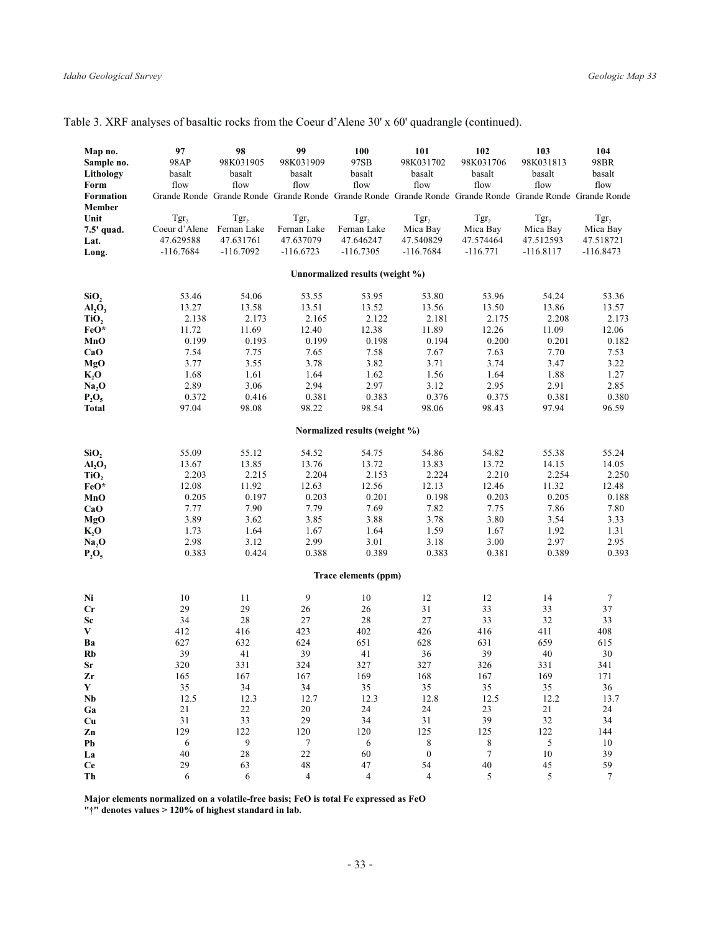|  |  |  |  |  | Table 3. XRF analyses of basaltic rocks from the Coeur d'Alene 30' x 60' quadrangle (continued). |  |
|--|--|--|--|--|--------------------------------------------------------------------------------------------------|--|
|  |  |  |  |  |                                                                                                  |  |

| Map no.<br>Sample no.<br>Lithology<br>Form<br><b>Formation</b><br>Member | 97<br>98AP<br>basalt<br>flow                                  | 98<br>98K031905<br>basalt<br>flow                           | 99<br>98K031909<br>basalt<br>flow                           | 100<br>97SB<br>basalt<br>flow<br>Grande Ronde Grande Ronde Grande Ronde Grande Ronde Grande Ronde Grande Ronde Grande Ronde Grande Ronde | 101<br>98K031702<br>basalt<br>flow                       | 102<br>98K031706<br>basalt<br>flow                      | 103<br>98K031813<br>basalt<br>flow                       | 104<br>98BR<br>basalt<br>flow                            |
|--------------------------------------------------------------------------|---------------------------------------------------------------|-------------------------------------------------------------|-------------------------------------------------------------|------------------------------------------------------------------------------------------------------------------------------------------|----------------------------------------------------------|---------------------------------------------------------|----------------------------------------------------------|----------------------------------------------------------|
| Unit<br>7.5' quad.<br>Lat.<br>Long.                                      | Tgr <sub>2</sub><br>Coeur d'Alene<br>47.629588<br>$-116.7684$ | Tgr <sub>2</sub><br>Fernan Lake<br>47.631761<br>$-116.7092$ | Tgr <sub>2</sub><br>Fernan Lake<br>47.637079<br>$-116.6723$ | Tgr <sub>2</sub><br>Fernan Lake<br>47.646247<br>$-116.7305$                                                                              | Tgr <sub>2</sub><br>Mica Bay<br>47.540829<br>$-116.7684$ | Tgr <sub>2</sub><br>Mica Bay<br>47.574464<br>$-116.771$ | Tgr <sub>2</sub><br>Mica Bay<br>47.512593<br>$-116.8117$ | Tgr <sub>2</sub><br>Mica Bay<br>47.518721<br>$-116.8473$ |
|                                                                          |                                                               |                                                             |                                                             | Unnormalized results (weight %)                                                                                                          |                                                          |                                                         |                                                          |                                                          |
|                                                                          |                                                               |                                                             |                                                             |                                                                                                                                          |                                                          |                                                         |                                                          |                                                          |
| SiO <sub>2</sub>                                                         | 53.46<br>13.27                                                | 54.06<br>13.58                                              | 53.55<br>13.51                                              | 53.95<br>13.52                                                                                                                           | 53.80<br>13.56                                           | 53.96<br>13.50                                          | 54.24<br>13.86                                           | 53.36<br>13.57                                           |
| $Al_2O_3$<br>TiO,                                                        | 2.138                                                         | 2.173                                                       | 2.165                                                       | 2.122                                                                                                                                    | 2.181                                                    | 2.175                                                   | 2.208                                                    | 2.173                                                    |
| FeO*                                                                     | 11.72                                                         | 11.69                                                       | 12.40                                                       | 12.38                                                                                                                                    | 11.89                                                    | 12.26                                                   | 11.09                                                    | 12.06                                                    |
| MnO                                                                      | 0.199                                                         | 0.193                                                       | 0.199                                                       | 0.198                                                                                                                                    | 0.194                                                    | 0.200                                                   | 0.201                                                    | 0.182                                                    |
| CaO                                                                      | 7.54                                                          | 7.75                                                        | 7.65                                                        | 7.58                                                                                                                                     | 7.67                                                     | 7.63                                                    | 7.70                                                     | 7.53                                                     |
| MgO                                                                      | 3.77                                                          | 3.55                                                        | 3.78                                                        | 3.82                                                                                                                                     | 3.71                                                     | 3.74                                                    | 3.47                                                     | 3.22                                                     |
| $K_2O$                                                                   | 1.68                                                          | 1.61                                                        | 1.64                                                        | 1.62                                                                                                                                     | 1.56                                                     | 1.64                                                    | 1.88                                                     | 1.27                                                     |
| Na <sub>2</sub> O                                                        | 2.89                                                          | 3.06                                                        | 2.94                                                        | 2.97                                                                                                                                     | 3.12                                                     | 2.95                                                    | 2.91                                                     | 2.85                                                     |
| $P_2O_5$                                                                 | 0.372                                                         | 0.416                                                       | 0.381                                                       | 0.383                                                                                                                                    | 0.376                                                    | 0.375                                                   | 0.381                                                    | 0.380                                                    |
| <b>Total</b>                                                             | 97.04                                                         | 98.08                                                       | 98.22                                                       | 98.54                                                                                                                                    | 98.06                                                    | 98.43                                                   | 97.94                                                    | 96.59                                                    |
|                                                                          |                                                               |                                                             |                                                             | Normalized results (weight %)                                                                                                            |                                                          |                                                         |                                                          |                                                          |
| SiO <sub>2</sub>                                                         | 55.09                                                         | 55.12                                                       | 54.52                                                       | 54.75                                                                                                                                    | 54.86                                                    | 54.82                                                   | 55.38                                                    | 55.24                                                    |
| $Al_2O_3$                                                                | 13.67                                                         | 13.85                                                       | 13.76                                                       | 13.72                                                                                                                                    | 13.83                                                    | 13.72                                                   | 14.15                                                    | 14.05                                                    |
| TiO <sub>2</sub>                                                         | 2.203                                                         | 2.215                                                       | 2.204                                                       | 2.153                                                                                                                                    | 2.224                                                    | 2.210                                                   | 2.254                                                    | 2.250                                                    |
| FeO*                                                                     | 12.08                                                         | 11.92                                                       | 12.63                                                       | 12.56                                                                                                                                    | 12.13                                                    | 12.46                                                   | 11.32                                                    | 12.48                                                    |
| MnO                                                                      | 0.205                                                         | 0.197                                                       | 0.203                                                       | 0.201                                                                                                                                    | 0.198                                                    | 0.203                                                   | 0.205                                                    | 0.188                                                    |
| CaO                                                                      | 7.77                                                          | 7.90                                                        | 7.79                                                        | 7.69                                                                                                                                     | 7.82                                                     | 7.75                                                    | 7.86                                                     | 7.80                                                     |
| MgO                                                                      | 3.89                                                          | 3.62                                                        | 3.85                                                        | 3.88                                                                                                                                     | 3.78                                                     | 3.80                                                    | 3.54                                                     | 3.33                                                     |
| $K_2$ O                                                                  | 1.73<br>2.98                                                  | 1.64<br>3.12                                                | 1.67<br>2.99                                                | 1.64<br>3.01                                                                                                                             | 1.59<br>3.18                                             | 1.67<br>3.00                                            | 1.92<br>2.97                                             | 1.31<br>2.95                                             |
| Na, O<br>$P_2O_5$                                                        | 0.383                                                         | 0.424                                                       | 0.388                                                       | 0.389                                                                                                                                    | 0.383                                                    | 0.381                                                   | 0.389                                                    | 0.393                                                    |
|                                                                          |                                                               |                                                             |                                                             |                                                                                                                                          |                                                          |                                                         |                                                          |                                                          |
|                                                                          |                                                               |                                                             |                                                             | Trace elements (ppm)                                                                                                                     |                                                          |                                                         |                                                          |                                                          |
| Ni                                                                       | 10                                                            | 11                                                          | 9                                                           | 10                                                                                                                                       | 12                                                       | 12                                                      | 14                                                       | $\boldsymbol{7}$                                         |
| Cr                                                                       | 29                                                            | 29                                                          | 26                                                          | 26                                                                                                                                       | 31                                                       | 33                                                      | 33                                                       | 37                                                       |
| Sc                                                                       | 34                                                            | 28                                                          | 27                                                          | 28                                                                                                                                       | 27                                                       | 33                                                      | 32                                                       | 33                                                       |
| V<br>Ba                                                                  | 412<br>627                                                    | 416<br>632                                                  | 423<br>624                                                  | 402<br>651                                                                                                                               | 426<br>628                                               | 416<br>631                                              | 411<br>659                                               | 408<br>615                                               |
| <b>Rb</b>                                                                | 39                                                            | 41                                                          | 39                                                          | 41                                                                                                                                       | 36                                                       | 39                                                      | 40                                                       | 30                                                       |
| Sr                                                                       | 320                                                           | 331                                                         | 324                                                         | 327                                                                                                                                      | 327                                                      | 326                                                     | 331                                                      | 341                                                      |
| Zr                                                                       | 165                                                           | 167                                                         | 167                                                         | 169                                                                                                                                      | 168                                                      | 167                                                     | 169                                                      | 171                                                      |
| $\mathbf Y$                                                              | 35                                                            | 34                                                          | 34                                                          | 35                                                                                                                                       | 35                                                       | 35                                                      | 35                                                       | 36                                                       |
| N <sub>b</sub>                                                           | 12.5                                                          | 12.3                                                        | 12.7                                                        | 12.3                                                                                                                                     | 12.8                                                     | 12.5                                                    | 12.2                                                     | 13.7                                                     |
| Ga                                                                       | 21                                                            | 22                                                          | $20\,$                                                      | 24                                                                                                                                       | 24                                                       | 23                                                      | $2\sqrt{1}$                                              | 24                                                       |
| Cu                                                                       | 31                                                            | 33                                                          | 29                                                          | 34                                                                                                                                       | $3\sqrt{1}$                                              | 39                                                      | $32\,$                                                   | 34                                                       |
| Zn                                                                       | 129                                                           | 122                                                         | 120                                                         | 120                                                                                                                                      | 125                                                      | 125                                                     | 122                                                      | 144                                                      |
| Pb                                                                       | 6                                                             | 9                                                           | 7                                                           | 6                                                                                                                                        | 8                                                        | 8                                                       | 5                                                        | 10                                                       |
| La<br><b>Ce</b>                                                          | 40<br>29                                                      | $28\,$<br>63                                                | $22\,$<br>48                                                | 60<br>47                                                                                                                                 | $\boldsymbol{0}$<br>54                                   | $\boldsymbol{7}$<br>$40\,$                              | $10\,$<br>45                                             | 39<br>59                                                 |
| Th                                                                       | 6                                                             | 6                                                           | $\overline{4}$                                              | $\overline{4}$                                                                                                                           | $\overline{4}$                                           | 5                                                       | 5                                                        | $\tau$                                                   |
|                                                                          |                                                               |                                                             |                                                             |                                                                                                                                          |                                                          |                                                         |                                                          |                                                          |